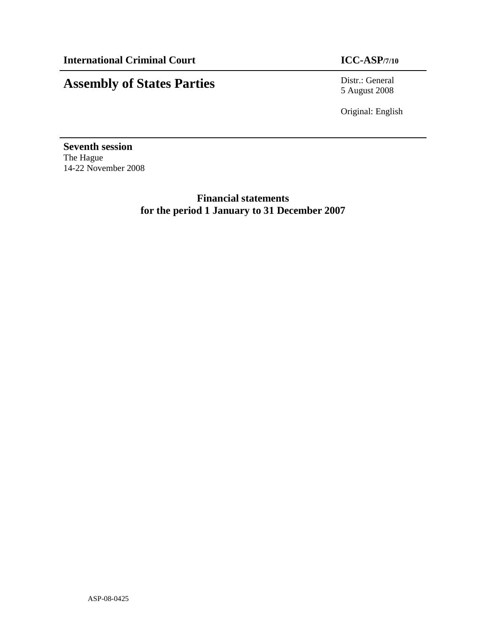## **Assembly of States Parties** Distr.: General

5 August 2008

Original: English

**Seventh session**  The Hague 14-22 November 2008

> **Financial statements for the period 1 January to 31 December 2007**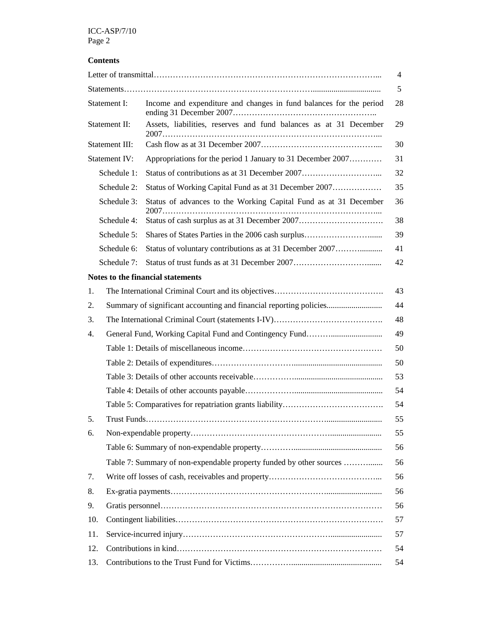#### **Contents**

|               |                                                                    |                                                                     | 4  |  |  |  |  |
|---------------|--------------------------------------------------------------------|---------------------------------------------------------------------|----|--|--|--|--|
|               |                                                                    |                                                                     | 5  |  |  |  |  |
| Statement I:  |                                                                    | Income and expenditure and changes in fund balances for the period  |    |  |  |  |  |
| Statement II: |                                                                    | Assets, liabilities, reserves and fund balances as at 31 December   | 29 |  |  |  |  |
|               | Statement III:                                                     |                                                                     | 30 |  |  |  |  |
|               | Statement IV:                                                      | Appropriations for the period 1 January to 31 December 2007         | 31 |  |  |  |  |
|               | Schedule 1:                                                        |                                                                     | 32 |  |  |  |  |
|               | Schedule 2:                                                        | Status of Working Capital Fund as at 31 December 2007               | 35 |  |  |  |  |
|               | Schedule 3:                                                        | Status of advances to the Working Capital Fund as at 31 December    | 36 |  |  |  |  |
|               | Schedule 4:                                                        |                                                                     | 38 |  |  |  |  |
|               | Schedule 5:                                                        |                                                                     | 39 |  |  |  |  |
|               | Schedule 6:                                                        | Status of voluntary contributions as at 31 December 2007            | 41 |  |  |  |  |
|               | Schedule 7:                                                        |                                                                     | 42 |  |  |  |  |
|               |                                                                    | Notes to the financial statements                                   |    |  |  |  |  |
| 1.            |                                                                    |                                                                     |    |  |  |  |  |
| 2.            | Summary of significant accounting and financial reporting policies |                                                                     | 44 |  |  |  |  |
| 3.            |                                                                    |                                                                     | 48 |  |  |  |  |
| 4.            |                                                                    |                                                                     | 49 |  |  |  |  |
|               |                                                                    |                                                                     | 50 |  |  |  |  |
|               |                                                                    |                                                                     | 50 |  |  |  |  |
|               |                                                                    |                                                                     | 53 |  |  |  |  |
|               |                                                                    |                                                                     | 54 |  |  |  |  |
|               |                                                                    |                                                                     | 54 |  |  |  |  |
| 5.            |                                                                    |                                                                     | 55 |  |  |  |  |
| 6.            |                                                                    |                                                                     | 55 |  |  |  |  |
|               |                                                                    |                                                                     | 56 |  |  |  |  |
|               |                                                                    | Table 7: Summary of non-expendable property funded by other sources | 56 |  |  |  |  |
| 7.            |                                                                    |                                                                     | 56 |  |  |  |  |
| 8.            |                                                                    |                                                                     | 56 |  |  |  |  |
| 9.            |                                                                    |                                                                     | 56 |  |  |  |  |
| 10.           |                                                                    |                                                                     | 57 |  |  |  |  |
| 11.           |                                                                    |                                                                     | 57 |  |  |  |  |
| 12.           |                                                                    |                                                                     | 54 |  |  |  |  |
| 13.           | 54                                                                 |                                                                     |    |  |  |  |  |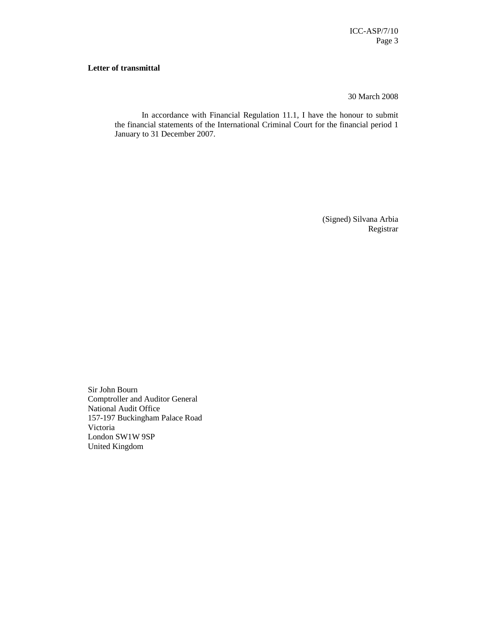#### **Letter of transmittal**

30 March 2008

In accordance with Financial Regulation 11.1, I have the honour to submit the financial statements of the International Criminal Court for the financial period 1 January to 31 December 2007.

> (Signed) Silvana Arbia Registrar

Sir John Bourn Comptroller and Auditor General National Audit Office 157-197 Buckingham Palace Road Victoria London SW1W 9SP United Kingdom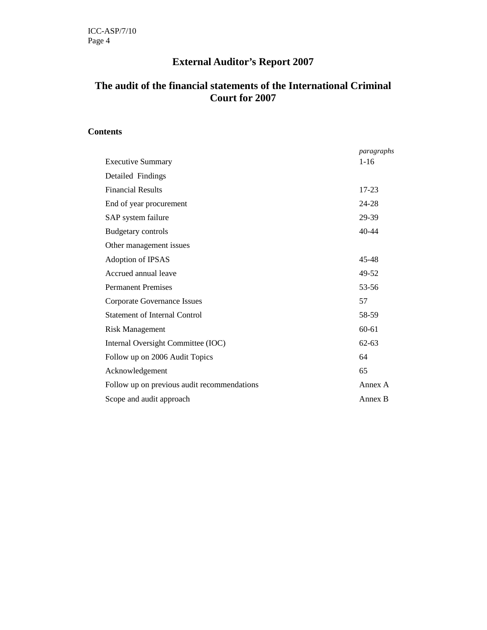### **External Auditor's Report 2007**

#### **The audit of the financial statements of the International Criminal Court for 2007**

#### **Contents**

|                                             | paragraphs |
|---------------------------------------------|------------|
| <b>Executive Summary</b>                    | $1 - 16$   |
| Detailed Findings                           |            |
| <b>Financial Results</b>                    | $17 - 23$  |
| End of year procurement                     | 24-28      |
| SAP system failure                          | 29-39      |
| <b>Budgetary controls</b>                   | $40 - 44$  |
| Other management issues                     |            |
| Adoption of IPSAS                           | 45-48      |
| Accrued annual leave                        | 49-52      |
| <b>Permanent Premises</b>                   | 53-56      |
| <b>Corporate Governance Issues</b>          | 57         |
| <b>Statement of Internal Control</b>        | 58-59      |
| <b>Risk Management</b>                      | $60 - 61$  |
| Internal Oversight Committee (IOC)          | $62 - 63$  |
| Follow up on 2006 Audit Topics              | 64         |
| Acknowledgement                             | 65         |
| Follow up on previous audit recommendations | Annex A    |
| Scope and audit approach                    | Annex B    |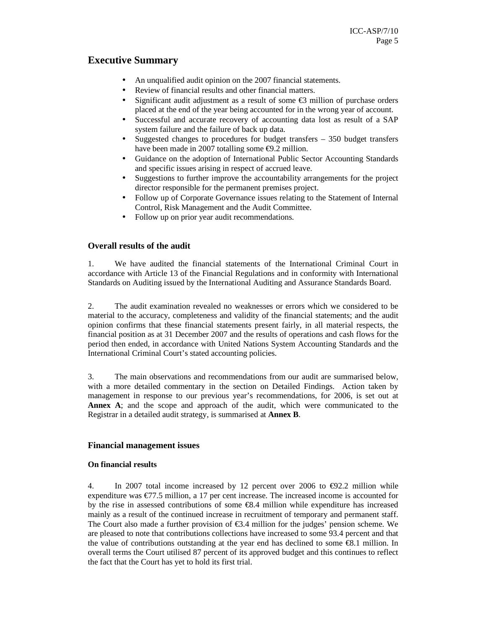#### **Executive Summary**

- An unqualified audit opinion on the 2007 financial statements.
- Review of financial results and other financial matters.
- Significant audit adjustment as a result of some  $\epsilon$ 3 million of purchase orders placed at the end of the year being accounted for in the wrong year of account.
- Successful and accurate recovery of accounting data lost as result of a SAP system failure and the failure of back up data.
- Suggested changes to procedures for budget transfers  $-350$  budget transfers have been made in 2007 totalling some €9.2 million.
- Guidance on the adoption of International Public Sector Accounting Standards and specific issues arising in respect of accrued leave.
- Suggestions to further improve the accountability arrangements for the project director responsible for the permanent premises project.
- Follow up of Corporate Governance issues relating to the Statement of Internal Control, Risk Management and the Audit Committee.
- Follow up on prior year audit recommendations.

#### **Overall results of the audit**

1. We have audited the financial statements of the International Criminal Court in accordance with Article 13 of the Financial Regulations and in conformity with International Standards on Auditing issued by the International Auditing and Assurance Standards Board.

2. The audit examination revealed no weaknesses or errors which we considered to be material to the accuracy, completeness and validity of the financial statements; and the audit opinion confirms that these financial statements present fairly, in all material respects, the financial position as at 31 December 2007 and the results of operations and cash flows for the period then ended, in accordance with United Nations System Accounting Standards and the International Criminal Court's stated accounting policies.

3. The main observations and recommendations from our audit are summarised below, with a more detailed commentary in the section on Detailed Findings. Action taken by management in response to our previous year's recommendations, for 2006, is set out at **Annex A**; and the scope and approach of the audit, which were communicated to the Registrar in a detailed audit strategy, is summarised at **Annex B**.

#### **Financial management issues**

#### **On financial results**

4. In 2007 total income increased by 12 percent over 2006 to  $\epsilon$ 92.2 million while expenditure was  $\epsilon$ 77.5 million, a 17 per cent increase. The increased income is accounted for by the rise in assessed contributions of some  $\epsilon$ 8.4 million while expenditure has increased mainly as a result of the continued increase in recruitment of temporary and permanent staff. The Court also made a further provision of  $\epsilon$ 3.4 milion for the judges' pension scheme. We are pleased to note that contributions collections have increased to some 93.4 percent and that the value of contributions outstanding at the year end has declined to some €8.1 million. In overall terms the Court utilised 87 percent of its approved budget and this continues to reflect the fact that the Court has yet to hold its first trial.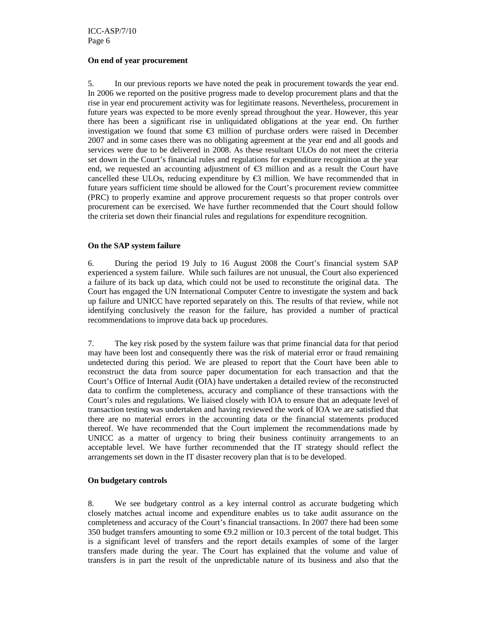#### **On end of year procurement**

5. In our previous reports we have noted the peak in procurement towards the year end. In 2006 we reported on the positive progress made to develop procurement plans and that the rise in year end procurement activity was for legitimate reasons. Nevertheless, procurement in future years was expected to be more evenly spread throughout the year. However, this year there has been a significant rise in unliquidated obligations at the year end. On further investigation we found that some  $\epsilon$ 3 million of purchase orders were raised in December 2007 and in some cases there was no obligating agreement at the year end and all goods and services were due to be delivered in 2008. As these resultant ULOs do not meet the criteria set down in the Court's financial rules and regulations for expenditure recognition at the year end, we requested an accounting adjustment of  $\epsilon$ 3 million and as a result the Court have cancelled these ULOs, reducing expenditure by  $\epsilon$ 3 million. We have recommended that in future years sufficient time should be allowed for the Court's procurement review committee (PRC) to properly examine and approve procurement requests so that proper controls over procurement can be exercised. We have further recommended that the Court should follow the criteria set down their financial rules and regulations for expenditure recognition.

#### **On the SAP system failure**

6. During the period 19 July to 16 August 2008 the Court's financial system SAP experienced a system failure. While such failures are not unusual, the Court also experienced a failure of its back up data, which could not be used to reconstitute the original data. The Court has engaged the UN International Computer Centre to investigate the system and back up failure and UNICC have reported separately on this. The results of that review, while not identifying conclusively the reason for the failure, has provided a number of practical recommendations to improve data back up procedures.

7. The key risk posed by the system failure was that prime financial data for that period may have been lost and consequently there was the risk of material error or fraud remaining undetected during this period. We are pleased to report that the Court have been able to reconstruct the data from source paper documentation for each transaction and that the Court's Office of Internal Audit (OIA) have undertaken a detailed review of the reconstructed data to confirm the completeness, accuracy and compliance of these transactions with the Court's rules and regulations. We liaised closely with IOA to ensure that an adequate level of transaction testing was undertaken and having reviewed the work of IOA we are satisfied that there are no material errors in the accounting data or the financial statements produced thereof. We have recommended that the Court implement the recommendations made by UNICC as a matter of urgency to bring their business continuity arrangements to an acceptable level. We have further recommended that the IT strategy should reflect the arrangements set down in the IT disaster recovery plan that is to be developed.

#### **On budgetary controls**

8. We see budgetary control as a key internal control as accurate budgeting which closely matches actual income and expenditure enables us to take audit assurance on the completeness and accuracy of the Court's financial transactions. In 2007 there had been some 350 budget transfers amounting to some  $\epsilon$ 9.2 million or 10.3 percent of the total budget. This is a significant level of transfers and the report details examples of some of the larger transfers made during the year. The Court has explained that the volume and value of transfers is in part the result of the unpredictable nature of its business and also that the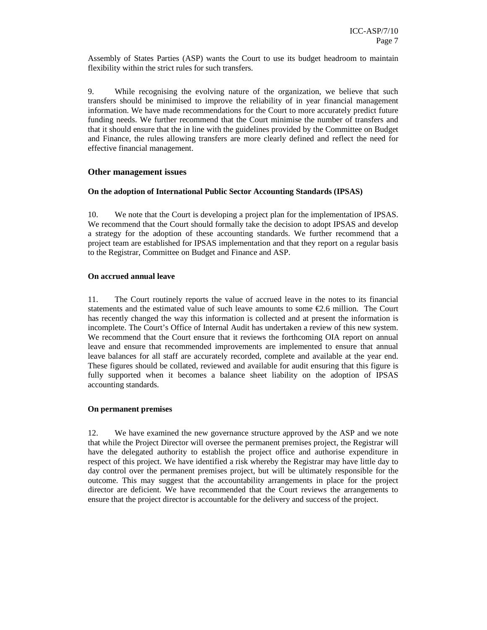Assembly of States Parties (ASP) wants the Court to use its budget headroom to maintain flexibility within the strict rules for such transfers.

9. While recognising the evolving nature of the organization, we believe that such transfers should be minimised to improve the reliability of in year financial management information. We have made recommendations for the Court to more accurately predict future funding needs. We further recommend that the Court minimise the number of transfers and that it should ensure that the in line with the guidelines provided by the Committee on Budget and Finance, the rules allowing transfers are more clearly defined and reflect the need for effective financial management.

#### **Other management issues**

#### **On the adoption of International Public Sector Accounting Standards (IPSAS)**

10. We note that the Court is developing a project plan for the implementation of IPSAS. We recommend that the Court should formally take the decision to adopt IPSAS and develop a strategy for the adoption of these accounting standards. We further recommend that a project team are established for IPSAS implementation and that they report on a regular basis to the Registrar, Committee on Budget and Finance and ASP.

#### **On accrued annual leave**

11. The Court routinely reports the value of accrued leave in the notes to its financial statements and the estimated value of such leave amounts to some €2.6 million. The Court has recently changed the way this information is collected and at present the information is incomplete. The Court's Office of Internal Audit has undertaken a review of this new system. We recommend that the Court ensure that it reviews the forthcoming OIA report on annual leave and ensure that recommended improvements are implemented to ensure that annual leave balances for all staff are accurately recorded, complete and available at the year end. These figures should be collated, reviewed and available for audit ensuring that this figure is fully supported when it becomes a balance sheet liability on the adoption of IPSAS accounting standards.

#### **On permanent premises**

12. We have examined the new governance structure approved by the ASP and we note that while the Project Director will oversee the permanent premises project, the Registrar will have the delegated authority to establish the project office and authorise expenditure in respect of this project. We have identified a risk whereby the Registrar may have little day to day control over the permanent premises project, but will be ultimately responsible for the outcome. This may suggest that the accountability arrangements in place for the project director are deficient. We have recommended that the Court reviews the arrangements to ensure that the project director is accountable for the delivery and success of the project.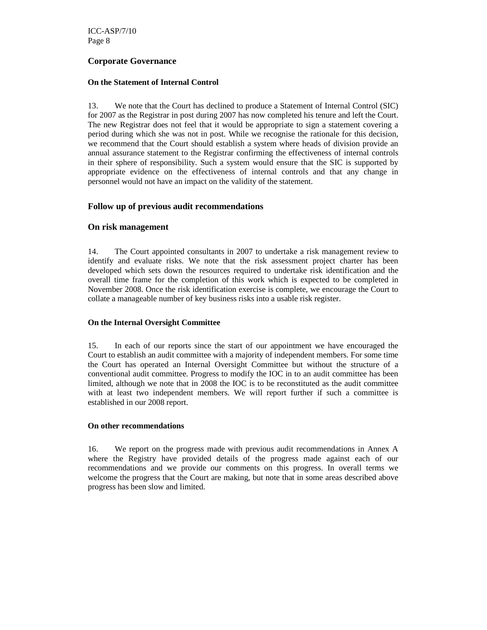ICC-ASP/7/10 Page 8

#### **Corporate Governance**

#### **On the Statement of Internal Control**

13. We note that the Court has declined to produce a Statement of Internal Control (SIC) for 2007 as the Registrar in post during 2007 has now completed his tenure and left the Court. The new Registrar does not feel that it would be appropriate to sign a statement covering a period during which she was not in post. While we recognise the rationale for this decision, we recommend that the Court should establish a system where heads of division provide an annual assurance statement to the Registrar confirming the effectiveness of internal controls in their sphere of responsibility. Such a system would ensure that the SIC is supported by appropriate evidence on the effectiveness of internal controls and that any change in personnel would not have an impact on the validity of the statement.

#### **Follow up of previous audit recommendations**

#### **On risk management**

14. The Court appointed consultants in 2007 to undertake a risk management review to identify and evaluate risks. We note that the risk assessment project charter has been developed which sets down the resources required to undertake risk identification and the overall time frame for the completion of this work which is expected to be completed in November 2008. Once the risk identification exercise is complete, we encourage the Court to collate a manageable number of key business risks into a usable risk register.

#### **On the Internal Oversight Committee**

15. In each of our reports since the start of our appointment we have encouraged the Court to establish an audit committee with a majority of independent members. For some time the Court has operated an Internal Oversight Committee but without the structure of a conventional audit committee. Progress to modify the IOC in to an audit committee has been limited, although we note that in 2008 the IOC is to be reconstituted as the audit committee with at least two independent members. We will report further if such a committee is established in our 2008 report.

#### **On other recommendations**

16. We report on the progress made with previous audit recommendations in Annex A where the Registry have provided details of the progress made against each of our recommendations and we provide our comments on this progress. In overall terms we welcome the progress that the Court are making, but note that in some areas described above progress has been slow and limited.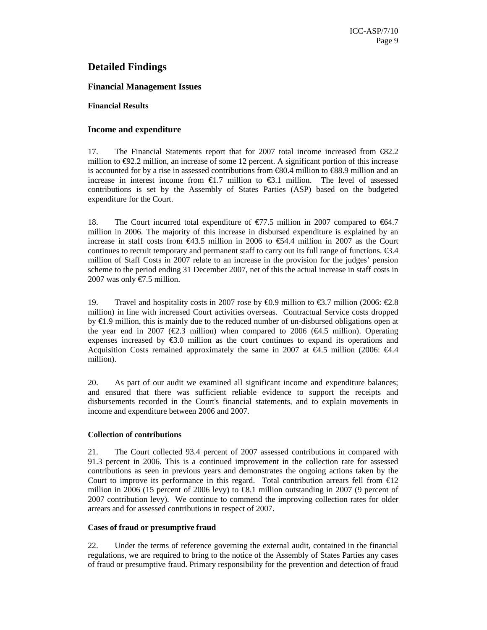#### **Detailed Findings**

#### **Financial Management Issues**

#### **Financial Results**

#### **Income and expenditure**

17. The Financial Statements report that for 2007 total income increased from €82.2 million to  $\epsilon$ 92.2 million, an increase of some 12 percent. A significant portion of this increase is accounted for by a rise in assessed contributions from  $\epsilon$ 80.4 million to  $\epsilon$ 88.9 million and an increase in interest income from  $\epsilon$ 1.7 million to  $\epsilon$ 31 million. The level of assessed contributions is set by the Assembly of States Parties (ASP) based on the budgeted expenditure for the Court.

18. The Court incurred total expenditure of  $\epsilon$ 77.5 million in 2007 compared to  $\epsilon$ 64.7 million in 2006. The majority of this increase in disbursed expenditure is explained by an increase in staff costs from €43.5 million in 2006 to €54.4 million in 2007 as the Court continues to recruit temporary and permanent staff to carry out its full range of functions.  $\epsilon$ 3.4 million of Staff Costs in 2007 relate to an increase in the provision for the judges' pension scheme to the period ending 31 December 2007, net of this the actual increase in staff costs in 2007 was only  $\text{\textsterling}7.5$  million.

19. Travel and hospitality costs in 2007 rose by  $\epsilon$ 0.9 million to  $\epsilon$ 3.7 million (2006:  $\epsilon$ 2.8 million) in line with increased Court activities overseas. Contractual Service costs dropped by  $\text{\textsterling}1.9$  million, this is mainly due to the reduced number of un-disbursed obligations open at the year end in 2007 ( $\epsilon$ 2.3 million) when compared to 2006 ( $\epsilon$ 4.5 million). Operating expenses increased by  $\epsilon$ 3.0 million as the court continues to expand its operations and Acquisition Costs remained approximately the same in 2007 at  $\epsilon$ 4.5 million (2006:  $\epsilon$ 4.4 million).

20. As part of our audit we examined all significant income and expenditure balances; and ensured that there was sufficient reliable evidence to support the receipts and disbursements recorded in the Court's financial statements, and to explain movements in income and expenditure between 2006 and 2007.

#### **Collection of contributions**

21. The Court collected 93.4 percent of 2007 assessed contributions in compared with 91.3 percent in 2006. This is a continued improvement in the collection rate for assessed contributions as seen in previous years and demonstrates the ongoing actions taken by the Court to improve its performance in this regard. Total contribution arrears fell from  $\epsilon 12$ million in 2006 (15 percent of 2006 levy) to €8.1 million outstanding in 2007 (9 percent of 2007 contribution levy). We continue to commend the improving collection rates for older arrears and for assessed contributions in respect of 2007.

#### **Cases of fraud or presumptive fraud**

22. Under the terms of reference governing the external audit, contained in the financial regulations, we are required to bring to the notice of the Assembly of States Parties any cases of fraud or presumptive fraud. Primary responsibility for the prevention and detection of fraud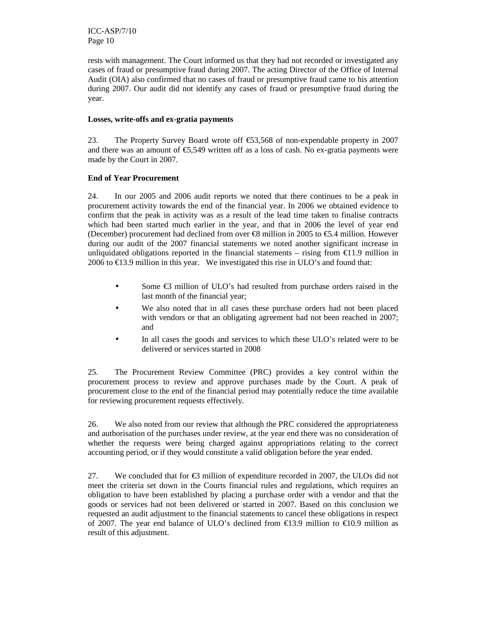ICC-ASP/7/10 Page 10

rests with management. The Court informed us that they had not recorded or investigated any cases of fraud or presumptive fraud during 2007. The acting Director of the Office of Internal Audit (OIA) also confirmed that no cases of fraud or presumptive fraud came to his attention during 2007. Our audit did not identify any cases of fraud or presumptive fraud during the year.

#### **Losses, write-offs and ex-gratia payments**

23. The Property Survey Board wrote off €53,568 of non-expendable property in 2007 and there was an amount of  $\epsilon$ 5,549 written off as aloss of cash. No ex-gratia payments were made by the Court in 2007.

#### **End of Year Procurement**

24. In our 2005 and 2006 audit reports we noted that there continues to be a peak in procurement activity towards the end of the financial year. In 2006 we obtained evidence to confirm that the peak in activity was as a result of the lead time taken to finalise contracts which had been started much earlier in the year, and that in 2006 the level of year end (December) procurement had declined from over  $\epsilon$ 8 million in 2005 to  $\epsilon$ 5.4 million. However during our audit of the 2007 financial statements we noted another significant increase in unliquidated obligations reported in the financial statements – rising from  $\epsilon$ 11.9 million in 2006 to  $E13.9$  million in this year. We investigated this rise in ULO's and found that:

- Some €3 million of ULO's had resulted from purchase orders raised in the last month of the financial year;
- We also noted that in all cases these purchase orders had not been placed with vendors or that an obligating agreement had not been reached in 2007; and
- In all cases the goods and services to which these ULO's related were to be delivered or services started in 2008

25. The Procurement Review Committee (PRC) provides a key control within the procurement process to review and approve purchases made by the Court. A peak of procurement close to the end of the financial period may potentially reduce the time available for reviewing procurement requests effectively.

26. We also noted from our review that although the PRC considered the appropriateness and authorisation of the purchases under review, at the year end there was no consideration of whether the requests were being charged against appropriations relating to the correct accounting period, or if they would constitute a valid obligation before the year ended.

27. We concluded that for  $\epsilon$ 3 million of expenditure recorded in 2007, the ULOs did not meet the criteria set down in the Courts financial rules and regulations, which requires an obligation to have been established by placing a purchase order with a vendor and that the goods or services had not been delivered or started in 2007. Based on this conclusion we requested an audit adjustment to the financial statements to cancel these obligations in respect of 2007. The year end balance of ULO's declined from €13.9 million to €10.9 million as result of this adjustment.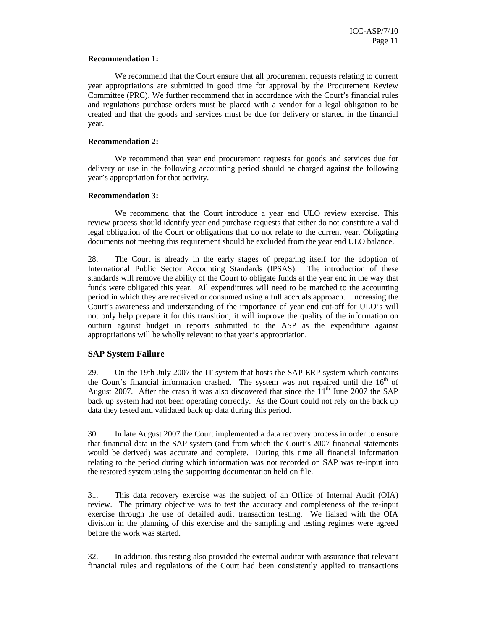#### **Recommendation 1:**

 We recommend that the Court ensure that all procurement requests relating to current year appropriations are submitted in good time for approval by the Procurement Review Committee (PRC). We further recommend that in accordance with the Court's financial rules and regulations purchase orders must be placed with a vendor for a legal obligation to be created and that the goods and services must be due for delivery or started in the financial year.

#### **Recommendation 2:**

 We recommend that year end procurement requests for goods and services due for delivery or use in the following accounting period should be charged against the following year's appropriation for that activity.

#### **Recommendation 3:**

 We recommend that the Court introduce a year end ULO review exercise. This review process should identify year end purchase requests that either do not constitute a valid legal obligation of the Court or obligations that do not relate to the current year. Obligating documents not meeting this requirement should be excluded from the year end ULO balance.

28. The Court is already in the early stages of preparing itself for the adoption of International Public Sector Accounting Standards (IPSAS). The introduction of these standards will remove the ability of the Court to obligate funds at the year end in the way that funds were obligated this year. All expenditures will need to be matched to the accounting period in which they are received or consumed using a full accruals approach. Increasing the Court's awareness and understanding of the importance of year end cut-off for ULO's will not only help prepare it for this transition; it will improve the quality of the information on outturn against budget in reports submitted to the ASP as the expenditure against appropriations will be wholly relevant to that year's appropriation.

#### **SAP System Failure**

29. On the 19th July 2007 the IT system that hosts the SAP ERP system which contains the Court's financial information crashed. The system was not repaired until the  $16<sup>th</sup>$  of August 2007. After the crash it was also discovered that since the  $11<sup>th</sup>$  June 2007 the SAP back up system had not been operating correctly. As the Court could not rely on the back up data they tested and validated back up data during this period.

30. In late August 2007 the Court implemented a data recovery process in order to ensure that financial data in the SAP system (and from which the Court's 2007 financial statements would be derived) was accurate and complete. During this time all financial information relating to the period during which information was not recorded on SAP was re-input into the restored system using the supporting documentation held on file.

31. This data recovery exercise was the subject of an Office of Internal Audit (OIA) review. The primary objective was to test the accuracy and completeness of the re-input exercise through the use of detailed audit transaction testing. We liaised with the OIA division in the planning of this exercise and the sampling and testing regimes were agreed before the work was started.

32. In addition, this testing also provided the external auditor with assurance that relevant financial rules and regulations of the Court had been consistently applied to transactions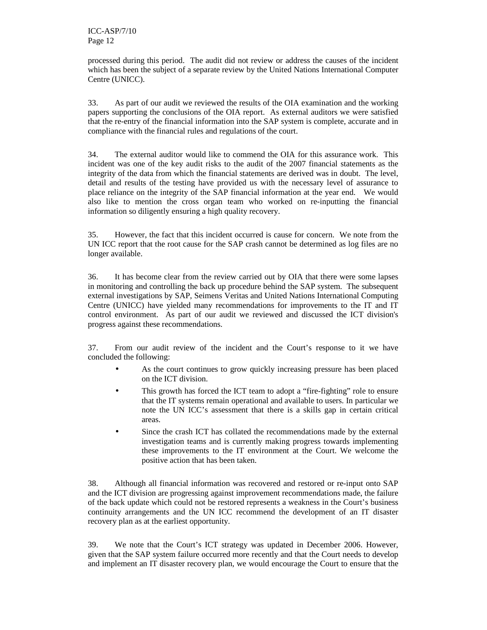processed during this period. The audit did not review or address the causes of the incident which has been the subject of a separate review by the United Nations International Computer Centre (UNICC).

33. As part of our audit we reviewed the results of the OIA examination and the working papers supporting the conclusions of the OIA report. As external auditors we were satisfied that the re-entry of the financial information into the SAP system is complete, accurate and in compliance with the financial rules and regulations of the court.

34. The external auditor would like to commend the OIA for this assurance work. This incident was one of the key audit risks to the audit of the 2007 financial statements as the integrity of the data from which the financial statements are derived was in doubt. The level, detail and results of the testing have provided us with the necessary level of assurance to place reliance on the integrity of the SAP financial information at the year end. We would also like to mention the cross organ team who worked on re-inputting the financial information so diligently ensuring a high quality recovery.

35. However, the fact that this incident occurred is cause for concern. We note from the UN ICC report that the root cause for the SAP crash cannot be determined as log files are no longer available.

36. It has become clear from the review carried out by OIA that there were some lapses in monitoring and controlling the back up procedure behind the SAP system. The subsequent external investigations by SAP, Seimens Veritas and United Nations International Computing Centre (UNICC) have yielded many recommendations for improvements to the IT and IT control environment. As part of our audit we reviewed and discussed the ICT division's progress against these recommendations.

37. From our audit review of the incident and the Court's response to it we have concluded the following:

- As the court continues to grow quickly increasing pressure has been placed on the ICT division.
- This growth has forced the ICT team to adopt a "fire-fighting" role to ensure that the IT systems remain operational and available to users. In particular we note the UN ICC's assessment that there is a skills gap in certain critical areas.
- Since the crash ICT has collated the recommendations made by the external investigation teams and is currently making progress towards implementing these improvements to the IT environment at the Court. We welcome the positive action that has been taken.

38. Although all financial information was recovered and restored or re-input onto SAP and the ICT division are progressing against improvement recommendations made, the failure of the back update which could not be restored represents a weakness in the Court's business continuity arrangements and the UN ICC recommend the development of an IT disaster recovery plan as at the earliest opportunity.

39. We note that the Court's ICT strategy was updated in December 2006. However, given that the SAP system failure occurred more recently and that the Court needs to develop and implement an IT disaster recovery plan, we would encourage the Court to ensure that the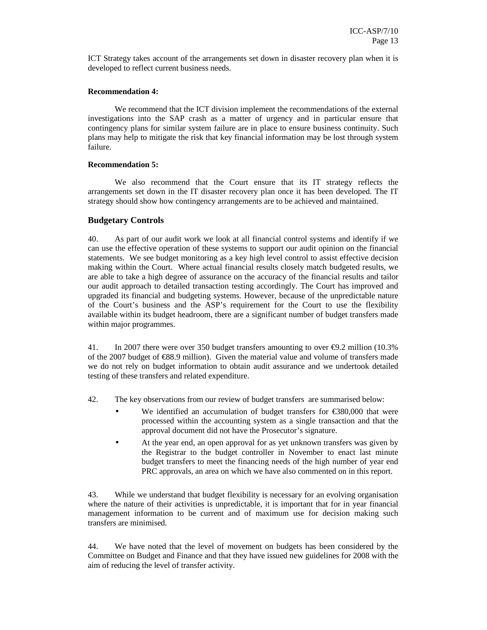ICT Strategy takes account of the arrangements set down in disaster recovery plan when it is developed to reflect current business needs.

#### **Recommendation 4:**

We recommend that the ICT division implement the recommendations of the external investigations into the SAP crash as a matter of urgency and in particular ensure that contingency plans for similar system failure are in place to ensure business continuity. Such plans may help to mitigate the risk that key financial information may be lost through system failure.

#### **Recommendation 5:**

 We also recommend that the Court ensure that its IT strategy reflects the arrangements set down in the IT disaster recovery plan once it has been developed. The IT strategy should show how contingency arrangements are to be achieved and maintained.

#### **Budgetary Controls**

40. As part of our audit work we look at all financial control systems and identify if we can use the effective operation of these systems to support our audit opinion on the financial statements. We see budget monitoring as a key high level control to assist effective decision making within the Court. Where actual financial results closely match budgeted results, we are able to take a high degree of assurance on the accuracy of the financial results and tailor our audit approach to detailed transaction testing accordingly. The Court has improved and upgraded its financial and budgeting systems. However, because of the unpredictable nature of the Court's business and the ASP's requirement for the Court to use the flexibility available within its budget headroom, there are a significant number of budget transfers made within major programmes.

41. In 2007 there were over 350 budget transfers amounting to over €9.2 million (10.3% of the 2007 budget of  $\epsilon$ 88.9 million). Given the material value and volume of transfers made we do not rely on budget information to obtain audit assurance and we undertook detailed testing of these transfers and related expenditure.

42. The key observations from our review of budget transfers are summarised below:

- We identified an accumulation of budget transfers for  $\epsilon$ 380,000 that were processed within the accounting system as a single transaction and that the approval document did not have the Prosecutor's signature.
- At the year end, an open approval for as yet unknown transfers was given by the Registrar to the budget controller in November to enact last minute budget transfers to meet the financing needs of the high number of year end PRC approvals, an area on which we have also commented on in this report.

43. While we understand that budget flexibility is necessary for an evolving organisation where the nature of their activities is unpredictable, it is important that for in year financial management information to be current and of maximum use for decision making such transfers are minimised.

44. We have noted that the level of movement on budgets has been considered by the Committee on Budget and Finance and that they have issued new guidelines for 2008 with the aim of reducing the level of transfer activity.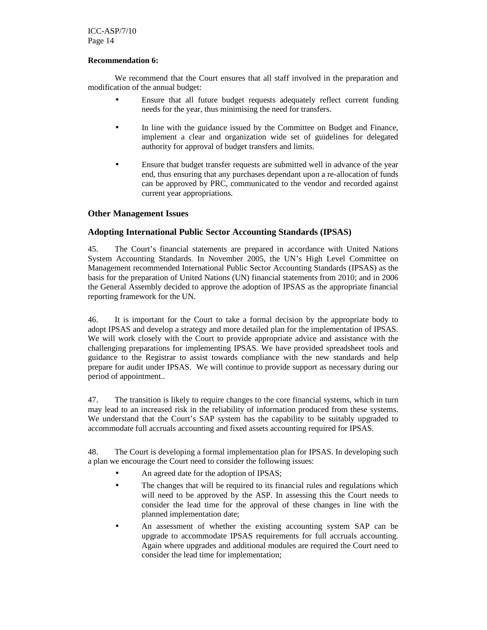ICC-ASP/7/10 Page 14

#### **Recommendation 6:**

 We recommend that the Court ensures that all staff involved in the preparation and modification of the annual budget:

- Ensure that all future budget requests adequately reflect current funding needs for the year, thus minimising the need for transfers.
- In line with the guidance issued by the Committee on Budget and Finance, implement a clear and organization wide set of guidelines for delegated authority for approval of budget transfers and limits.
- Ensure that budget transfer requests are submitted well in advance of the year end, thus ensuring that any purchases dependant upon a re-allocation of funds can be approved by PRC, communicated to the vendor and recorded against current year appropriations.

#### **Other Management Issues**

#### **Adopting International Public Sector Accounting Standards (IPSAS)**

45. The Court's financial statements are prepared in accordance with United Nations System Accounting Standards. In November 2005, the UN's High Level Committee on Management recommended International Public Sector Accounting Standards (IPSAS) as the basis for the preparation of United Nations (UN) financial statements from 2010; and in 2006 the General Assembly decided to approve the adoption of IPSAS as the appropriate financial reporting framework for the UN.

46. It is important for the Court to take a formal decision by the appropriate body to adopt IPSAS and develop a strategy and more detailed plan for the implementation of IPSAS. We will work closely with the Court to provide appropriate advice and assistance with the challenging preparations for implementing IPSAS. We have provided spreadsheet tools and guidance to the Registrar to assist towards compliance with the new standards and help prepare for audit under IPSAS. We will continue to provide support as necessary during our period of appointment..

47. The transition is likely to require changes to the core financial systems, which in turn may lead to an increased risk in the reliability of information produced from these systems. We understand that the Court's SAP system has the capability to be suitably upgraded to accommodate full accruals accounting and fixed assets accounting required for IPSAS.

48. The Court is developing a formal implementation plan for IPSAS. In developing such a plan we encourage the Court need to consider the following issues:

- An agreed date for the adoption of IPSAS;
- The changes that will be required to its financial rules and regulations which will need to be approved by the ASP. In assessing this the Court needs to consider the lead time for the approval of these changes in line with the planned implementation date;
- An assessment of whether the existing accounting system SAP can be upgrade to accommodate IPSAS requirements for full accruals accounting. Again where upgrades and additional modules are required the Court need to consider the lead time for implementation;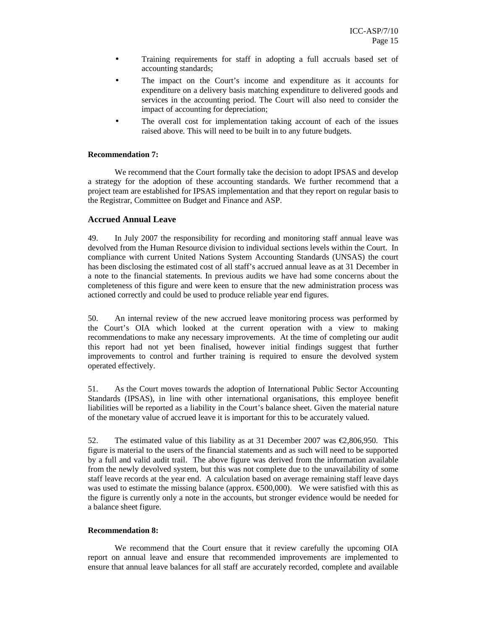- Training requirements for staff in adopting a full accruals based set of accounting standards;
- The impact on the Court's income and expenditure as it accounts for expenditure on a delivery basis matching expenditure to delivered goods and services in the accounting period. The Court will also need to consider the impact of accounting for depreciation;
- The overall cost for implementation taking account of each of the issues raised above. This will need to be built in to any future budgets.

#### **Recommendation 7:**

 We recommend that the Court formally take the decision to adopt IPSAS and develop a strategy for the adoption of these accounting standards. We further recommend that a project team are established for IPSAS implementation and that they report on regular basis to the Registrar, Committee on Budget and Finance and ASP.

#### **Accrued Annual Leave**

49. In July 2007 the responsibility for recording and monitoring staff annual leave was devolved from the Human Resource division to individual sections levels within the Court. In compliance with current United Nations System Accounting Standards (UNSAS) the court has been disclosing the estimated cost of all staff's accrued annual leave as at 31 December in a note to the financial statements. In previous audits we have had some concerns about the completeness of this figure and were keen to ensure that the new administration process was actioned correctly and could be used to produce reliable year end figures.

50. An internal review of the new accrued leave monitoring process was performed by the Court's OIA which looked at the current operation with a view to making recommendations to make any necessary improvements. At the time of completing our audit this report had not yet been finalised, however initial findings suggest that further improvements to control and further training is required to ensure the devolved system operated effectively.

51. As the Court moves towards the adoption of International Public Sector Accounting Standards (IPSAS), in line with other international organisations, this employee benefit liabilities will be reported as a liability in the Court's balance sheet. Given the material nature of the monetary value of accrued leave it is important for this to be accurately valued.

52. The estimated value of this liability as at 31 December 2007 was €2,806,950. This figure is material to the users of the financial statements and as such will need to be supported by a full and valid audit trail. The above figure was derived from the information available from the newly devolved system, but this was not complete due to the unavailability of some staff leave records at the year end. A calculation based on average remaining staff leave days was used to estimate the missing balance (approx.  $\epsilon$ 500,000). We were satisfied with this as the figure is currently only a note in the accounts, but stronger evidence would be needed for a balance sheet figure.

#### **Recommendation 8:**

We recommend that the Court ensure that it review carefully the upcoming OIA report on annual leave and ensure that recommended improvements are implemented to ensure that annual leave balances for all staff are accurately recorded, complete and available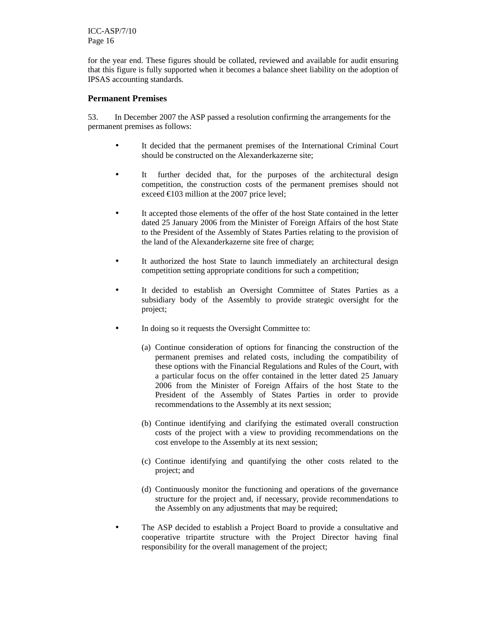ICC-ASP/7/10 Page 16

for the year end. These figures should be collated, reviewed and available for audit ensuring that this figure is fully supported when it becomes a balance sheet liability on the adoption of IPSAS accounting standards.

#### **Permanent Premises**

53. In December 2007 the ASP passed a resolution confirming the arrangements for the permanent premises as follows:

- It decided that the permanent premises of the International Criminal Court should be constructed on the Alexanderkazerne site;
- It further decided that, for the purposes of the architectural design competition, the construction costs of the permanent premises should not exceed  $\epsilon$ 103 million at the 2007 price level;
- It accepted those elements of the offer of the host State contained in the letter dated 25 January 2006 from the Minister of Foreign Affairs of the host State to the President of the Assembly of States Parties relating to the provision of the land of the Alexanderkazerne site free of charge;
- It authorized the host State to launch immediately an architectural design competition setting appropriate conditions for such a competition;
- It decided to establish an Oversight Committee of States Parties as a subsidiary body of the Assembly to provide strategic oversight for the project;
- In doing so it requests the Oversight Committee to:
	- (a) Continue consideration of options for financing the construction of the permanent premises and related costs, including the compatibility of these options with the Financial Regulations and Rules of the Court, with a particular focus on the offer contained in the letter dated 25 January 2006 from the Minister of Foreign Affairs of the host State to the President of the Assembly of States Parties in order to provide recommendations to the Assembly at its next session;
	- (b) Continue identifying and clarifying the estimated overall construction costs of the project with a view to providing recommendations on the cost envelope to the Assembly at its next session;
	- (c) Continue identifying and quantifying the other costs related to the project; and
	- (d) Continuously monitor the functioning and operations of the governance structure for the project and, if necessary, provide recommendations to the Assembly on any adjustments that may be required;
- The ASP decided to establish a Project Board to provide a consultative and cooperative tripartite structure with the Project Director having final responsibility for the overall management of the project;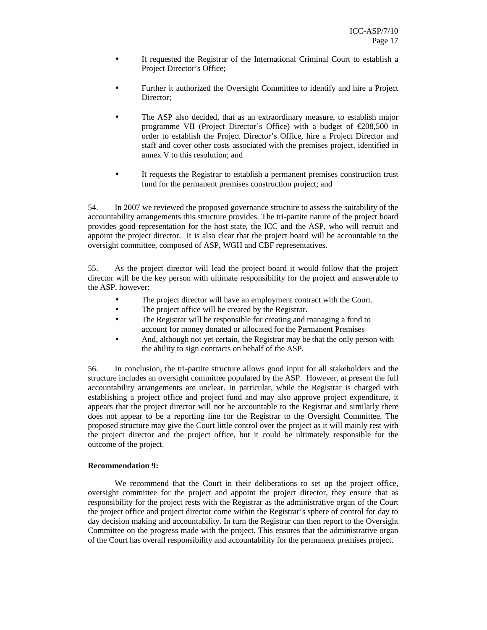- It requested the Registrar of the International Criminal Court to establish a Project Director's Office;
- Further it authorized the Oversight Committee to identify and hire a Project Director;
- The ASP also decided, that as an extraordinary measure, to establish major programme VII (Project Director's Office) with a budget of  $\epsilon$ 208,500 in order to establish the Project Director's Office, hire a Project Director and staff and cover other costs associated with the premises project, identified in annex V to this resolution; and
- It requests the Registrar to establish a permanent premises construction trust fund for the permanent premises construction project; and

54. In 2007 we reviewed the proposed governance structure to assess the suitability of the accountability arrangements this structure provides. The tri-partite nature of the project board provides good representation for the host state, the ICC and the ASP, who will recruit and appoint the project director. It is also clear that the project board will be accountable to the oversight committee, composed of ASP, WGH and CBF representatives.

55. As the project director will lead the project board it would follow that the project director will be the key person with ultimate responsibility for the project and answerable to the ASP, however:

- The project director will have an employment contract with the Court.
- The project office will be created by the Registrar.
- The Registrar will be responsible for creating and managing a fund to account for money donated or allocated for the Permanent Premises
- And, although not yet certain, the Registrar may be that the only person with the ability to sign contracts on behalf of the ASP.

56. In conclusion, the tri-partite structure allows good input for all stakeholders and the structure includes an oversight committee populated by the ASP. However, at present the full accountability arrangements are unclear. In particular, while the Registrar is charged with establishing a project office and project fund and may also approve project expenditure, it appears that the project director will not be accountable to the Registrar and similarly there does not appear to be a reporting line for the Registrar to the Oversight Committee. The proposed structure may give the Court little control over the project as it will mainly rest with the project director and the project office, but it could be ultimately responsible for the outcome of the project.

#### **Recommendation 9:**

 We recommend that the Court in their deliberations to set up the project office, oversight committee for the project and appoint the project director, they ensure that as responsibility for the project rests with the Registrar as the administrative organ of the Court the project office and project director come within the Registrar's sphere of control for day to day decision making and accountability. In turn the Registrar can then report to the Oversight Committee on the progress made with the project. This ensures that the administrative organ of the Court has overall responsibility and accountability for the permanent premises project.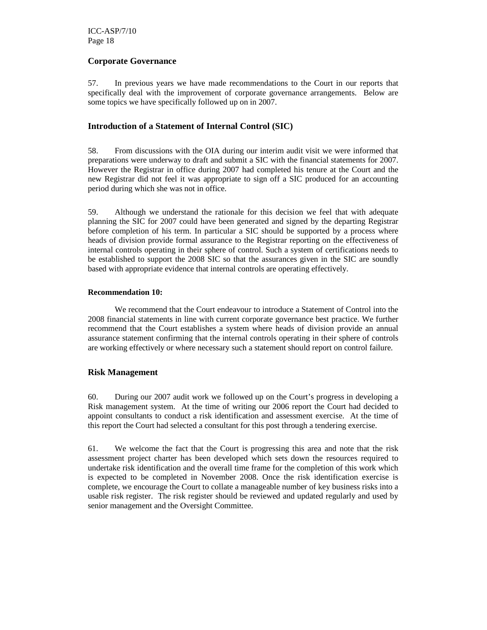#### **Corporate Governance**

57. In previous years we have made recommendations to the Court in our reports that specifically deal with the improvement of corporate governance arrangements. Below are some topics we have specifically followed up on in 2007.

#### **Introduction of a Statement of Internal Control (SIC)**

58. From discussions with the OIA during our interim audit visit we were informed that preparations were underway to draft and submit a SIC with the financial statements for 2007. However the Registrar in office during 2007 had completed his tenure at the Court and the new Registrar did not feel it was appropriate to sign off a SIC produced for an accounting period during which she was not in office.

59. Although we understand the rationale for this decision we feel that with adequate planning the SIC for 2007 could have been generated and signed by the departing Registrar before completion of his term. In particular a SIC should be supported by a process where heads of division provide formal assurance to the Registrar reporting on the effectiveness of internal controls operating in their sphere of control. Such a system of certifications needs to be established to support the 2008 SIC so that the assurances given in the SIC are soundly based with appropriate evidence that internal controls are operating effectively.

#### **Recommendation 10:**

 We recommend that the Court endeavour to introduce a Statement of Control into the 2008 financial statements in line with current corporate governance best practice. We further recommend that the Court establishes a system where heads of division provide an annual assurance statement confirming that the internal controls operating in their sphere of controls are working effectively or where necessary such a statement should report on control failure.

#### **Risk Management**

60. During our 2007 audit work we followed up on the Court's progress in developing a Risk management system. At the time of writing our 2006 report the Court had decided to appoint consultants to conduct a risk identification and assessment exercise. At the time of this report the Court had selected a consultant for this post through a tendering exercise.

61. We welcome the fact that the Court is progressing this area and note that the risk assessment project charter has been developed which sets down the resources required to undertake risk identification and the overall time frame for the completion of this work which is expected to be completed in November 2008. Once the risk identification exercise is complete, we encourage the Court to collate a manageable number of key business risks into a usable risk register. The risk register should be reviewed and updated regularly and used by senior management and the Oversight Committee.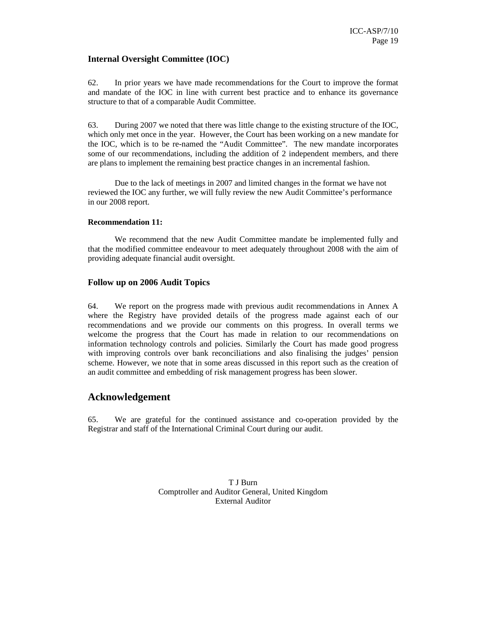#### **Internal Oversight Committee (IOC)**

62. In prior years we have made recommendations for the Court to improve the format and mandate of the IOC in line with current best practice and to enhance its governance structure to that of a comparable Audit Committee.

63. During 2007 we noted that there was little change to the existing structure of the IOC, which only met once in the year. However, the Court has been working on a new mandate for the IOC, which is to be re-named the "Audit Committee". The new mandate incorporates some of our recommendations, including the addition of 2 independent members, and there are plans to implement the remaining best practice changes in an incremental fashion.

Due to the lack of meetings in 2007 and limited changes in the format we have not reviewed the IOC any further, we will fully review the new Audit Committee's performance in our 2008 report.

#### **Recommendation 11:**

 We recommend that the new Audit Committee mandate be implemented fully and that the modified committee endeavour to meet adequately throughout 2008 with the aim of providing adequate financial audit oversight.

#### **Follow up on 2006 Audit Topics**

64. We report on the progress made with previous audit recommendations in Annex A where the Registry have provided details of the progress made against each of our recommendations and we provide our comments on this progress. In overall terms we welcome the progress that the Court has made in relation to our recommendations on information technology controls and policies. Similarly the Court has made good progress with improving controls over bank reconciliations and also finalising the judges' pension scheme. However, we note that in some areas discussed in this report such as the creation of an audit committee and embedding of risk management progress has been slower.

#### **Acknowledgement**

65. We are grateful for the continued assistance and co-operation provided by the Registrar and staff of the International Criminal Court during our audit.

> T J Burn Comptroller and Auditor General, United Kingdom External Auditor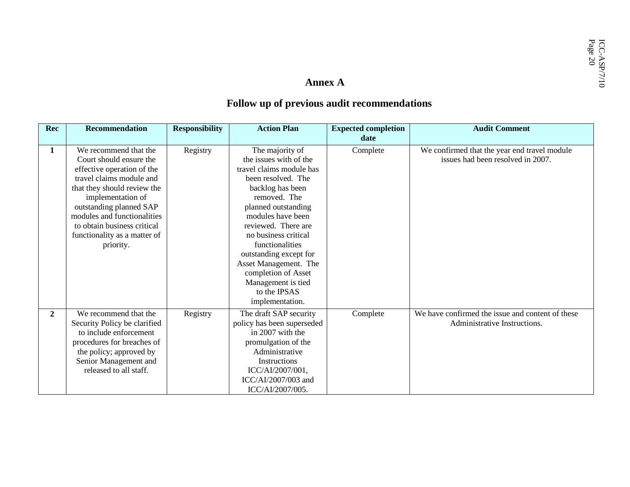#### **Follow up of previous audit recommendations**

| Rec            | <b>Recommendation</b>                                                                                                                                                                                                                                                                                | <b>Responsibility</b> | <b>Action Plan</b>                                                                                                                                                                                                                                                                                                                                                               | <b>Expected completion</b> | <b>Audit Comment</b>                                                              |
|----------------|------------------------------------------------------------------------------------------------------------------------------------------------------------------------------------------------------------------------------------------------------------------------------------------------------|-----------------------|----------------------------------------------------------------------------------------------------------------------------------------------------------------------------------------------------------------------------------------------------------------------------------------------------------------------------------------------------------------------------------|----------------------------|-----------------------------------------------------------------------------------|
|                |                                                                                                                                                                                                                                                                                                      |                       |                                                                                                                                                                                                                                                                                                                                                                                  | date                       |                                                                                   |
| 1              | We recommend that the<br>Court should ensure the<br>effective operation of the<br>travel claims module and<br>that they should review the<br>implementation of<br>outstanding planned SAP<br>modules and functionalities<br>to obtain business critical<br>functionality as a matter of<br>priority. | Registry              | The majority of<br>the issues with of the<br>travel claims module has<br>been resolved. The<br>backlog has been<br>removed. The<br>planned outstanding<br>modules have been<br>reviewed. There are<br>no business critical<br>functionalities<br>outstanding except for<br>Asset Management. The<br>completion of Asset<br>Management is tied<br>to the IPSAS<br>implementation. | Complete                   | We confirmed that the year end travel module<br>issues had been resolved in 2007. |
| $\overline{2}$ | We recommend that the<br>Security Policy be clarified<br>to include enforcement<br>procedures for breaches of<br>the policy; approved by<br>Senior Management and<br>released to all staff.                                                                                                          | Registry              | The draft SAP security<br>policy has been superseded<br>in 2007 with the<br>promulgation of the<br>Administrative<br>Instructions<br>ICC/AI/2007/001,<br>ICC/AI/2007/003 and<br>ICC/AI/2007/005.                                                                                                                                                                                 | Complete                   | We have confirmed the issue and content of these<br>Administrative Instructions.  |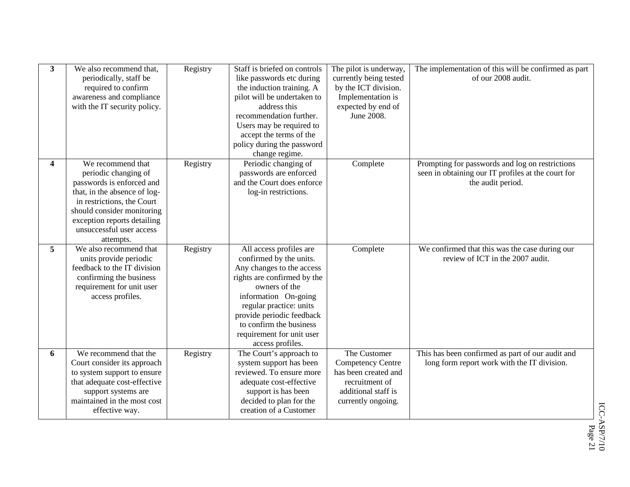| 3                | We also recommend that,<br>periodically, staff be<br>required to confirm<br>awareness and compliance<br>with the IT security policy.                                                                                                       | Registry | Staff is briefed on controls<br>like passwords etc during<br>the induction training. A<br>pilot will be undertaken to<br>address this<br>recommendation further.<br>Users may be required to<br>accept the terms of the<br>policy during the password<br>change regime.                     | The pilot is underway,<br>currently being tested<br>by the ICT division.<br>Implementation is<br>expected by end of<br>June 2008. | The implementation of this will be confirmed as part<br>of our 2008 audit.                                                 |
|------------------|--------------------------------------------------------------------------------------------------------------------------------------------------------------------------------------------------------------------------------------------|----------|---------------------------------------------------------------------------------------------------------------------------------------------------------------------------------------------------------------------------------------------------------------------------------------------|-----------------------------------------------------------------------------------------------------------------------------------|----------------------------------------------------------------------------------------------------------------------------|
| $\boldsymbol{4}$ | We recommend that<br>periodic changing of<br>passwords is enforced and<br>that, in the absence of log-<br>in restrictions, the Court<br>should consider monitoring<br>exception reports detailing<br>unsuccessful user access<br>attempts. | Registry | Periodic changing of<br>passwords are enforced<br>and the Court does enforce<br>log-in restrictions.                                                                                                                                                                                        | Complete                                                                                                                          | Prompting for passwords and log on restrictions<br>seen in obtaining our IT profiles at the court for<br>the audit period. |
| 5                | We also recommend that<br>units provide periodic<br>feedback to the IT division<br>confirming the business<br>requirement for unit user<br>access profiles.                                                                                | Registry | All access profiles are<br>confirmed by the units.<br>Any changes to the access<br>rights are confirmed by the<br>owners of the<br>information On-going<br>regular practice: units<br>provide periodic feedback<br>to confirm the business<br>requirement for unit user<br>access profiles. | Complete                                                                                                                          | We confirmed that this was the case during our<br>review of ICT in the 2007 audit.                                         |
| 6                | We recommend that the<br>Court consider its approach<br>to system support to ensure<br>that adequate cost-effective<br>support systems are<br>maintained in the most cost<br>effective way.                                                | Registry | The Court's approach to<br>system support has been<br>reviewed. To ensure more<br>adequate cost-effective<br>support is has been<br>decided to plan for the<br>creation of a Customer                                                                                                       | The Customer<br><b>Competency Centre</b><br>has been created and<br>recruitment of<br>additional staff is<br>currently ongoing.   | This has been confirmed as part of our audit and<br>long form report work with the IT division.                            |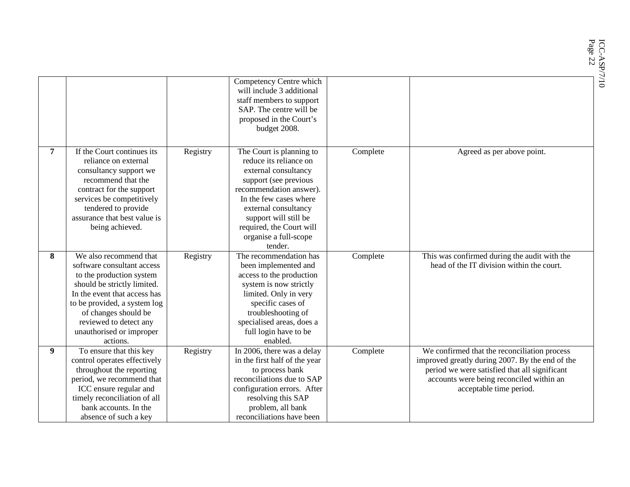|   |                                                                                                                                                                                                                                                                           |          |                                                                                                                                                                                                                                                                           |          | ICC-ASP/7/10<br>Page 22                                                                                                                                                                                                 |
|---|---------------------------------------------------------------------------------------------------------------------------------------------------------------------------------------------------------------------------------------------------------------------------|----------|---------------------------------------------------------------------------------------------------------------------------------------------------------------------------------------------------------------------------------------------------------------------------|----------|-------------------------------------------------------------------------------------------------------------------------------------------------------------------------------------------------------------------------|
|   |                                                                                                                                                                                                                                                                           |          | Competency Centre which<br>will include 3 additional<br>staff members to support<br>SAP. The centre will be<br>proposed in the Court's                                                                                                                                    |          |                                                                                                                                                                                                                         |
|   |                                                                                                                                                                                                                                                                           |          | budget 2008.                                                                                                                                                                                                                                                              |          |                                                                                                                                                                                                                         |
|   | If the Court continues its<br>reliance on external<br>consultancy support we<br>recommend that the<br>contract for the support<br>services be competitively<br>tendered to provide<br>assurance that best value is<br>being achieved.                                     | Registry | The Court is planning to<br>reduce its reliance on<br>external consultancy<br>support (see previous<br>recommendation answer).<br>In the few cases where<br>external consultancy<br>support will still be<br>required, the Court will<br>organise a full-scope<br>tender. | Complete | Agreed as per above point.                                                                                                                                                                                              |
| 8 | We also recommend that<br>software consultant access<br>to the production system<br>should be strictly limited.<br>In the event that access has<br>to be provided, a system log<br>of changes should be<br>reviewed to detect any<br>unauthorised or improper<br>actions. | Registry | The recommendation has<br>been implemented and<br>access to the production<br>system is now strictly<br>limited. Only in very<br>specific cases of<br>troubleshooting of<br>specialised areas, does a<br>full login have to be<br>enabled.                                | Complete | This was confirmed during the audit with the<br>head of the IT division within the court.                                                                                                                               |
| 9 | To ensure that this key<br>control operates effectively<br>throughout the reporting<br>period, we recommend that<br>ICC ensure regular and<br>timely reconciliation of all<br>bank accounts. In the<br>absence of such a key                                              | Registry | $\overline{\ln 2006}$ , there was a delay<br>in the first half of the year<br>to process bank<br>reconciliations due to SAP<br>configuration errors. After<br>resolving this SAP<br>problem, all bank<br>reconciliations have been                                        | Complete | We confirmed that the reconciliation process<br>improved greatly during 2007. By the end of the<br>period we were satisfied that all significant<br>accounts were being reconciled within an<br>acceptable time period. |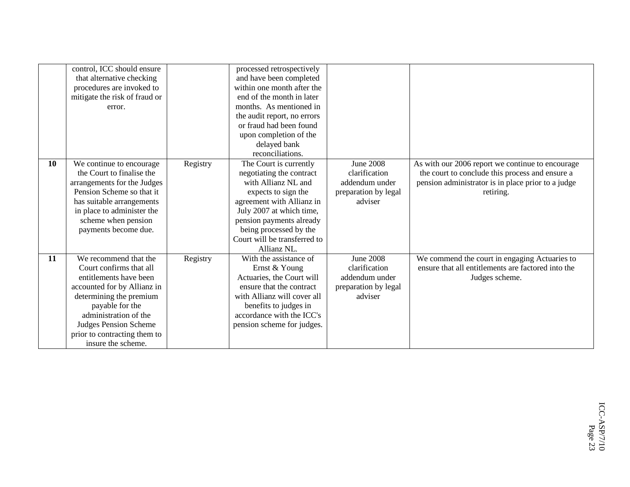|           | control, ICC should ensure    |          | processed retrospectively    |                      |                                                    |
|-----------|-------------------------------|----------|------------------------------|----------------------|----------------------------------------------------|
|           | that alternative checking     |          | and have been completed      |                      |                                                    |
|           | procedures are invoked to     |          | within one month after the   |                      |                                                    |
|           | mitigate the risk of fraud or |          | end of the month in later    |                      |                                                    |
|           | error.                        |          | months. As mentioned in      |                      |                                                    |
|           |                               |          | the audit report, no errors  |                      |                                                    |
|           |                               |          | or fraud had been found      |                      |                                                    |
|           |                               |          | upon completion of the       |                      |                                                    |
|           |                               |          | delayed bank                 |                      |                                                    |
|           |                               |          | reconciliations.             |                      |                                                    |
| <b>10</b> | We continue to encourage      | Registry | The Court is currently       | <b>June 2008</b>     | As with our 2006 report we continue to encourage   |
|           | the Court to finalise the     |          | negotiating the contract     | clarification        | the court to conclude this process and ensure a    |
|           | arrangements for the Judges   |          | with Allianz NL and          | addendum under       | pension administrator is in place prior to a judge |
|           | Pension Scheme so that it     |          | expects to sign the          | preparation by legal | retiring.                                          |
|           | has suitable arrangements     |          | agreement with Allianz in    | adviser              |                                                    |
|           | in place to administer the    |          | July 2007 at which time,     |                      |                                                    |
|           | scheme when pension           |          | pension payments already     |                      |                                                    |
|           | payments become due.          |          | being processed by the       |                      |                                                    |
|           |                               |          | Court will be transferred to |                      |                                                    |
|           |                               |          | Allianz NL.                  |                      |                                                    |
| 11        | We recommend that the         | Registry | With the assistance of       | <b>June 2008</b>     | We commend the court in engaging Actuaries to      |
|           | Court confirms that all       |          | Ernst & Young                | clarification        | ensure that all entitlements are factored into the |
|           | entitlements have been        |          | Actuaries, the Court will    | addendum under       | Judges scheme.                                     |
|           | accounted for by Allianz in   |          | ensure that the contract     | preparation by legal |                                                    |
|           | determining the premium       |          | with Allianz will cover all  | adviser              |                                                    |
|           | payable for the               |          | benefits to judges in        |                      |                                                    |
|           | administration of the         |          | accordance with the ICC's    |                      |                                                    |
|           | <b>Judges Pension Scheme</b>  |          | pension scheme for judges.   |                      |                                                    |
|           | prior to contracting them to  |          |                              |                      |                                                    |
|           | insure the scheme.            |          |                              |                      |                                                    |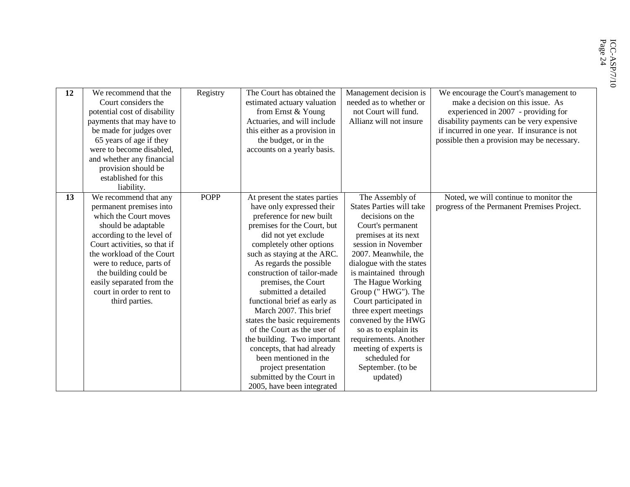| 12 | We recommend that the<br>Court considers the<br>potential cost of disability<br>payments that may have to<br>be made for judges over<br>65 years of age if they<br>were to become disabled.<br>and whether any financial<br>provision should be | Registry    | The Court has obtained the<br>estimated actuary valuation<br>from Ernst & Young<br>Actuaries, and will include<br>this either as a provision in<br>the budget, or in the<br>accounts on a yearly basis. | Management decision is<br>needed as to whether or<br>not Court will fund.<br>Allianz will not insure | We encourage the Court's management to<br>make a decision on this issue. As<br>experienced in 2007 - providing for<br>disability payments can be very expensive<br>if incurred in one year. If insurance is not<br>possible then a provision may be necessary. |
|----|-------------------------------------------------------------------------------------------------------------------------------------------------------------------------------------------------------------------------------------------------|-------------|---------------------------------------------------------------------------------------------------------------------------------------------------------------------------------------------------------|------------------------------------------------------------------------------------------------------|----------------------------------------------------------------------------------------------------------------------------------------------------------------------------------------------------------------------------------------------------------------|
|    | established for this                                                                                                                                                                                                                            |             |                                                                                                                                                                                                         |                                                                                                      |                                                                                                                                                                                                                                                                |
|    | liability.                                                                                                                                                                                                                                      | <b>POPP</b> |                                                                                                                                                                                                         |                                                                                                      | Noted, we will continue to monitor the                                                                                                                                                                                                                         |
| 13 | We recommend that any                                                                                                                                                                                                                           |             | At present the states parties<br>have only expressed their                                                                                                                                              | The Assembly of<br><b>States Parties will take</b>                                                   | progress of the Permanent Premises Project.                                                                                                                                                                                                                    |
|    | permanent premises into<br>which the Court moves                                                                                                                                                                                                |             | preference for new built                                                                                                                                                                                | decisions on the                                                                                     |                                                                                                                                                                                                                                                                |
|    | should be adaptable                                                                                                                                                                                                                             |             | premises for the Court, but                                                                                                                                                                             | Court's permanent                                                                                    |                                                                                                                                                                                                                                                                |
|    | according to the level of                                                                                                                                                                                                                       |             | did not yet exclude                                                                                                                                                                                     | premises at its next                                                                                 |                                                                                                                                                                                                                                                                |
|    | Court activities, so that if                                                                                                                                                                                                                    |             | completely other options                                                                                                                                                                                | session in November                                                                                  |                                                                                                                                                                                                                                                                |
|    | the workload of the Court                                                                                                                                                                                                                       |             | such as staying at the ARC.                                                                                                                                                                             | 2007. Meanwhile, the                                                                                 |                                                                                                                                                                                                                                                                |
|    | were to reduce, parts of                                                                                                                                                                                                                        |             | As regards the possible                                                                                                                                                                                 | dialogue with the states                                                                             |                                                                                                                                                                                                                                                                |
|    | the building could be                                                                                                                                                                                                                           |             | construction of tailor-made                                                                                                                                                                             | is maintained through                                                                                |                                                                                                                                                                                                                                                                |
|    | easily separated from the                                                                                                                                                                                                                       |             | premises, the Court                                                                                                                                                                                     | The Hague Working                                                                                    |                                                                                                                                                                                                                                                                |
|    | court in order to rent to                                                                                                                                                                                                                       |             | submitted a detailed                                                                                                                                                                                    | Group ("HWG"). The                                                                                   |                                                                                                                                                                                                                                                                |
|    | third parties.                                                                                                                                                                                                                                  |             | functional brief as early as                                                                                                                                                                            | Court participated in                                                                                |                                                                                                                                                                                                                                                                |
|    |                                                                                                                                                                                                                                                 |             | March 2007. This brief                                                                                                                                                                                  | three expert meetings                                                                                |                                                                                                                                                                                                                                                                |
|    |                                                                                                                                                                                                                                                 |             | states the basic requirements                                                                                                                                                                           | convened by the HWG                                                                                  |                                                                                                                                                                                                                                                                |
|    |                                                                                                                                                                                                                                                 |             | of the Court as the user of                                                                                                                                                                             | so as to explain its                                                                                 |                                                                                                                                                                                                                                                                |
|    |                                                                                                                                                                                                                                                 |             | the building. Two important                                                                                                                                                                             | requirements. Another                                                                                |                                                                                                                                                                                                                                                                |
|    |                                                                                                                                                                                                                                                 |             | concepts, that had already                                                                                                                                                                              | meeting of experts is                                                                                |                                                                                                                                                                                                                                                                |
|    |                                                                                                                                                                                                                                                 |             | been mentioned in the                                                                                                                                                                                   | scheduled for                                                                                        |                                                                                                                                                                                                                                                                |
|    |                                                                                                                                                                                                                                                 |             | project presentation                                                                                                                                                                                    | September. (to be                                                                                    |                                                                                                                                                                                                                                                                |
|    |                                                                                                                                                                                                                                                 |             | submitted by the Court in                                                                                                                                                                               | updated)                                                                                             |                                                                                                                                                                                                                                                                |
|    |                                                                                                                                                                                                                                                 |             | 2005, have been integrated                                                                                                                                                                              |                                                                                                      |                                                                                                                                                                                                                                                                |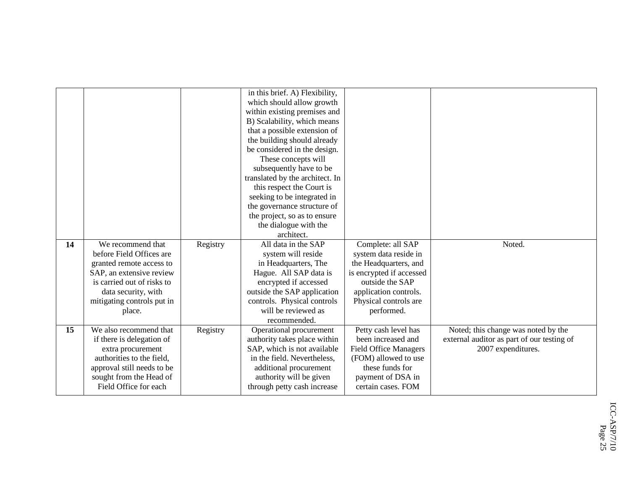|    |                            |          | in this brief. A) Flexibility,  |                              |                                            |
|----|----------------------------|----------|---------------------------------|------------------------------|--------------------------------------------|
|    |                            |          | which should allow growth       |                              |                                            |
|    |                            |          | within existing premises and    |                              |                                            |
|    |                            |          | B) Scalability, which means     |                              |                                            |
|    |                            |          | that a possible extension of    |                              |                                            |
|    |                            |          | the building should already     |                              |                                            |
|    |                            |          | be considered in the design.    |                              |                                            |
|    |                            |          | These concepts will             |                              |                                            |
|    |                            |          | subsequently have to be         |                              |                                            |
|    |                            |          | translated by the architect. In |                              |                                            |
|    |                            |          | this respect the Court is       |                              |                                            |
|    |                            |          | seeking to be integrated in     |                              |                                            |
|    |                            |          | the governance structure of     |                              |                                            |
|    |                            |          | the project, so as to ensure    |                              |                                            |
|    |                            |          | the dialogue with the           |                              |                                            |
|    |                            |          | architect.                      |                              |                                            |
| 14 | We recommend that          |          | All data in the SAP             | Complete: all SAP            | Noted.                                     |
|    |                            | Registry |                                 |                              |                                            |
|    | before Field Offices are   |          | system will reside              | system data reside in        |                                            |
|    | granted remote access to   |          | in Headquarters, The            | the Headquarters, and        |                                            |
|    | SAP, an extensive review   |          | Hague. All SAP data is          | is encrypted if accessed     |                                            |
|    | is carried out of risks to |          | encrypted if accessed           | outside the SAP              |                                            |
|    | data security, with        |          | outside the SAP application     | application controls.        |                                            |
|    | mitigating controls put in |          | controls. Physical controls     | Physical controls are        |                                            |
|    | place.                     |          | will be reviewed as             | performed.                   |                                            |
|    |                            |          | recommended.                    |                              |                                            |
| 15 | We also recommend that     | Registry | Operational procurement         | Petty cash level has         | Noted; this change was noted by the        |
|    | if there is delegation of  |          | authority takes place within    | been increased and           | external auditor as part of our testing of |
|    | extra procurement          |          | SAP, which is not available     | <b>Field Office Managers</b> | 2007 expenditures.                         |
|    | authorities to the field.  |          | in the field. Nevertheless,     | (FOM) allowed to use         |                                            |
|    | approval still needs to be |          | additional procurement          | these funds for              |                                            |
|    | sought from the Head of    |          | authority will be given         | payment of DSA in            |                                            |
|    | Field Office for each      |          | through petty cash increase     | certain cases. FOM           |                                            |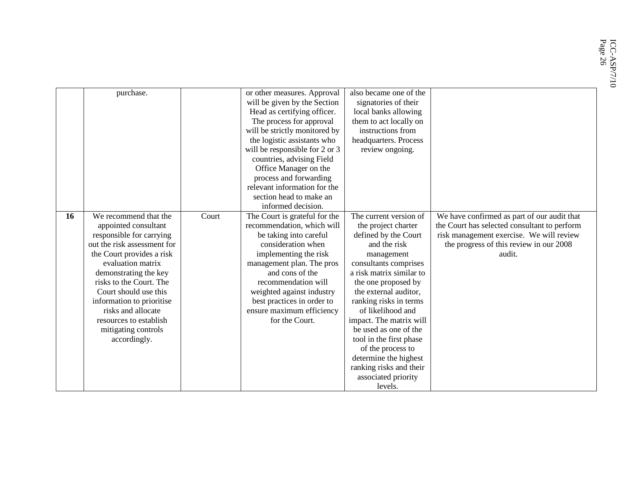|    | purchase.                   |       | or other measures. Approval    | also became one of the   |                                              |
|----|-----------------------------|-------|--------------------------------|--------------------------|----------------------------------------------|
|    |                             |       | will be given by the Section   | signatories of their     |                                              |
|    |                             |       | Head as certifying officer.    | local banks allowing     |                                              |
|    |                             |       | The process for approval       | them to act locally on   |                                              |
|    |                             |       | will be strictly monitored by  | instructions from        |                                              |
|    |                             |       | the logistic assistants who    | headquarters. Process    |                                              |
|    |                             |       | will be responsible for 2 or 3 | review ongoing.          |                                              |
|    |                             |       | countries, advising Field      |                          |                                              |
|    |                             |       | Office Manager on the          |                          |                                              |
|    |                             |       | process and forwarding         |                          |                                              |
|    |                             |       | relevant information for the   |                          |                                              |
|    |                             |       | section head to make an        |                          |                                              |
|    |                             |       | informed decision.             |                          |                                              |
| 16 | We recommend that the       | Court | The Court is grateful for the  | The current version of   | We have confirmed as part of our audit that  |
|    | appointed consultant        |       | recommendation, which will     | the project charter      | the Court has selected consultant to perform |
|    | responsible for carrying    |       | be taking into careful         | defined by the Court     | risk management exercise. We will review     |
|    | out the risk assessment for |       | consideration when             | and the risk             | the progress of this review in our 2008      |
|    | the Court provides a risk   |       | implementing the risk          | management               | audit.                                       |
|    | evaluation matrix           |       | management plan. The pros      | consultants comprises    |                                              |
|    | demonstrating the key       |       | and cons of the                | a risk matrix similar to |                                              |
|    | risks to the Court. The     |       | recommendation will            | the one proposed by      |                                              |
|    | Court should use this       |       | weighted against industry      | the external auditor,    |                                              |
|    | information to prioritise   |       | best practices in order to     | ranking risks in terms   |                                              |
|    | risks and allocate          |       | ensure maximum efficiency      | of likelihood and        |                                              |
|    | resources to establish      |       | for the Court.                 | impact. The matrix will  |                                              |
|    | mitigating controls         |       |                                | be used as one of the    |                                              |
|    | accordingly.                |       |                                | tool in the first phase  |                                              |
|    |                             |       |                                | of the process to        |                                              |
|    |                             |       |                                | determine the highest    |                                              |
|    |                             |       |                                | ranking risks and their  |                                              |
|    |                             |       |                                | associated priority      |                                              |
|    |                             |       |                                | levels.                  |                                              |
|    |                             |       |                                |                          |                                              |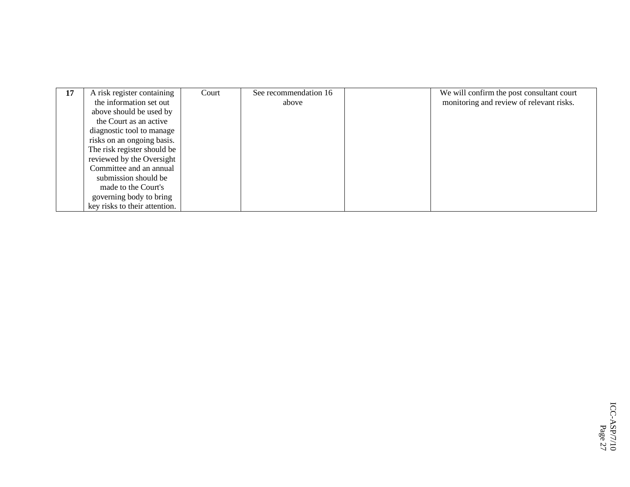| 17 | A risk register containing    | Court | See recommendation 16 | We will confirm the post consultant court |
|----|-------------------------------|-------|-----------------------|-------------------------------------------|
|    | the information set out       |       | above                 | monitoring and review of relevant risks.  |
|    | above should be used by       |       |                       |                                           |
|    | the Court as an active        |       |                       |                                           |
|    | diagnostic tool to manage     |       |                       |                                           |
|    | risks on an ongoing basis.    |       |                       |                                           |
|    | The risk register should be   |       |                       |                                           |
|    | reviewed by the Oversight     |       |                       |                                           |
|    | Committee and an annual       |       |                       |                                           |
|    | submission should be          |       |                       |                                           |
|    | made to the Court's           |       |                       |                                           |
|    | governing body to bring       |       |                       |                                           |
|    | key risks to their attention. |       |                       |                                           |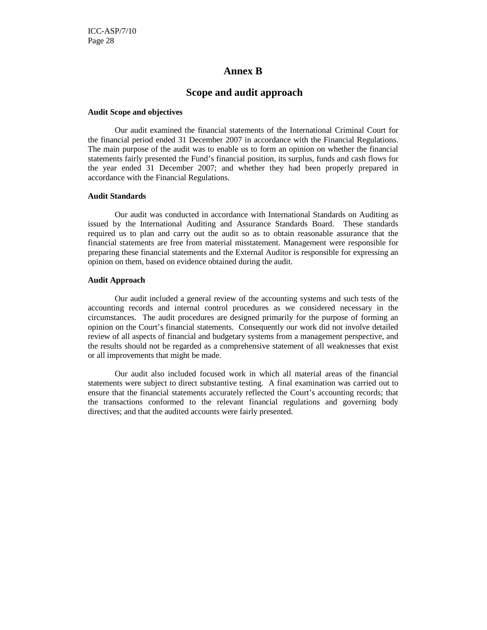#### **Annex B**

#### **Scope and audit approach**

#### **Audit Scope and objectives**

Our audit examined the financial statements of the International Criminal Court for the financial period ended 31 December 2007 in accordance with the Financial Regulations. The main purpose of the audit was to enable us to form an opinion on whether the financial statements fairly presented the Fund's financial position, its surplus, funds and cash flows for the year ended 31 December 2007; and whether they had been properly prepared in accordance with the Financial Regulations.

#### **Audit Standards**

Our audit was conducted in accordance with International Standards on Auditing as issued by the International Auditing and Assurance Standards Board. These standards required us to plan and carry out the audit so as to obtain reasonable assurance that the financial statements are free from material misstatement. Management were responsible for preparing these financial statements and the External Auditor is responsible for expressing an opinion on them, based on evidence obtained during the audit.

#### **Audit Approach**

Our audit included a general review of the accounting systems and such tests of the accounting records and internal control procedures as we considered necessary in the circumstances. The audit procedures are designed primarily for the purpose of forming an opinion on the Court's financial statements. Consequently our work did not involve detailed review of all aspects of financial and budgetary systems from a management perspective, and the results should not be regarded as a comprehensive statement of all weaknesses that exist or all improvements that might be made.

Our audit also included focused work in which all material areas of the financial statements were subject to direct substantive testing. A final examination was carried out to ensure that the financial statements accurately reflected the Court's accounting records; that the transactions conformed to the relevant financial regulations and governing body directives; and that the audited accounts were fairly presented.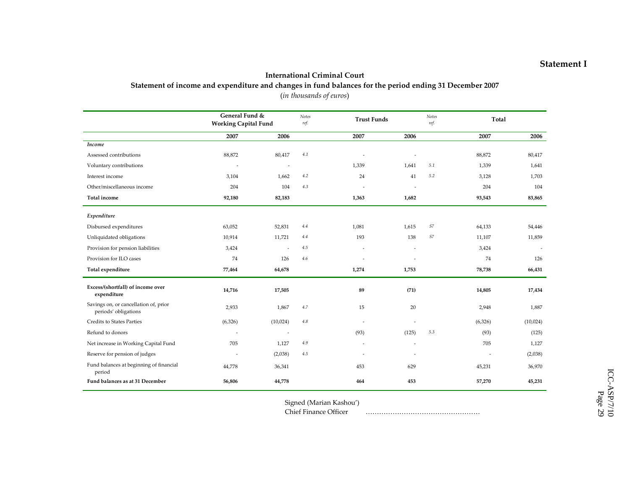#### International Criminal Court

#### Statement of income and expenditure and changes in fund balances for the period ending 31 December 2007

|                                                               | General Fund &<br><b>Working Capital Fund</b> |                          | Notes<br>ref. |                | <b>Trust Funds</b>       | Notes<br>ref.   |         | Total    |
|---------------------------------------------------------------|-----------------------------------------------|--------------------------|---------------|----------------|--------------------------|-----------------|---------|----------|
|                                                               | 2007                                          | 2006                     |               | 2007           | 2006                     |                 | 2007    | 2006     |
| Income                                                        |                                               |                          |               |                |                          |                 |         |          |
| Assessed contributions                                        | 88,872                                        | 80,417                   | 4.1           |                |                          |                 | 88,872  | 80,417   |
| Voluntary contributions                                       | $\overline{a}$                                | $\overline{\phantom{a}}$ |               | 1,339          | 1,641                    | $5.1\,$         | 1,339   | 1,641    |
| Interest income                                               | 3,104                                         | 1,662                    | 4.2           | 24             | 41                       | $5.2\,$         | 3,128   | 1,703    |
| Other/miscellaneous income                                    | 204                                           | 104                      | 4.3           | $\overline{a}$ | ä,                       |                 | 204     | 104      |
| Total income                                                  | 92,180                                        | 82,183                   |               | 1,363          | 1,682                    |                 | 93,543  | 83,865   |
| Expenditure                                                   |                                               |                          |               |                |                          |                 |         |          |
| Disbursed expenditures                                        | 63,052                                        | 52,831                   | 4.4           | 1,081          | 1,615                    | $\mathfrak{S}7$ | 64,133  | 54,446   |
| Unliquidated obligations                                      | 10,914                                        | 11,721                   | 4.4           | 193            | 138                      | S7              | 11,107  | 11,859   |
| Provision for pension liabilities                             | 3,424                                         | ÷.                       | $4.5\,$       |                | $\sim$                   |                 | 3,424   |          |
| Provision for ILO cases                                       | 74                                            | 126                      | 4.6           | ٠              |                          |                 | 74      | 126      |
| Total expenditure                                             | 77,464                                        | 64,678                   |               | 1,274          | 1,753                    |                 | 78,738  | 66,431   |
| Excess/(shortfall) of income over<br>expenditure              | 14,716                                        | 17,505                   |               | 89             | (71)                     |                 | 14,805  | 17,434   |
| Savings on, or cancellation of, prior<br>periods' obligations | 2,933                                         | 1,867                    | 4.7           | 15             | 20                       |                 | 2,948   | 1,887    |
| Credits to States Parties                                     | (6,326)                                       | (10,024)                 | $4.8\,$       | $\sim$         | $\overline{\phantom{a}}$ |                 | (6,326) | (10,024) |
| Refund to donors                                              |                                               | $\overline{\phantom{a}}$ |               | (93)           | (125)                    | 5.3             | (93)    | (125)    |
| Net increase in Working Capital Fund                          | 705                                           | 1,127                    | $4.9\,$       | $\sim$         | $\overline{\phantom{a}}$ |                 | 705     | 1,127    |
| Reserve for pension of judges                                 |                                               | (2,038)                  | 4.5           | i.             | $\overline{a}$           |                 | ÷,      | (2,038)  |
| Fund balances at beginning of financial<br>period             | 44,778                                        | 36,341                   |               | 453            | 629                      |                 | 45,231  | 36,970   |
| Fund balances as at 31 December                               | 56,806                                        | 44,778                   |               | 464            | 453                      |                 | 57,270  | 45,231   |

(in thousands of euros)

Signed (Marian Kashou')

Chief Finance Officer ……………………………………………

#### Statement I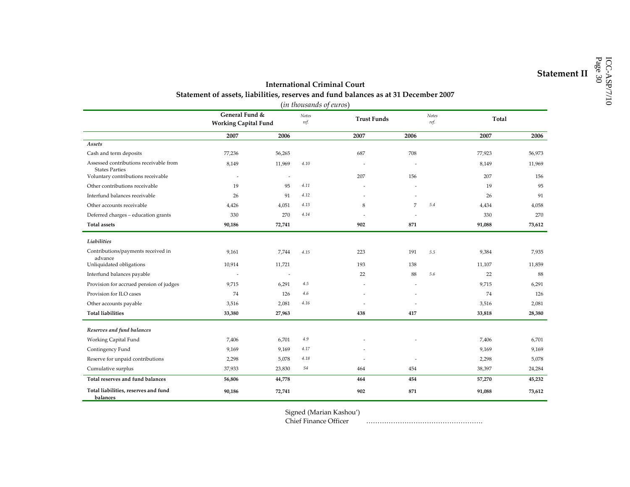# International Criminal Court<br>
Statement of assets, liabilities, reserves and fund balances as at 31 December 2007<br>
(in thousands of euros)

| <i>(in thousurius of euros)</i><br>Notes                        |                                               |                          |               |                |                          |     |        |        |
|-----------------------------------------------------------------|-----------------------------------------------|--------------------------|---------------|----------------|--------------------------|-----|--------|--------|
|                                                                 | General Fund &<br><b>Working Capital Fund</b> |                          | Notes<br>ref. |                | <b>Trust Funds</b>       |     | Total  |        |
|                                                                 | 2007                                          | 2006                     |               | 2007           | 2006                     |     | 2007   | 2006   |
| Assets                                                          |                                               |                          |               |                |                          |     |        |        |
| Cash and term deposits                                          | 77,236                                        | 56,265                   |               | 687            | 708                      |     | 77,923 | 56,973 |
| Assessed contributions receivable from<br><b>States Parties</b> | 8,149                                         | 11,969                   | 4.10          | $\overline{a}$ | $\overline{\phantom{a}}$ |     | 8,149  | 11,969 |
| Voluntary contributions receivable                              | $\overline{\phantom{a}}$                      | $\overline{\phantom{a}}$ |               | 207            | 156                      |     | 207    | 156    |
| Other contributions receivable                                  | 19                                            | 95                       | 4.11          | ÷,             |                          |     | 19     | 95     |
| Interfund balances receivable                                   | 26                                            | 91                       | 4.12          | ä,             |                          |     | 26     | 91     |
| Other accounts receivable                                       | 4,426                                         | 4,051                    | 4.13          | 8              | $\overline{7}$           | 5.4 | 4,434  | 4,058  |
| Deferred charges - education grants                             | 330                                           | 270                      | 4.14          |                |                          |     | 330    | 270    |
| <b>Total assets</b>                                             | 90,186                                        | 72,741                   |               | 902            | 871                      |     | 91,088 | 73,612 |
| Liabilities                                                     |                                               |                          |               |                |                          |     |        |        |
| Contributions/payments received in<br>advance                   | 9,161                                         | 7,744                    | 4.15          | 223            | 191                      | 5.5 | 9,384  | 7,935  |
| Unliquidated obligations                                        | 10,914                                        | 11,721                   |               | 193            | 138                      |     | 11,107 | 11,859 |
| Interfund balances payable                                      | $\sim$                                        | $\overline{\phantom{a}}$ |               | 22             | 88                       | 5.6 | 22     | 88     |
| Provision for accrued pension of judges                         | 9,715                                         | 6,291                    | 4.5           |                | $\overline{\phantom{a}}$ |     | 9,715  | 6,291  |
| Provision for ILO cases                                         | 74                                            | 126                      | $4.6\,$       |                |                          |     | 74     | 126    |
| Other accounts payable                                          | 3,516                                         | 2,081                    | 4.16          |                |                          |     | 3,516  | 2,081  |
| <b>Total liabilities</b>                                        | 33,380                                        | 27,963                   |               | 438            | 417                      |     | 33,818 | 28,380 |
| Reserves and fund balances                                      |                                               |                          |               |                |                          |     |        |        |
| Working Capital Fund                                            | 7,406                                         | 6,701                    | 4.9           |                |                          |     | 7,406  | 6,701  |
| Contingency Fund                                                | 9,169                                         | 9,169                    | 4.17          |                |                          |     | 9,169  | 9,169  |
| Reserve for unpaid contributions                                | 2,298                                         | 5,078                    | 4.18          |                |                          |     | 2,298  | 5,078  |
| Cumulative surplus                                              | 37,933                                        | 23,830                   | S4            | 464            | 454                      |     | 38,397 | 24,284 |
| Total reserves and fund balances                                | 56,806                                        | 44,778                   |               | 464            | 454                      |     | 57,270 | 45,232 |
| Total liabilities, reserves and fund<br>balances                | 90,186                                        | 72,741                   |               | 902            | 871                      |     | 91,088 | 73,612 |

Signed (Marian Kashou')

Chief Finance Officer …………………………………………….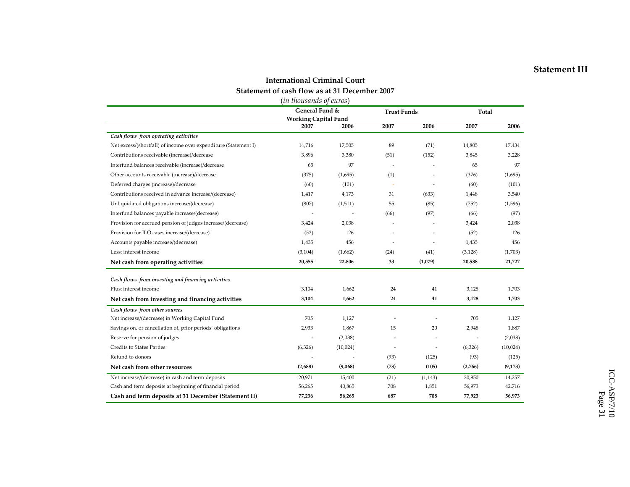#### Statement III

#### International Criminal Court Statement of cash flow as at 31 December 2007 (in thousands of euros)

|                                                                 | General Fund &<br><b>Working Capital Fund</b> |          | <b>Trust Funds</b>       |                | Total    |          |
|-----------------------------------------------------------------|-----------------------------------------------|----------|--------------------------|----------------|----------|----------|
|                                                                 | 2007                                          | 2006     | 2007                     | 2006           | 2007     | 2006     |
| Cash flows from operating activities                            |                                               |          |                          |                |          |          |
| Net excess/(shortfall) of income over expenditure (Statement I) | 14,716                                        | 17,505   | 89                       | (71)           | 14,805   | 17,434   |
| Contributions receivable (increase)/decrease                    | 3,896                                         | 3,380    | (51)                     | (152)          | 3,845    | 3,228    |
| Interfund balances receivable (increase)/decrease               | 65                                            | 97       | $\overline{\phantom{a}}$ | $\overline{a}$ | 65       | 97       |
| Other accounts receivable (increase)/decrease                   | (375)                                         | (1,695)  | (1)                      |                | (376)    | (1,695)  |
| Deferred charges (increase)/decrease                            | (60)                                          | (101)    |                          | $\sim$         | (60)     | (101)    |
| Contributions received in advance increase/(decrease)           | 1,417                                         | 4,173    | 31                       | (633)          | 1,448    | 3,540    |
| Unliquidated obligations increase/(decrease)                    | (807)                                         | (1, 511) | 55                       | (85)           | (752)    | (1, 596) |
| Interfund balances payable increase/(decrease)                  |                                               | ۰.       | (66)                     | (97)           | (66)     | (97)     |
| Provision for accrued pension of judges increase/(decrease)     | 3,424                                         | 2,038    | ÷.                       | $\overline{a}$ | 3,424    | 2,038    |
| Provision for ILO cases increase/(decrease)                     | (52)                                          | 126      |                          |                | (52)     | 126      |
| Accounts payable increase/(decrease)                            | 1,435                                         | 456      |                          | $\sim$         | 1,435    | 456      |
| Less: interest income                                           | (3, 104)                                      | (1,662)  | (24)                     | (41)           | (3, 128) | (1,703)  |
| Net cash from operating activities                              | 20,555                                        | 22,806   | 33                       | (1,079)        | 20,588   | 21,727   |
| Cash flows from investing and financing activities              |                                               |          |                          |                |          |          |
| Plus: interest income                                           | 3,104                                         | 1,662    | 24                       | 41             | 3,128    | 1,703    |
| Net cash from investing and financing activities                | 3,104                                         | 1,662    | 24                       | 41             | 3,128    | 1,703    |
| Cash flows from other sources                                   |                                               |          |                          |                |          |          |
| Net increase/(decrease) in Working Capital Fund                 | 705                                           | 1,127    |                          |                | 705      | 1,127    |
| Savings on, or cancellation of, prior periods' obligations      | 2,933                                         | 1,867    | 15                       | 20             | 2,948    | 1,887    |
| Reserve for pension of judges                                   |                                               | (2,038)  |                          |                |          | (2,038)  |
| <b>Credits to States Parties</b>                                | (6,326)                                       | (10,024) | $\overline{\phantom{a}}$ | $\overline{a}$ | (6,326)  | (10,024) |
| Refund to donors                                                |                                               |          | (93)                     | (125)          | (93)     | (125)    |
| Net cash from other resources                                   | (2,688)                                       | (9,068)  | (78)                     | (105)          | (2,766)  | (9, 173) |
| Net increase/(decrease) in cash and term deposits               | 20,971                                        | 15,400   | (21)                     | (1, 143)       | 20,950   | 14,257   |
| Cash and term deposits at beginning of financial period         | 56,265                                        | 40,865   | 708                      | 1,851          | 56,973   | 42,716   |
| Cash and term deposits at 31 December (Statement II)            | 77,236                                        | 56,265   | 687                      | 708            | 77,923   | 56,973   |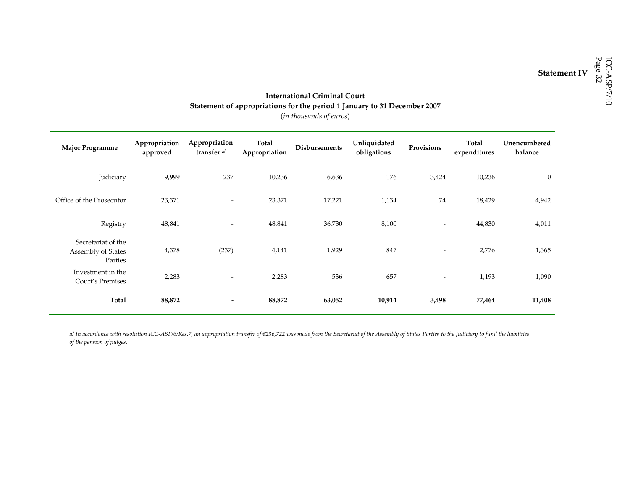## International Criminal Court<br>
Statement of appropriations for the period 1 January to 31 December 2007 (in thousands of euros)

| <b>Major Programme</b>                              | Appropriation<br>approved | Appropriation<br>transfer <sup>a/</sup> | Total<br>Appropriation | <b>Disbursements</b> | Unliquidated<br>obligations | Provisions               | Total<br>expenditures | Unencumbered<br>balance |
|-----------------------------------------------------|---------------------------|-----------------------------------------|------------------------|----------------------|-----------------------------|--------------------------|-----------------------|-------------------------|
| Judiciary                                           | 9,999                     | 237                                     | 10,236                 | 6,636                | 176                         | 3,424                    | 10,236                | $\mathbf{0}$            |
| Office of the Prosecutor                            | 23,371                    | $\overline{\phantom{a}}$                | 23,371                 | 17,221               | 1,134                       | 74                       | 18,429                | 4,942                   |
| Registry                                            | 48,841                    | $\overline{\phantom{a}}$                | 48,841                 | 36,730               | 8,100                       | $\overline{\phantom{a}}$ | 44,830                | 4,011                   |
| Secretariat of the<br>Assembly of States<br>Parties | 4,378                     | (237)                                   | 4,141                  | 1,929                | 847                         | $\overline{\phantom{a}}$ | 2,776                 | 1,365                   |
| Investment in the<br>Court's Premises               | 2,283                     | $\overline{\phantom{0}}$                | 2,283                  | 536                  | 657                         | $\overline{\phantom{a}}$ | 1,193                 | 1,090                   |
| <b>Total</b>                                        | 88,872                    | ۰                                       | 88,872                 | 63,052               | 10,914                      | 3,498                    | 77,464                | 11,408                  |

a/ In accordance with resolution ICC-ASP/6/Res.7, an appropriation transfer of €236,722 was made from the Secretariat of the Assembly of States Parties to the Judiciary to fund the liabilities of the pension of judges.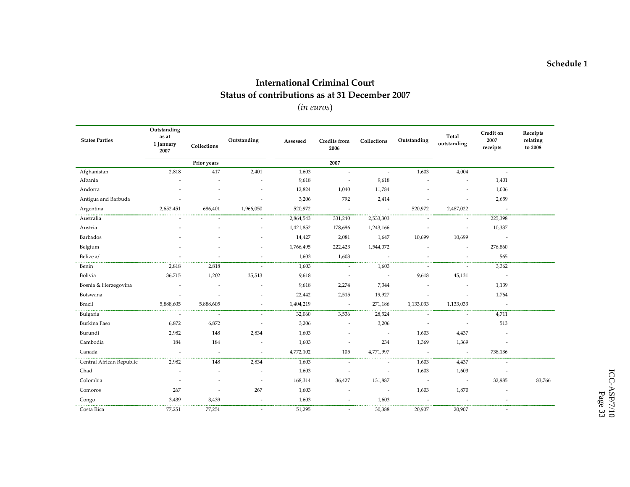#### International Criminal Court Status of contributions as at 31 December 2007

(in euros)

| <b>States Parties</b>    | Outstanding<br>as at<br>1 January<br>2007 | Collections              | Outstanding              | Assessed  | Credits from<br>2006     | Collections              | Outstanding              | Total<br>outstanding     | Credit on<br>2007<br>receipts | Receipts<br>relating<br>to 2008 |
|--------------------------|-------------------------------------------|--------------------------|--------------------------|-----------|--------------------------|--------------------------|--------------------------|--------------------------|-------------------------------|---------------------------------|
|                          |                                           | Prior years              |                          |           | 2007                     |                          |                          |                          |                               |                                 |
| Afghanistan              | 2,818                                     | 417                      | 2,401                    | 1,603     | $\overline{\phantom{a}}$ | $\overline{\phantom{a}}$ | 1,603                    | 4,004                    | $\overline{\phantom{a}}$      |                                 |
| Albania                  |                                           |                          |                          | 9,618     | $\sim$                   | 9,618                    |                          | ÷,                       | 1,401                         |                                 |
| Andorra                  |                                           |                          |                          | 12,824    | 1,040                    | 11,784                   |                          |                          | 1,006                         |                                 |
| Antigua and Barbuda      |                                           |                          | ÷                        | 3,206     | 792                      | 2,414                    |                          | $\overline{\phantom{a}}$ | 2,659                         |                                 |
| Argentina                | 2,652,451                                 | 686,401                  | 1,966,050                | 520,972   | $\sim$                   | $\sim$                   | 520,972                  | 2,487,022                | $\sim$                        |                                 |
| Australia                | $\overline{a}$                            | $\sim$                   | $\overline{\phantom{a}}$ | 2,864,543 | 331,240                  | 2,533,303                |                          | $\overline{\phantom{a}}$ | 225,398                       |                                 |
| Austria                  |                                           |                          |                          | 1,421,852 | 178,686                  | 1,243,166                |                          | $\overline{a}$           | 110,337                       |                                 |
| Barbados                 |                                           |                          |                          | 14,427    | 2,081                    | 1,647                    | 10,699                   | 10,699                   | $\overline{\phantom{a}}$      |                                 |
| Belgium                  |                                           |                          | $\overline{\phantom{a}}$ | 1,766,495 | 222,423                  | 1,544,072                |                          | $\overline{\phantom{a}}$ | 276,860                       |                                 |
| Belize a/                | $\sim$                                    | $\overline{a}$           | $\overline{\phantom{a}}$ | 1,603     | 1,603                    | $\overline{\phantom{a}}$ | $\sim$                   | $\omega$                 | 565                           |                                 |
| Benin                    | 2,818                                     | 2,818                    | $\sim$                   | 1,603     | $\sim$                   | 1,603                    | $\sim$                   | $\omega$                 | 3,362                         |                                 |
| Bolivia                  | 36,715                                    | 1,202                    | 35,513                   | 9,618     | $\overline{\phantom{a}}$ | $\overline{\phantom{a}}$ | 9,618                    | 45,131                   | $\overline{\phantom{a}}$      |                                 |
| Bosnia & Herzegovina     | $\sim$                                    | $\sim$                   | $\overline{a}$           | 9,618     | 2,274                    | 7,344                    | $\sim$                   | $\sim$                   | 1,139                         |                                 |
| Botswana                 | $\overline{\phantom{a}}$                  | $\overline{\phantom{a}}$ | $\overline{\phantom{a}}$ | 22,442    | 2,515                    | 19,927                   | $\overline{\phantom{a}}$ | $\overline{\phantom{a}}$ | 1,764                         |                                 |
| Brazil                   | 5,888,605                                 | 5,888,605                | $\overline{\phantom{a}}$ | 1,404,219 | $\sim$                   | 271,186                  | 1,133,033                | 1,133,033                | $\overline{\phantom{a}}$      |                                 |
| Bulgaria                 | $\sim$                                    | $\overline{a}$           | $\sim$                   | 32,060    | 3,536                    | 28,524                   |                          | $\overline{\phantom{a}}$ | 4,711                         |                                 |
| Burkina Faso             | 6,872                                     | 6,872                    | $\overline{\phantom{a}}$ | 3,206     | $\sim$                   | 3,206                    | $\overline{\phantom{a}}$ | $\overline{\phantom{a}}$ | 513                           |                                 |
| Burundi                  | 2,982                                     | 148                      | 2,834                    | 1,603     | $\overline{\phantom{a}}$ | $\overline{\phantom{a}}$ | 1,603                    | 4,437                    | $\sim$                        |                                 |
| Cambodia                 | 184                                       | 184                      | $\overline{\phantom{a}}$ | 1,603     | $\sim$                   | 234                      | 1,369                    | 1,369                    | $\overline{\phantom{a}}$      |                                 |
| Canada                   | $\sim$                                    | $\sim$                   | $\sim$                   | 4,772,102 | 105                      | 4,771,997                | $\sim$                   | $\sim$                   | 738,136                       |                                 |
| Central African Republic | 2,982                                     | 148                      | 2,834                    | 1,603     | $\overline{\phantom{a}}$ | ÷                        | 1,603                    | 4,437                    | $\sim$                        |                                 |
| Chad                     |                                           |                          | $\overline{\phantom{a}}$ | 1,603     |                          | $\overline{a}$           | 1,603                    | 1,603                    | $\sim$                        |                                 |
| Colombia                 | $\overline{\phantom{a}}$                  |                          | $\overline{\phantom{a}}$ | 168,314   | 36,427                   | 131,887                  | $\overline{\phantom{a}}$ | $\sim$                   | 32,985                        | 83,766                          |
| Comoros                  | 267                                       |                          | 267                      | 1,603     |                          | $\sim$                   | 1,603                    | 1,870                    |                               |                                 |
| Congo                    | 3,439                                     | 3,439                    | $\sim$                   | 1,603     | $\sim$                   | 1,603                    |                          | $\overline{\phantom{a}}$ | $\sim$                        |                                 |
| Costa Rica               | 77,251                                    | 77,251                   | $\sim$                   | 51,295    |                          | 30,388                   | 20,907                   | 20,907                   |                               |                                 |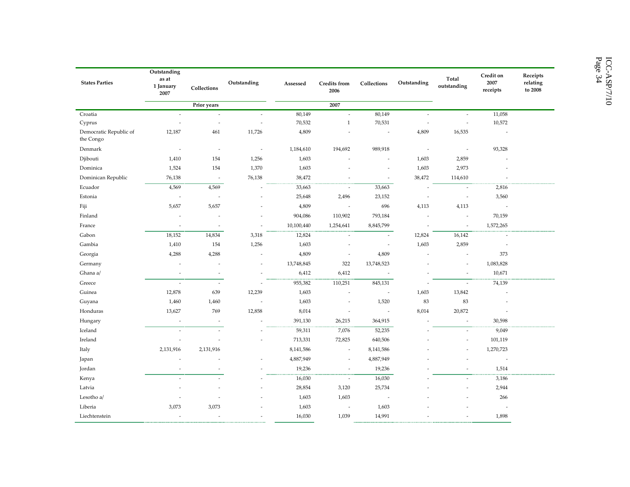| <b>States Parties</b>               | Outstanding<br>as at<br>1 January<br>2007 | Collections              | Outstanding              | Assessed   | Credits from<br>2006     | Collections              | Outstanding              | Total<br>outstanding     | Credit on<br>2007<br>receipts | Receipts<br>relating<br>to 2008 |
|-------------------------------------|-------------------------------------------|--------------------------|--------------------------|------------|--------------------------|--------------------------|--------------------------|--------------------------|-------------------------------|---------------------------------|
|                                     |                                           | Prior years              |                          |            | 2007                     |                          |                          |                          |                               |                                 |
| Croatia                             | $\sim$                                    | $\sim$                   | $\sim$                   | 80,149     | $\sim$                   | 80,149                   | $\sim$                   | $\sim$                   | 11,058                        |                                 |
| Cyprus                              | $\overline{\phantom{a}}$                  | $\overline{\phantom{a}}$ | $\overline{\phantom{a}}$ | 70,532     | $\mathbf{1}$             | 70,531                   | $\overline{\phantom{a}}$ | $\overline{\phantom{a}}$ | 10,572                        |                                 |
| Democratic Republic of<br>the Congo | 12,187                                    | 461                      | 11,726                   | 4,809      | $\sim$                   | $\sim$                   | 4,809                    | 16,535                   | $\overline{\phantom{a}}$      |                                 |
| Denmark                             | $\overline{\phantom{a}}$                  | $\overline{\phantom{a}}$ | $\overline{\phantom{a}}$ | 1,184,610  | 194,692                  | 989,918                  | $\sim$                   | $\overline{\phantom{a}}$ | 93,328                        |                                 |
| Djibouti                            | 1,410                                     | 154                      | 1,256                    | 1,603      | $\sim$                   | $\overline{\phantom{a}}$ | 1,603                    | 2,859                    |                               |                                 |
| Dominica                            | 1,524                                     | 154                      | 1,370                    | 1,603      |                          | $\overline{\phantom{a}}$ | 1,603                    | 2,973                    |                               |                                 |
| Dominican Republic                  | 76,138                                    | $\overline{\phantom{a}}$ | 76,138                   | 38,472     | $\sim$                   | $\overline{\phantom{a}}$ | 38,472                   | 114,610                  | $\sim$                        |                                 |
| Ecuador                             | 4,569                                     | 4,569                    | $\overline{\phantom{a}}$ | 33,663     | $\overline{\phantom{a}}$ | 33,663                   | $\overline{\phantom{a}}$ | $\overline{\phantom{a}}$ | 2,816                         |                                 |
| Estonia                             | $\overline{\phantom{a}}$                  | $\overline{\phantom{a}}$ |                          | 25,648     | 2,496                    | 23,152                   | $\sim$                   | $\sim$                   | 3,560                         |                                 |
| Fiji                                | 5,657                                     | 5,657                    |                          | 4,809      | $\sim$                   | 696                      | 4,113                    | 4,113                    | $\overline{\phantom{a}}$      |                                 |
| Finland                             |                                           |                          |                          | 904,086    | 110,902                  | 793,184                  | $\bar{a}$                | $\sim$                   | 70,159                        |                                 |
| France                              | $\overline{\phantom{a}}$                  | $\overline{\phantom{a}}$ | $\sim$                   | 10,100,440 | 1,254,641                | 8,845,799                | $\sim$                   | $\sim$                   | 1,572,265                     |                                 |
| Gabon                               | 18,152                                    | 14,834                   | 3,318                    | 12,824     | $\overline{\phantom{a}}$ | $\overline{\phantom{a}}$ | 12,824                   | 16,142                   | $\overline{\phantom{a}}$      |                                 |
| Gambia                              | 1,410                                     | 154                      | 1,256                    | 1,603      | $\overline{a}$           | $\sim$                   | 1,603                    | 2,859                    | $\sim$                        |                                 |
| Georgia                             | 4,288                                     | 4,288                    | $\sim$                   | 4,809      | $\overline{\phantom{a}}$ | 4,809                    | $\sim$                   | $\overline{\phantom{a}}$ | 373                           |                                 |
| Germany                             | $\overline{\phantom{a}}$                  | $\overline{\phantom{a}}$ | $\overline{\phantom{a}}$ | 13,748,845 | 322                      | 13,748,523               |                          | $\overline{\phantom{a}}$ | 1,083,828                     |                                 |
| Ghana a/                            | $\sim$                                    | $\overline{\phantom{a}}$ | $\sim$                   | 6,412      | 6,412                    | $\overline{\phantom{a}}$ | $\overline{\phantom{a}}$ | $\overline{\phantom{a}}$ | 10,671                        |                                 |
| Greece                              | $\sim$                                    | $\sim$                   | $\overline{\phantom{a}}$ | 955,382    | 110,251                  | 845,131                  | $\overline{\phantom{a}}$ | $\overline{\phantom{a}}$ | 74,139                        |                                 |
| Guinea                              | 12,878                                    | 639                      | 12,239                   | 1,603      | $\overline{\phantom{a}}$ | $\overline{\phantom{a}}$ | 1,603                    | 13,842                   |                               |                                 |
| Guyana                              | 1,460                                     | 1,460                    | $\overline{\phantom{a}}$ | 1,603      | $\overline{a}$           | 1,520                    | 83                       | 83                       |                               |                                 |
| Honduras                            | 13,627                                    | 769                      | 12,858                   | 8,014      | $\overline{a}$           | $\overline{\phantom{a}}$ | 8,014                    | 20,872                   |                               |                                 |
| Hungary                             | $\sim$                                    | $\sim$                   | $\overline{a}$           | 391,130    | 26,215                   | 364,915                  | $\sim$                   | $\overline{\phantom{a}}$ | 30,598                        |                                 |
| Iceland                             | $\overline{\phantom{a}}$                  | $\overline{\phantom{a}}$ | $\overline{\phantom{a}}$ | 59,311     | 7,076                    | 52,235                   | $\overline{\phantom{a}}$ | $\overline{\phantom{a}}$ | 9,049                         |                                 |
| Ireland                             | ä,                                        |                          |                          | 713,331    | 72,825                   | 640,506                  |                          | ÷,                       | 101,119                       |                                 |
| Italy                               | 2,131,916                                 | 2,131,916                |                          | 8,141,586  | $\sim$                   | 8,141,586                |                          | $\overline{\phantom{a}}$ | 1,270,723                     |                                 |
| Japan                               |                                           |                          |                          | 4,887,949  | ÷,                       | 4,887,949                |                          |                          | $\sim$                        |                                 |
| Jordan                              | $\overline{a}$                            |                          |                          | 19,236     | $\sim$                   | 19,236                   |                          |                          | 1,514                         |                                 |
| Kenya                               | $\sim$                                    | ×,                       |                          | 16,030     | $\sim$                   | 16,030                   |                          | $\overline{\phantom{a}}$ | 3,186                         |                                 |
| Latvia                              |                                           |                          |                          | 28,854     | 3,120                    | 25,734                   |                          | $\overline{a}$           | 2,944                         |                                 |
| Lesotho a/                          | $\overline{\phantom{a}}$                  |                          |                          | 1,603      | 1,603                    | $\sim$                   |                          |                          | 266                           |                                 |
| Liberia                             | 3,073                                     | 3,073                    |                          | 1,603      | $\sim$                   | 1,603                    |                          |                          | $\overline{\phantom{a}}$      |                                 |
| Liechtenstein                       | ä,                                        | ÷,                       | $\sim$                   | 16,030     | 1,039                    | 14,991                   | $\sim$                   | $\sim$                   | 1,898                         |                                 |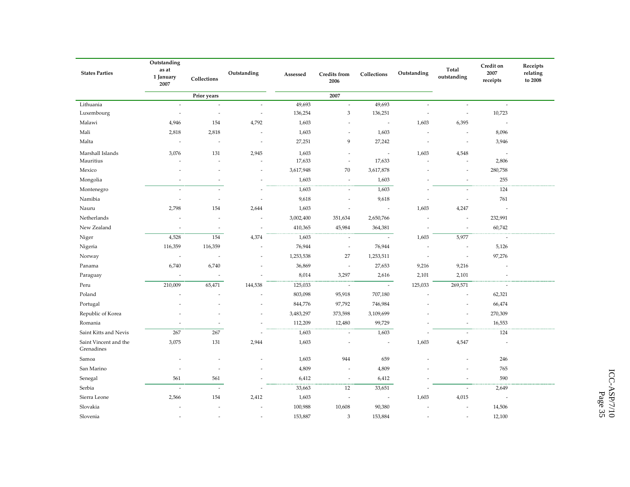|                                     | Outstanding                |                          |                          |                 |                             |                          |                          |                          | Credit on                         | Receipts            |
|-------------------------------------|----------------------------|--------------------------|--------------------------|-----------------|-----------------------------|--------------------------|--------------------------|--------------------------|-----------------------------------|---------------------|
| <b>States Parties</b>               | as at<br>1 January<br>2007 | Collections              | Outstanding              | Assessed        | <b>Credits</b> from<br>2006 | Collections              | Outstanding              | Total<br>outstanding     | 2007<br>receipts                  | relating<br>to 2008 |
|                                     |                            | Prior years              |                          |                 | 2007                        |                          |                          |                          |                                   |                     |
| Lithuania                           | $\bar{a}$                  | $\sim$                   | $\overline{\phantom{a}}$ | 49,693          | $\sim$                      | 49,693                   | $\sim$                   | $\overline{\phantom{a}}$ | $\overline{\phantom{a}}$          |                     |
| Luxembourg                          | $\overline{\phantom{a}}$   | $\overline{\phantom{a}}$ | $\overline{\phantom{a}}$ | 136,254         | 3                           | 136,251                  | $\overline{\phantom{a}}$ | $\overline{\phantom{a}}$ | 10,723                            |                     |
| Malawi                              | 4,946                      | 154                      | 4,792                    | 1,603           | $\sim$                      | $\overline{\phantom{a}}$ | 1,603                    | 6,395                    | $\overline{\phantom{a}}$          |                     |
| Mali                                | 2,818                      | 2,818                    | ÷,                       | 1,603           |                             | 1,603                    |                          | $\sim$                   | 8,096                             |                     |
| Malta                               | $\overline{\phantom{a}}$   | $\overline{\phantom{a}}$ | $\overline{a}$           | 27,251          | 9                           | 27,242                   | $\sim$                   | $\overline{\phantom{a}}$ | 3,946                             |                     |
| Marshall Islands<br>Mauritius       | 3,076                      | 131                      | 2,945                    | 1,603<br>17,633 | $\sim$                      | ÷,<br>17,633             | 1,603                    | 4,548                    | $\overline{\phantom{a}}$<br>2,806 |                     |
|                                     |                            |                          |                          |                 |                             |                          |                          |                          |                                   |                     |
| Mexico                              |                            |                          |                          | 3,617,948       | 70                          | 3,617,878                |                          | ł,                       | 280,758                           |                     |
| Mongolia                            | $\overline{a}$             | $\overline{a}$           | $\overline{a}$           | 1,603           | $\sim$                      | 1,603                    |                          | $\sim$                   | 255                               |                     |
| Montenegro                          | $\sim$                     | $\sim$                   | $\overline{a}$           | 1,603           | $\overline{\phantom{a}}$    | 1,603                    | $\sim$                   | $\sim$                   | 124                               |                     |
| Namibia                             | ×,                         | $\overline{\phantom{a}}$ | $\overline{\phantom{a}}$ | 9,618           | $\sim$                      | 9,618                    | $\overline{\phantom{a}}$ | ÷,                       | 761                               |                     |
| Nauru                               | 2,798                      | 154                      | 2,644                    | 1,603           | $\overline{\phantom{a}}$    | $\overline{\phantom{a}}$ | 1,603                    | 4,247                    | $\overline{\phantom{a}}$          |                     |
| Netherlands                         |                            |                          | ÷,                       | 3,002,400       | 351,634                     | 2,650,766                |                          | $\overline{\phantom{a}}$ | 232,991                           |                     |
| New Zealand                         | ÷,                         | $\overline{\phantom{a}}$ | ÷,                       | 410,365         | 45,984                      | 364,381                  | $\sim$                   | $\overline{\phantom{a}}$ | 60,742                            |                     |
| Niger                               | 4,528                      | 154                      | 4,374                    | 1,603           | $\sim$                      | $\bar{z}$                | 1,603                    | 5,977                    | $\overline{\phantom{a}}$          |                     |
| Nigeria                             | 116,359                    | 116,359                  | i.                       | 76,944          | $\sim$                      | 76,944                   |                          | ÷.                       | 5,126                             |                     |
| Norway                              | $\overline{\phantom{a}}$   |                          | $\overline{a}$           | 1,253,538       | 27                          | 1,253,511                | $\sim$                   | ÷,                       | 97,276                            |                     |
| Panama                              | 6,740                      | 6,740                    | ä,                       | 36,869          | $\sim$                      | 27,653                   | 9,216                    | 9,216                    |                                   |                     |
| Paraguay                            |                            |                          |                          | 8,014           | 3,297                       | 2,616                    | 2,101                    | 2,101                    |                                   |                     |
| Peru                                | 210,009                    | 65,471                   | 144,538                  | 125,033         | $\sim$                      | $\sim$                   | 125,033                  | 269,571                  | $\sim$                            |                     |
| Poland                              |                            |                          |                          | 803,098         | 95,918                      | 707,180                  |                          | J.                       | 62,321                            |                     |
| Portugal                            |                            |                          |                          | 844,776         | 97,792                      | 746,984                  |                          | i.                       | 66,474                            |                     |
| Republic of Korea                   |                            |                          | ÷                        | 3,483,297       | 373,598                     | 3,109,699                |                          | i.                       | 270,309                           |                     |
| Romania                             |                            |                          | ä,                       | 112,209         | 12,480                      | 99,729                   |                          | ÷,                       | 16,553                            |                     |
| Saint Kitts and Nevis               | 267                        | 267                      | $\overline{a}$           | 1,603           | $\sim$                      | 1,603                    | ÷.                       | $\sim$                   | 124                               |                     |
| Saint Vincent and the<br>Grenadines | 3,075                      | 131                      | 2,944                    | 1,603           |                             | ä,                       | 1,603                    | 4,547                    | $\sim$                            |                     |
| Samoa                               |                            |                          |                          | 1,603           | 944                         | 659                      |                          | J.                       | 246                               |                     |
| San Marino                          |                            |                          |                          | 4,809           |                             | 4,809                    |                          |                          | 765                               |                     |
| Senegal                             | 561                        | 561                      |                          | 6,412           | $\overline{\phantom{a}}$    | 6,412                    |                          | ÷,                       | 590                               |                     |
| Serbia                              | $\overline{a}$             | $\overline{a}$           | $\overline{a}$           | 33,663          | 12                          | 33,651                   | $\overline{a}$           | ÷.                       | 2,649                             |                     |
| Sierra Leone                        | 2,566                      | 154                      | 2,412                    | 1,603           | $\sim$                      | $\overline{\phantom{a}}$ | 1,603                    | 4,015                    | $\sim$                            |                     |
| Slovakia                            |                            |                          |                          | 100,988         | 10,608                      | 90,380                   |                          |                          | 14,506                            |                     |
| Slovenia                            |                            |                          |                          | 153,887         | 3                           | 153,884                  |                          |                          | 12,100                            |                     |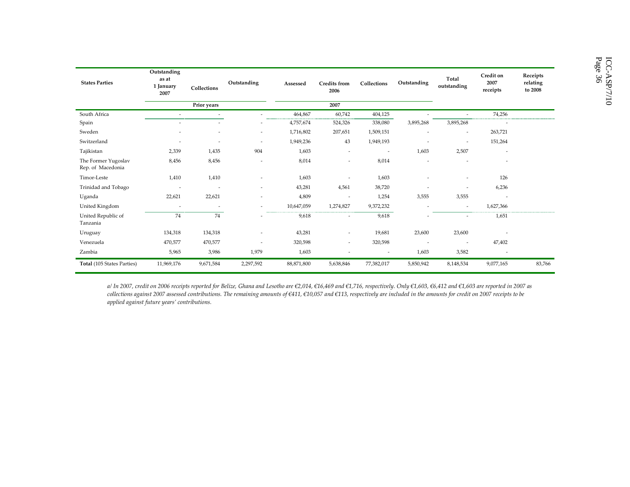| <b>States Parties</b>                    | Outstanding<br>as at<br>1 January<br>2007 | Collections              | Outstanding              | Assessed   | <b>Credits</b> from<br>2006 | Collections              | Outstanding              | Total<br>outstanding     | Credit on<br>2007<br>receipts | Receipts<br>relating<br>to 2008 |
|------------------------------------------|-------------------------------------------|--------------------------|--------------------------|------------|-----------------------------|--------------------------|--------------------------|--------------------------|-------------------------------|---------------------------------|
|                                          |                                           | Prior years              |                          |            | 2007                        |                          |                          |                          |                               |                                 |
| South Africa                             |                                           |                          |                          | 464,867    | 60,742                      | 404,125                  |                          |                          | 74,256                        |                                 |
| Spain                                    |                                           |                          |                          | 4,757,674  | 524,326                     | 338,080                  | 3,895,268                | 3,895,268                |                               |                                 |
| Sweden                                   |                                           |                          | ٠                        | 1,716,802  | 207,651                     | 1,509,151                |                          | $\overline{\phantom{a}}$ | 263,721                       |                                 |
| Switzerland                              |                                           |                          | ٠                        | 1,949,236  | 43                          | 1,949,193                |                          | $\overline{\phantom{a}}$ | 151,264                       |                                 |
| Tajikistan                               | 2,339                                     | 1,435                    | 904                      | 1,603      | ٠                           | $\overline{\phantom{a}}$ | 1,603                    | 2,507                    | $\overline{\phantom{a}}$      |                                 |
| The Former Yugoslav<br>Rep. of Macedonia | 8,456                                     | 8,456                    | $\overline{\phantom{a}}$ | 8,014      | ٠                           | 8,014                    | ٠                        | $\overline{\phantom{a}}$ | $\overline{\phantom{a}}$      |                                 |
| Timor-Leste                              | 1,410                                     | 1,410                    |                          | 1,603      |                             | 1,603                    |                          | $\overline{\phantom{a}}$ | 126                           |                                 |
| Trinidad and Tobago                      | $\overline{a}$                            | $\overline{\phantom{a}}$ | $\overline{\phantom{a}}$ | 43,281     | 4,561                       | 38,720                   |                          | $\overline{\phantom{a}}$ | 6,236                         |                                 |
| Uganda                                   | 22,621                                    | 22,621                   |                          | 4,809      | $\overline{\phantom{a}}$    | 1,254                    | 3,555                    | 3,555                    |                               |                                 |
| United Kingdom                           | $\overline{\phantom{a}}$                  |                          | $\sim$                   | 10,647,059 | 1,274,827                   | 9,372,232                | $\sim$                   | $\overline{\phantom{a}}$ | 1,627,366                     |                                 |
| United Republic of<br>Tanzania           | 74                                        | 74                       | $\overline{\phantom{a}}$ | 9,618      | $\overline{\phantom{a}}$    | 9,618                    |                          | $\sim$                   | 1,651                         |                                 |
| Uruguay                                  | 134,318                                   | 134,318                  |                          | 43,281     | ٠                           | 19,681                   | 23,600                   | 23,600                   |                               |                                 |
| Venezuela                                | 470,577                                   | 470,577                  | $\overline{a}$           | 320,598    | $\overline{\phantom{a}}$    | 320,598                  | $\overline{\phantom{a}}$ | $\overline{\phantom{a}}$ | 47,402                        |                                 |
| Zambia                                   | 5,965                                     | 3,986                    | 1,979                    | 1,603      | $\overline{\phantom{a}}$    | $\overline{\phantom{a}}$ | 1,603                    | 3,582                    | $\overline{\phantom{a}}$      |                                 |
| Total (105 States Parties)               | 11,969,176                                | 9,671,584                | 2,297,592                | 88,871,800 | 5,638,846                   | 77,382,017               | 5,850,942                | 8,148,534                | 9,077,165                     | 83,766                          |

a/ In 2007, credit on 2006 receipts reported for Belize, Ghana and Lesotho are €2,014, €16,469 and €1,716, respectively. Only €1,603, €6,412 and €1,603 are reported in 2007 as collections against 2007 assessed contributions. The remaining amounts of €411, €10,057 and €113, respectively are included in the amounts for credit on 2007 receipts to be applied against future years' contributions.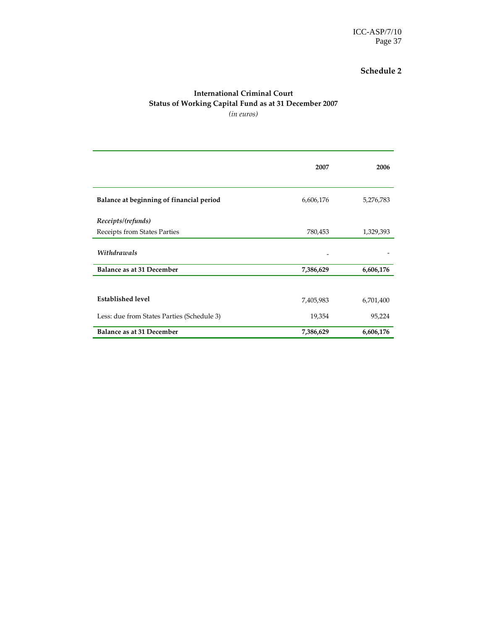#### International Criminal Court Status of Working Capital Fund as at 31 December 2007 (in euros)

|                                            | 2007      | 2006      |
|--------------------------------------------|-----------|-----------|
| Balance at beginning of financial period   | 6,606,176 | 5,276,783 |
| Receipts/(refunds)                         |           |           |
| Receipts from States Parties               | 780,453   | 1,329,393 |
| Withdrawals                                |           |           |
| Balance as at 31 December                  | 7,386,629 | 6,606,176 |
|                                            |           |           |
| <b>Established level</b>                   | 7,405,983 | 6,701,400 |
| Less: due from States Parties (Schedule 3) | 19,354    | 95,224    |
| Balance as at 31 December                  | 7,386,629 | 6,606,176 |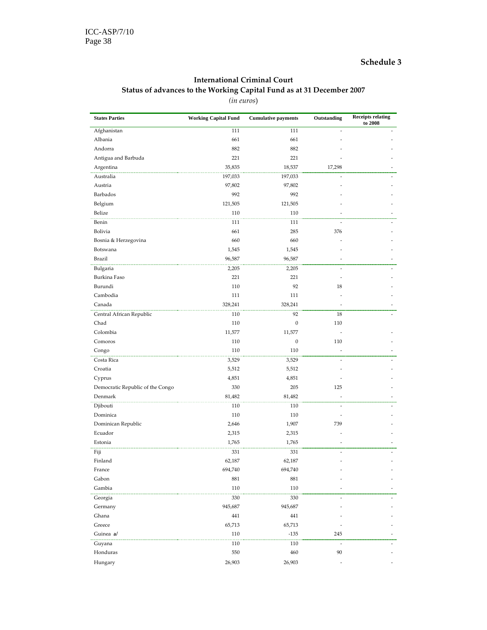#### International Criminal Court Status of advances to the Working Capital Fund as at 31 December 2007 (in euros)

| <b>States Parties</b>            | <b>Working Capital Fund</b> | <b>Cumulative payments</b> | Outstanding | <b>Receipts relating</b><br>to 2008 |
|----------------------------------|-----------------------------|----------------------------|-------------|-------------------------------------|
| Afghanistan                      | 111                         | 111                        | ä,          |                                     |
| Albania                          | 661                         | 661                        |             |                                     |
| Andorra                          | 882                         | 882                        |             |                                     |
| Antigua and Barbuda              | 221                         | 221                        |             |                                     |
| Argentina                        | 35,835                      | 18,537                     | 17,298      |                                     |
| Australia                        | 197,033                     | 197,033                    |             |                                     |
| Austria                          | 97,802                      | 97,802                     |             |                                     |
| Barbados                         | 992                         | 992                        |             |                                     |
| Belgium                          | 121,505                     | 121,505                    |             |                                     |
| Belize                           | 110                         | 110                        |             |                                     |
| Benin                            | 111                         | 111                        |             |                                     |
| Bolivia                          | 661                         | 285                        | 376         |                                     |
| Bosnia & Herzegovina             | 660                         | 660                        |             |                                     |
| Botswana                         | 1,545                       | 1,545                      |             |                                     |
| Brazil                           | 96,587                      | 96,587                     |             |                                     |
| Bulgaria                         | 2,205                       | 2,205                      |             |                                     |
| Burkina Faso                     | 221                         | 221                        |             |                                     |
| Burundi                          | 110                         | 92                         | 18          |                                     |
| Cambodia                         | 111                         | 111                        |             |                                     |
| Canada                           | 328,241                     | 328,241                    |             |                                     |
| Central African Republic         | 110                         | 92                         | 18          |                                     |
| Chad                             | 110                         | $\boldsymbol{0}$           | 110         |                                     |
| Colombia                         | 11,577                      | 11,577                     |             |                                     |
| Comoros                          | 110                         | $\boldsymbol{0}$           | 110         |                                     |
| Congo                            | 110                         | 110                        |             |                                     |
| Costa Rica                       | 3,529                       | 3,529                      |             |                                     |
| Croatia                          | 5,512                       | 5,512                      |             |                                     |
| Cyprus                           | 4,851                       | 4,851                      |             |                                     |
| Democratic Republic of the Congo | 330                         | 205                        | 125         |                                     |
| Denmark                          | 81,482                      | 81,482                     |             |                                     |
| Djibouti                         | 110                         | 110                        |             |                                     |
| Dominica                         | 110                         | 110                        | ٠           |                                     |
| Dominican Republic               | 2,646                       | 1,907                      | 739         |                                     |
| Ecuador                          | 2,315                       | 2,315                      |             |                                     |
| Estonia                          | 1,765                       | 1,765                      |             |                                     |
| Fiji                             | 331                         | 331                        |             |                                     |
| Finland                          | 62,187                      | 62,187                     |             |                                     |
| France                           | 694,740                     | 694,740                    |             |                                     |
| Gabon                            | 881                         | 881                        |             |                                     |
| Gambia                           | 110                         | 110                        |             |                                     |
|                                  |                             |                            |             |                                     |
| Georgia<br>Germany               | 330<br>945,687              | 330<br>945,687             |             |                                     |
| Ghana                            | 441                         | 441                        |             |                                     |
| Greece                           | 65,713                      | 65,713                     |             |                                     |
| Guinea a/                        | 110                         | $-135$                     | 245         |                                     |
|                                  |                             |                            |             |                                     |
| Guyana                           | 110                         | 110                        | 90          |                                     |
| Honduras                         | 550                         | 460                        |             |                                     |
| Hungary                          | 26,903                      | 26,903                     |             |                                     |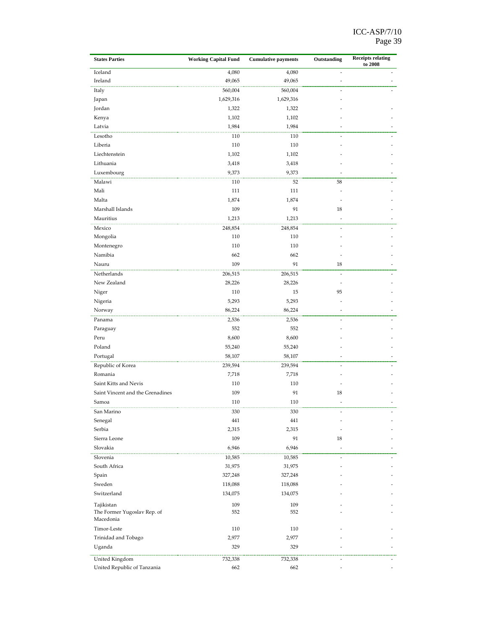| <b>States Parties</b>            | <b>Working Capital Fund</b> | <b>Cumulative payments</b> | Outstanding | <b>Receipts relating</b><br>to 2008 |
|----------------------------------|-----------------------------|----------------------------|-------------|-------------------------------------|
| Iceland                          | 4,080                       | 4,080                      |             |                                     |
| Ireland                          | 49,065                      | 49,065                     |             |                                     |
| Italy                            | 560,004                     | 560,004                    |             |                                     |
| Japan                            | 1,629,316                   | 1,629,316                  |             |                                     |
| Jordan                           | 1,322                       | 1,322                      |             |                                     |
| Kenya                            | 1,102                       | 1,102                      |             |                                     |
| Latvia                           | 1,984                       | 1,984                      |             |                                     |
| Lesotho                          | 110                         | 110                        |             |                                     |
| Liberia                          | 110                         | 110                        |             |                                     |
| Liechtenstein                    | 1,102                       | 1,102                      |             |                                     |
| Lithuania                        | 3,418                       | 3,418                      |             |                                     |
| Luxembourg                       | 9,373                       | 9,373                      |             |                                     |
| Malawi                           | 110                         | 52                         | 58          |                                     |
| Mali                             | 111                         | 111                        |             |                                     |
| Malta                            | 1,874                       | 1,874                      |             |                                     |
| Marshall Islands                 | 109                         | 91                         | 18          |                                     |
| Mauritius                        | 1,213                       | 1,213                      |             |                                     |
| Mexico                           | 248,854                     | 248,854                    |             |                                     |
| Mongolia                         | 110                         | 110                        |             |                                     |
| Montenegro                       | 110                         | 110                        |             |                                     |
| Namibia                          | 662                         | 662                        |             |                                     |
| Nauru                            | 109                         | 91                         | 18          |                                     |
| Netherlands                      | 206,515                     | 206,515                    |             |                                     |
| New Zealand                      | 28,226                      | 28,226                     |             |                                     |
| Niger                            | 110                         | 15                         | 95          |                                     |
| Nigeria                          | 5,293                       | 5,293                      |             |                                     |
| Norway                           | 86,224                      | 86,224                     |             |                                     |
| Panama                           | 2,536                       | 2,536                      |             |                                     |
| Paraguay                         | 552                         | 552                        |             |                                     |
| Peru                             | 8,600                       | 8,600                      |             |                                     |
| Poland                           | 55,240                      | 55,240                     |             |                                     |
| Portugal                         | 58,107                      | 58,107                     |             |                                     |
| Republic of Korea                | 239,594                     | 239,594                    |             |                                     |
| Romania                          | 7,718                       | 7,718                      |             |                                     |
| Saint Kitts and Nevis            | 110                         | 110                        |             |                                     |
| Saint Vincent and the Grenadines | 109                         | 91                         | 18          |                                     |
| Samoa                            | 110                         | 110                        |             |                                     |
| San Marino                       | 330                         | 330                        |             |                                     |
| Senegal                          | 441                         | 441                        |             |                                     |
| Serbia                           | 2,315                       | 2,315                      |             |                                     |
| Sierra Leone                     | 109                         | 91                         | 18          |                                     |
| Slovakia                         | 6,946                       | 6,946                      |             |                                     |
| Slovenia                         | 10,585                      | 10,585                     |             |                                     |
| South Africa                     | 31,975                      | 31,975                     |             |                                     |
| Spain                            | 327,248                     | 327,248                    |             |                                     |
| Sweden                           | 118,088                     | 118,088                    |             |                                     |
| Switzerland                      | 134,075                     | 134,075                    |             |                                     |
| Tajikistan                       | 109                         | 109                        |             |                                     |
| The Former Yugoslav Rep. of      | 552                         | 552                        |             |                                     |
| Macedonia                        |                             |                            |             |                                     |
| Timor-Leste                      | 110                         | 110                        |             |                                     |
| Trinidad and Tobago              | 2,977                       | 2,977                      |             |                                     |
| Uganda                           | 329                         | 329                        |             |                                     |
| .<br>United Kingdom              | 732,338                     | 732,338                    |             |                                     |
| United Republic of Tanzania      | 662                         | 662                        |             |                                     |
|                                  |                             |                            |             |                                     |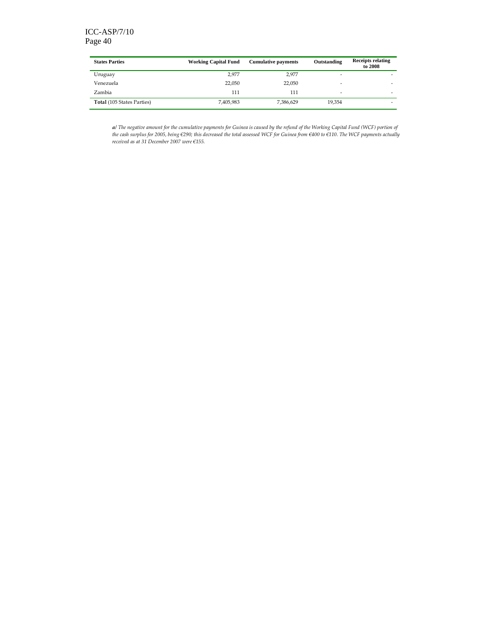#### ICC-ASP/7/10 Page 40

| <b>States Parties</b>             | <b>Working Capital Fund</b> | <b>Cumulative payments</b> | Outstanding | <b>Receipts relating</b><br>to 2008 |
|-----------------------------------|-----------------------------|----------------------------|-------------|-------------------------------------|
| Uruguay                           | 2,977                       | 2.977                      | -           |                                     |
| Venezuela                         | 22,050                      | 22,050                     | -           |                                     |
| Zambia                            | 111                         | 111                        | -           | ۰                                   |
| <b>Total</b> (105 States Parties) | 7,405,983                   | 7,386,629                  | 19.354      | ۰                                   |

a/ The negative amount for the cumulative payments for Guinea is caused by the refund of the Working Capital Fund (WCF) portion of the cash surplus for 2005, being €290; this decreased the total assessed WCF for Guinea from €400 to €110. The WCF payments actually received as at 31 December 2007 were €155.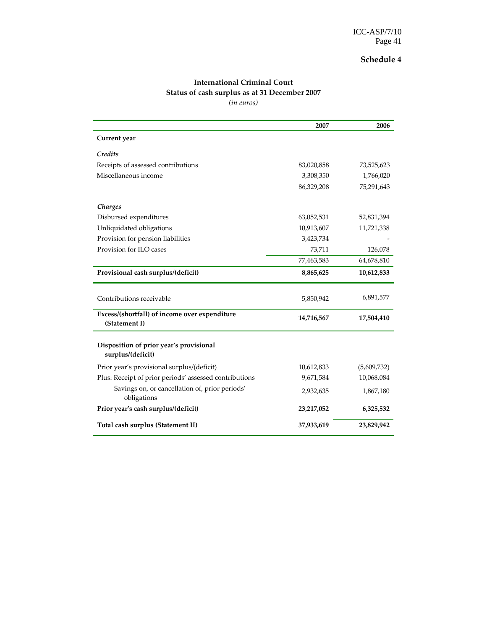|                                                                | 2007       | 2006        |
|----------------------------------------------------------------|------------|-------------|
| Current year                                                   |            |             |
| Credits                                                        |            |             |
| Receipts of assessed contributions                             | 83,020,858 | 73,525,623  |
| Miscellaneous income                                           | 3,308,350  | 1,766,020   |
|                                                                | 86,329,208 | 75,291,643  |
| Charges                                                        |            |             |
| Disbursed expenditures                                         | 63,052,531 | 52,831,394  |
| Unliquidated obligations                                       | 10,913,607 | 11,721,338  |
| Provision for pension liabilities                              | 3,423,734  |             |
| Provision for ILO cases                                        | 73,711     | 126,078     |
|                                                                | 77,463,583 | 64,678,810  |
| Provisional cash surplus/(deficit)                             | 8,865,625  | 10,612,833  |
| Contributions receivable                                       | 5,850,942  | 6,891,577   |
| Excess/(shortfall) of income over expenditure<br>(Statement I) | 14,716,567 | 17,504,410  |
| Disposition of prior year's provisional<br>surplus/(deficit)   |            |             |
| Prior year's provisional surplus/(deficit)                     | 10,612,833 | (5,609,732) |
| Plus: Receipt of prior periods' assessed contributions         | 9,671,584  | 10,068,084  |
| Savings on, or cancellation of, prior periods'<br>obligations  | 2,932,635  | 1,867,180   |
| Prior year's cash surplus/(deficit)                            | 23,217,052 | 6,325,532   |
| Total cash surplus (Statement II)                              | 37,933,619 | 23,829,942  |

#### International Criminal Court Status of cash surplus as at 31 December 2007

(in euros)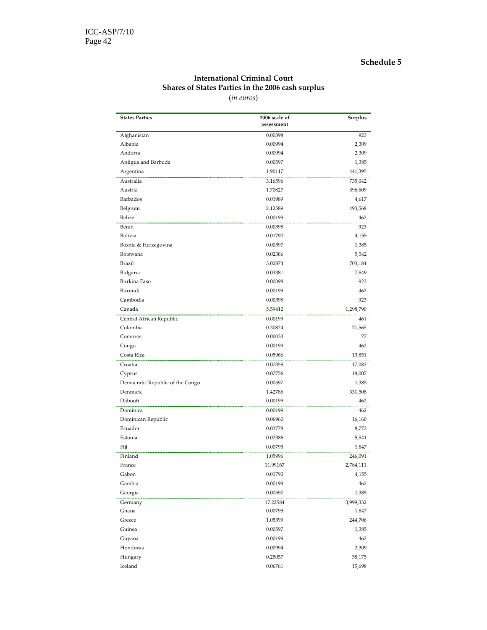#### International Criminal Court Shares of States Parties in the 2006 cash surplus

(in euros)

| <b>States Parties</b>                       | 2006 scale of | Surplus   |
|---------------------------------------------|---------------|-----------|
|                                             | assessment    |           |
| Afghanistan                                 | 0.00398       | 923       |
| Albania                                     | 0.00994       | 2,309     |
| Andorra                                     | 0.00994       | 2,309     |
| Antigua and Barbuda                         | 0.00597       | 1,385     |
| Argentina                                   | 1.90117       | 441,395   |
| Australia                                   | 3.16596       | 735,042   |
| Austria                                     | 1.70827       | 396,609   |
| Barbados                                    | 0.01989       | 4,617     |
| Belgium                                     | 2.12589       | 493,568   |
| Belize                                      | 0.00199       | 462       |
| Benin                                       | 0.00398       | 923       |
| Bolivia                                     | 0.01790       | 4,155     |
| Bosnia & Herzegovina                        | 0.00597       | 1,385     |
| Botswana                                    | 0.02386       | 5,542     |
| Brazil                                      | 3.02874       | 703,184   |
| Bulgaria                                    | 0.03381       | 7,849     |
| Burkina Faso                                | 0.00398       | 923       |
| Burundi                                     | 0.00199       | 462       |
| Cambodia                                    | 0.00398       | 923       |
| Canada                                      | 5.59412       | 1,298,790 |
| Central African Republic                    | 0.00199       | 461       |
| Colombia                                    | 0.30824       | 71,565    |
| Comoros                                     | 0.00033       | 77        |
| Congo                                       | 0.00199       | 462       |
| Costa Rica                                  | 0.05966       | 13,851    |
| Croatia                                     | 0.07358       | 17,083    |
| Cyprus                                      | 0.07756       | 18,007    |
|                                             | 0.00597       | 1,385     |
| Democratic Republic of the Congo<br>Denmark | 1.42786       | 331,508   |
|                                             | 0.00199       | 462       |
| Djibouti                                    |               |           |
| Dominica                                    | 0.00199       | 462       |
| Dominican Republic                          | 0.06960       | 16,160    |
| Ecuador                                     | 0.03778       | 8,772     |
| Estonia                                     | 0.02386       | 5,541     |
| Fiji                                        | 0.00795       | 1,847     |
| Finland                                     | 1.05996       | 246,091   |
| France                                      | 11.99167      | 2,784,111 |
| Gabon                                       | 0.01790       | 4,155     |
| Gambia                                      | 0.00199       | 462       |
| Georgia                                     | 0.00597       | 1,385     |
| Germany                                     | 17.22584      | 3,999,332 |
| Ghana                                       | 0.00795       | 1,847     |
| Greece                                      | 1.05399       | 244,706   |
| Guinea                                      | 0.00597       | 1,385     |
| Guyana                                      | 0.00199       | 462       |
| Honduras                                    | 0.00994       | 2,309     |
| Hungary                                     | 0.25057       | 58,175    |
| Iceland                                     | 0.06761       | 15,698    |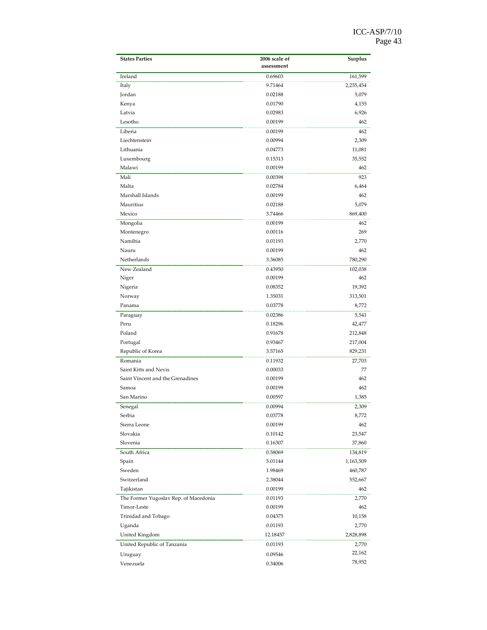| <b>States Parties</b>                 | 2006 scale of | Surplus   |
|---------------------------------------|---------------|-----------|
|                                       | assessment    |           |
| Ireland                               | 0.69603       | 161,599   |
| Italy                                 | 9.71464       | 2,255,454 |
| Jordan                                | 0.02188       | 5,079     |
| Kenya                                 | 0.01790       | 4,155     |
| Latvia                                | 0.02983       | 6,926     |
| Lesotho                               | 0.00199       | 462       |
| Liberia                               | 0.00199       | 462       |
| Liechtenstein                         | 0.00994       | 2,309     |
| Lithuania                             | 0.04773       | 11,081    |
| Luxembourg                            | 0.15313       | 35,552    |
| Malawi                                | 0.00199       | 462       |
| Mali                                  | 0.00398       | 923       |
| Malta                                 | 0.02784       | 6,464     |
| Marshall Islands                      | 0.00199       | 462       |
| Mauritius                             | 0.02188       | 5,079     |
| Mexico                                | 3.74466       | 869,400   |
| Mongolia                              | 0.00199       | 462       |
| Montenegro                            | 0.00116       | 269       |
| Namibia                               | 0.01193       | 2,770     |
| Nauru                                 | 0.00199       | 462       |
| Netherlands                           | 3.36085       | 780,290   |
| New Zealand                           | 0.43950       | 102,038   |
| Niger                                 | 0.00199       | 462       |
| Nigeria                               | 0.08352       | 19,392    |
| Norway                                | 1.35031       | 313,501   |
| Panama                                | 0.03778       | 8,772     |
| Paraguay                              | 0.02386       | 5,541     |
| Peru                                  | 0.18296       | 42,477    |
| Poland                                | 0.91678       | 212,848   |
| Portugal                              | 0.93467       | 217,004   |
| Republic of Korea                     | 3.57165       | 829,231   |
| Romania                               | 0.11932       | 27,703    |
| Saint Kitts and Nevis                 | 0.00033       | 77        |
| Saint Vincent and the Grenadines      | 0.00199       | 462       |
| Samoa                                 | 0.00199       | 462       |
| San Marino                            | 0.00597       | 1,385     |
| Senegal                               | 0.00994       | 2,309     |
| Serbia                                | 0.03778       | 8,772     |
| Sierra Leone                          | 0.00199       | 462       |
| Slovakia                              | 0.10142       | 23,547    |
| Slovenia                              | 0.16307       | 37,860    |
| South Africa                          | 0.58069       | 134,819   |
| Spain                                 | 5.01144       | 1,163,509 |
| Sweden                                | 1.98469       | 460,787   |
| Switzerland                           | 2.38044       | 552,667   |
| Tajikistan                            | 0.00199       | 462       |
| The Former Yugoslav Rep. of Macedonia | 0.01193       | 2,770     |
| Timor-Leste                           | 0.00199       | 462       |
| Trinidad and Tobago                   | 0.04375       | 10,158    |
| Uganda                                | 0.01193       | 2,770     |
| United Kingdom                        | 12.18457      | 2,828,898 |
| United Republic of Tanzania           | 0.01193       | 2,770     |
|                                       |               | 22,162    |
| Uruguay                               | 0.09546       | 78,952    |
| Venezuela                             | 0.34006       |           |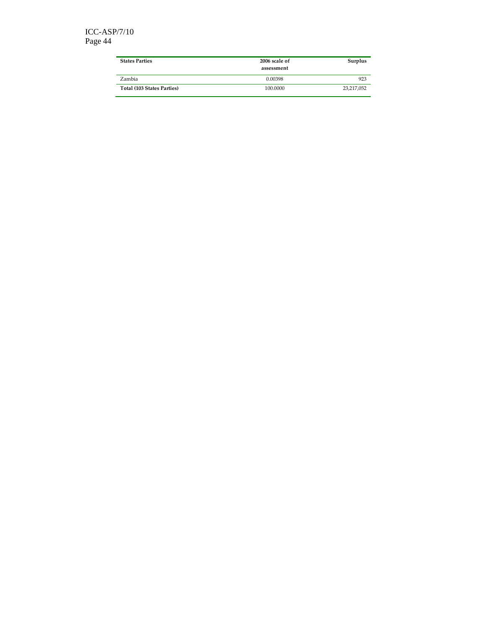| <b>States Parties</b>      | 2006 scale of<br>assessment | Surplus    |
|----------------------------|-----------------------------|------------|
| Zambia                     | 0.00398                     | 923        |
| Total (103 States Parties) | 100,0000                    | 23,217,052 |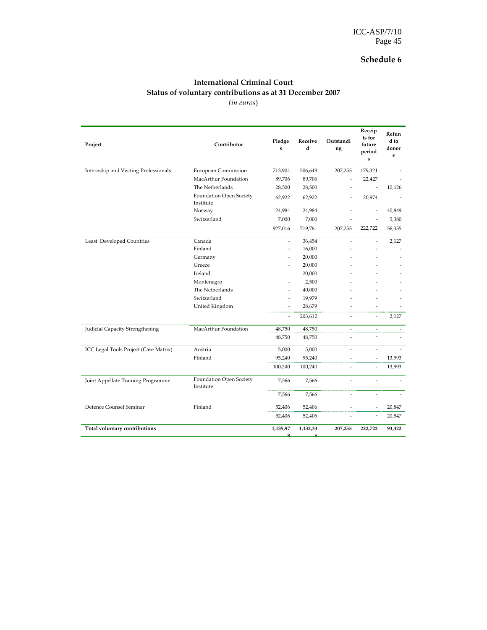#### International Criminal Court Status of voluntary contributions as at 31 December 2007 (in euros)

Project Pledge Project Pledge Project Pledge Project Pledge Project Pledge Project Pledge Project Pledge Pledge Pledge Pledge Pledge Pledge Pledge Pledge Pledge Pledge Pledge Pledge Pledge Pledge Pledge Pledge Pledge Pledg s Receive d Outstandi ng Receip ts for future period s Refun d to donor s Internship and Visiting Professionals European Commission 713,904 506,649 207,255 179,321 MacArthur Foundation 89,706 89,706 - 22,427 The Netherlands 28,500 28,500 - 10,126 Foundation Open Society Institute 62,922 62,922 - 20,974 - Norway 24,984 24,984 - - 40,849 Switzerland 7,000 7,000 - 5,380 927,016 719,761 207,255 222,722 56,355 Least Developed Countries Canada - 36,454 - 2,127 Finland - 16,000 - - - - -Germany - 20,000 - 20,000 - 20,000 - 20,000 - 20,000 - 20,000 - 20,000 - 20,000 - 20,000 - 20,000 - 20,000 - 20,000 - 20,000 - 20,000 - 20,000 - 20,000 - 20,000 - 20,000 - 20,000 - 20,000 - 20,000 - 20,000 - 20,000 - 20,00 Greece - 20,000 - - - Ireland 20,000 - - - Montenegro - 2,500 The Netherlands -  $40,000$ Switzerland - 19,979 United Kingdom - 28,679 -203,612 - 2,127 Judicial Capacity Strengthening MacArthur Foundation 48,750 48,750 - 48,750 48,750 - - - ICC Legal Tools Project (Case Matrix) Austria 5,000 5,000 - - - Finland 95,240 95,240 - - 13,993 100,240 100,240 - - 13,993 Joint Appellate Training Programme Foundation Open Society Institute 7,566 7,566 - - -  $7,566$   $7,566$   $-$  -  $-$  -  $-$ Defence Counsel Seminar Finland 52,406 52,406 - - 20,847 52,406 52,406 - 20,847 Total voluntary contributions 1,135,97 8 1,132,33 5 207,255 222,722 93,322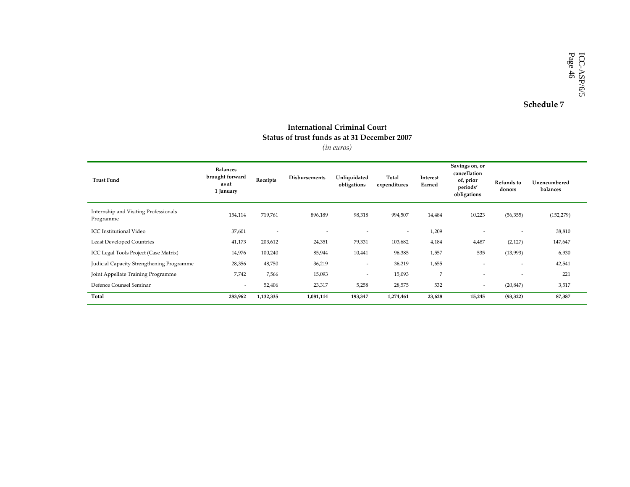#### International Criminal Court Status of trust funds as at 31 December 2007(in euros)

| (in euros) |  |
|------------|--|
|            |  |

| <b>Trust Fund</b>                                  | <b>Balances</b><br>brought forward<br>as at<br>1 January | Receipts       | <b>Disbursements</b> | Unliquidated<br>obligations | Total<br>expenditures    | Interest<br>Earned | Savings on, or<br>cancellation<br>of, prior<br>periods'<br>obligations | Refunds to<br>donors | Unencumbered<br>balances |
|----------------------------------------------------|----------------------------------------------------------|----------------|----------------------|-----------------------------|--------------------------|--------------------|------------------------------------------------------------------------|----------------------|--------------------------|
| Internship and Visiting Professionals<br>Programme | 154,114                                                  | 719,761        | 896,189              | 98,318                      | 994,507                  | 14,484             | 10,223                                                                 | (56, 355)            | (152, 279)               |
| <b>ICC</b> Institutional Video                     | 37,601                                                   | $\overline{a}$ | $\overline{a}$       | $\overline{\phantom{a}}$    | $\overline{\phantom{a}}$ | 1,209              |                                                                        | $\sim$               | 38,810                   |
| <b>Least Developed Countries</b>                   | 41,173                                                   | 203,612        | 24,351               | 79,331                      | 103,682                  | 4,184              | 4,487                                                                  | (2,127)              | 147,647                  |
| ICC Legal Tools Project (Case Matrix)              | 14,976                                                   | 100,240        | 85,944               | 10,441                      | 96,385                   | 1,557              | 535                                                                    | (13,993)             | 6,930                    |
| Judicial Capacity Strengthening Programme          | 28,356                                                   | 48,750         | 36,219               | $\overline{\phantom{a}}$    | 36,219                   | 1,655              | $\overline{\phantom{a}}$                                               | $\sim$               | 42,541                   |
| Joint Appellate Training Programme                 | 7,742                                                    | 7,566          | 15,093               | $\overline{\phantom{a}}$    | 15,093                   | 7                  | $\overline{\phantom{a}}$                                               |                      | 221                      |
| Defence Counsel Seminar                            | $\overline{\phantom{a}}$                                 | 52,406         | 23,317               | 5,258                       | 28,575                   | 532                | $\overline{\phantom{a}}$                                               | (20, 847)            | 3,517                    |
| Total                                              | 283,962                                                  | 1,132,335      | 1,081,114            | 193,347                     | 1,274,461                | 23,628             | 15,245                                                                 | (93, 322)            | 87,387                   |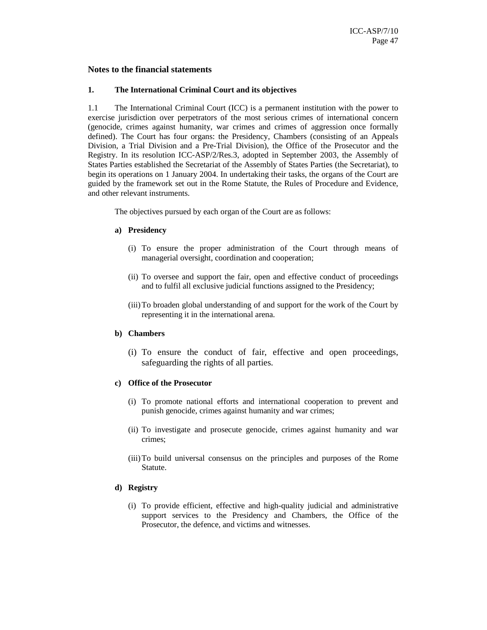#### **Notes to the financial statements**

#### **1. The International Criminal Court and its objectives**

1.1 The International Criminal Court (ICC) is a permanent institution with the power to exercise jurisdiction over perpetrators of the most serious crimes of international concern (genocide, crimes against humanity, war crimes and crimes of aggression once formally defined). The Court has four organs: the Presidency, Chambers (consisting of an Appeals Division, a Trial Division and a Pre-Trial Division), the Office of the Prosecutor and the Registry. In its resolution ICC-ASP/2/Res.3, adopted in September 2003, the Assembly of States Parties established the Secretariat of the Assembly of States Parties (the Secretariat), to begin its operations on 1 January 2004. In undertaking their tasks, the organs of the Court are guided by the framework set out in the Rome Statute, the Rules of Procedure and Evidence, and other relevant instruments.

The objectives pursued by each organ of the Court are as follows:

#### **a) Presidency**

- (i) To ensure the proper administration of the Court through means of managerial oversight, coordination and cooperation;
- (ii) To oversee and support the fair, open and effective conduct of proceedings and to fulfil all exclusive judicial functions assigned to the Presidency;
- (iii)To broaden global understanding of and support for the work of the Court by representing it in the international arena.

#### **b) Chambers**

(i) To ensure the conduct of fair, effective and open proceedings, safeguarding the rights of all parties.

#### **c) Office of the Prosecutor**

- (i) To promote national efforts and international cooperation to prevent and punish genocide, crimes against humanity and war crimes;
- (ii) To investigate and prosecute genocide, crimes against humanity and war crimes;
- (iii)To build universal consensus on the principles and purposes of the Rome Statute.

#### **d) Registry**

(i) To provide efficient, effective and high-quality judicial and administrative support services to the Presidency and Chambers, the Office of the Prosecutor, the defence, and victims and witnesses.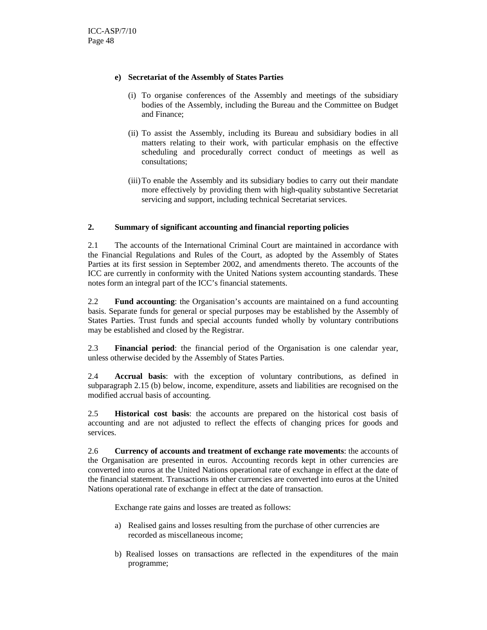#### **e) Secretariat of the Assembly of States Parties**

- (i) To organise conferences of the Assembly and meetings of the subsidiary bodies of the Assembly, including the Bureau and the Committee on Budget and Finance;
- (ii) To assist the Assembly, including its Bureau and subsidiary bodies in all matters relating to their work, with particular emphasis on the effective scheduling and procedurally correct conduct of meetings as well as consultations;
- (iii)To enable the Assembly and its subsidiary bodies to carry out their mandate more effectively by providing them with high-quality substantive Secretariat servicing and support, including technical Secretariat services.

#### **2. Summary of significant accounting and financial reporting policies**

2.1 The accounts of the International Criminal Court are maintained in accordance with the Financial Regulations and Rules of the Court, as adopted by the Assembly of States Parties at its first session in September 2002, and amendments thereto. The accounts of the ICC are currently in conformity with the United Nations system accounting standards. These notes form an integral part of the ICC's financial statements.

2.2 **Fund accounting**: the Organisation's accounts are maintained on a fund accounting basis. Separate funds for general or special purposes may be established by the Assembly of States Parties. Trust funds and special accounts funded wholly by voluntary contributions may be established and closed by the Registrar.

2.3 **Financial period**: the financial period of the Organisation is one calendar year, unless otherwise decided by the Assembly of States Parties.

2.4 **Accrual basis**: with the exception of voluntary contributions, as defined in subparagraph 2.15 (b) below, income, expenditure, assets and liabilities are recognised on the modified accrual basis of accounting.

2.5 **Historical cost basis**: the accounts are prepared on the historical cost basis of accounting and are not adjusted to reflect the effects of changing prices for goods and services.

2.6 **Currency of accounts and treatment of exchange rate movements**: the accounts of the Organisation are presented in euros. Accounting records kept in other currencies are converted into euros at the United Nations operational rate of exchange in effect at the date of the financial statement. Transactions in other currencies are converted into euros at the United Nations operational rate of exchange in effect at the date of transaction.

Exchange rate gains and losses are treated as follows:

- a) Realised gains and losses resulting from the purchase of other currencies are recorded as miscellaneous income;
- b) Realised losses on transactions are reflected in the expenditures of the main programme;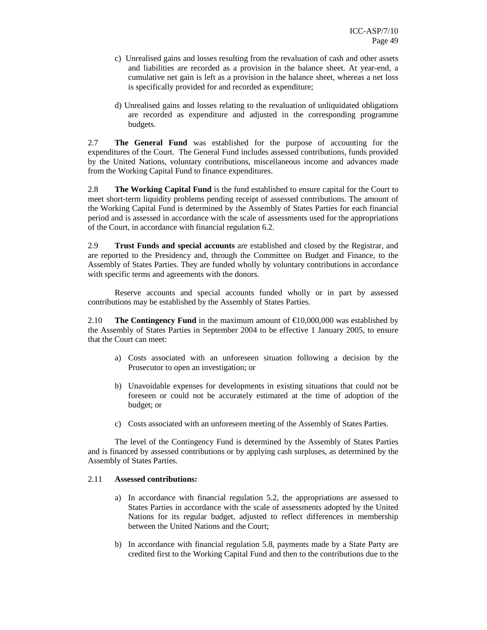- c) Unrealised gains and losses resulting from the revaluation of cash and other assets and liabilities are recorded as a provision in the balance sheet. At year-end, a cumulative net gain is left as a provision in the balance sheet, whereas a net loss is specifically provided for and recorded as expenditure;
- d) Unrealised gains and losses relating to the revaluation of unliquidated obligations are recorded as expenditure and adjusted in the corresponding programme budgets.

2.7 **The General Fund** was established for the purpose of accounting for the expenditures of the Court. The General Fund includes assessed contributions, funds provided by the United Nations, voluntary contributions, miscellaneous income and advances made from the Working Capital Fund to finance expenditures.

2.8 **The Working Capital Fund** is the fund established to ensure capital for the Court to meet short-term liquidity problems pending receipt of assessed contributions. The amount of the Working Capital Fund is determined by the Assembly of States Parties for each financial period and is assessed in accordance with the scale of assessments used for the appropriations of the Court, in accordance with financial regulation 6.2.

2.9 **Trust Funds and special accounts** are established and closed by the Registrar, and are reported to the Presidency and, through the Committee on Budget and Finance, to the Assembly of States Parties. They are funded wholly by voluntary contributions in accordance with specific terms and agreements with the donors.

Reserve accounts and special accounts funded wholly or in part by assessed contributions may be established by the Assembly of States Parties.

2.10 **The Contingency Fund** in the maximum amount of  $\epsilon$ 10,000,000 was established by the Assembly of States Parties in September 2004 to be effective 1 January 2005, to ensure that the Court can meet:

- a) Costs associated with an unforeseen situation following a decision by the Prosecutor to open an investigation; or
- b) Unavoidable expenses for developments in existing situations that could not be foreseen or could not be accurately estimated at the time of adoption of the budget; or
- c) Costs associated with an unforeseen meeting of the Assembly of States Parties.

The level of the Contingency Fund is determined by the Assembly of States Parties and is financed by assessed contributions or by applying cash surpluses, as determined by the Assembly of States Parties.

#### 2.11 **Assessed contributions:**

- a) In accordance with financial regulation 5.2, the appropriations are assessed to States Parties in accordance with the scale of assessments adopted by the United Nations for its regular budget, adjusted to reflect differences in membership between the United Nations and the Court;
- b) In accordance with financial regulation 5.8, payments made by a State Party are credited first to the Working Capital Fund and then to the contributions due to the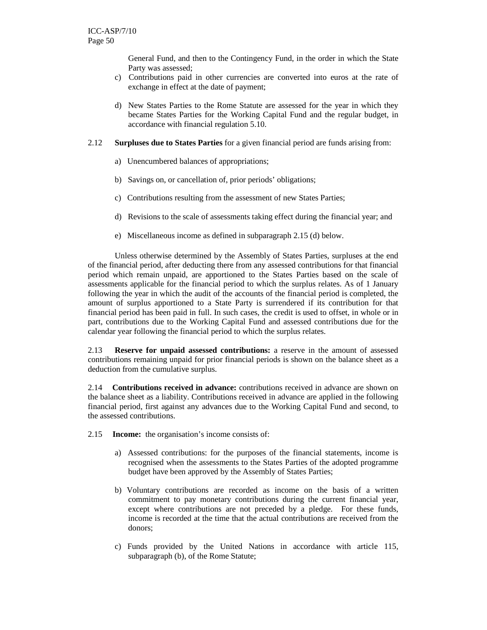General Fund, and then to the Contingency Fund, in the order in which the State Party was assessed;

- c) Contributions paid in other currencies are converted into euros at the rate of exchange in effect at the date of payment;
- d) New States Parties to the Rome Statute are assessed for the year in which they became States Parties for the Working Capital Fund and the regular budget, in accordance with financial regulation 5.10.
- 2.12 **Surpluses due to States Parties** for a given financial period are funds arising from:
	- a) Unencumbered balances of appropriations;
	- b) Savings on, or cancellation of, prior periods' obligations;
	- c) Contributions resulting from the assessment of new States Parties;
	- d) Revisions to the scale of assessments taking effect during the financial year; and
	- e) Miscellaneous income as defined in subparagraph 2.15 (d) below.

Unless otherwise determined by the Assembly of States Parties, surpluses at the end of the financial period, after deducting there from any assessed contributions for that financial period which remain unpaid, are apportioned to the States Parties based on the scale of assessments applicable for the financial period to which the surplus relates. As of 1 January following the year in which the audit of the accounts of the financial period is completed, the amount of surplus apportioned to a State Party is surrendered if its contribution for that financial period has been paid in full. In such cases, the credit is used to offset, in whole or in part, contributions due to the Working Capital Fund and assessed contributions due for the calendar year following the financial period to which the surplus relates.

2.13 **Reserve for unpaid assessed contributions:** a reserve in the amount of assessed contributions remaining unpaid for prior financial periods is shown on the balance sheet as a deduction from the cumulative surplus.

2.14 **Contributions received in advance:** contributions received in advance are shown on the balance sheet as a liability. Contributions received in advance are applied in the following financial period, first against any advances due to the Working Capital Fund and second, to the assessed contributions.

2.15 **Income:** the organisation's income consists of:

- a) Assessed contributions: for the purposes of the financial statements, income is recognised when the assessments to the States Parties of the adopted programme budget have been approved by the Assembly of States Parties;
- b) Voluntary contributions are recorded as income on the basis of a written commitment to pay monetary contributions during the current financial year, except where contributions are not preceded by a pledge. For these funds, income is recorded at the time that the actual contributions are received from the donors;
- c) Funds provided by the United Nations in accordance with article 115, subparagraph (b), of the Rome Statute;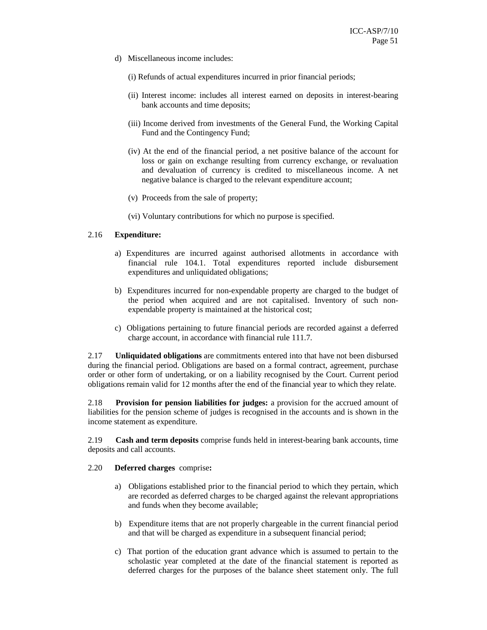- d) Miscellaneous income includes:
	- (i) Refunds of actual expenditures incurred in prior financial periods;
	- (ii) Interest income: includes all interest earned on deposits in interest-bearing bank accounts and time deposits;
	- (iii) Income derived from investments of the General Fund, the Working Capital Fund and the Contingency Fund;
	- (iv) At the end of the financial period, a net positive balance of the account for loss or gain on exchange resulting from currency exchange, or revaluation and devaluation of currency is credited to miscellaneous income. A net negative balance is charged to the relevant expenditure account;
	- (v) Proceeds from the sale of property;
	- (vi) Voluntary contributions for which no purpose is specified.

#### 2.16 **Expenditure:**

- a) Expenditures are incurred against authorised allotments in accordance with financial rule 104.1. Total expenditures reported include disbursement expenditures and unliquidated obligations;
- b) Expenditures incurred for non-expendable property are charged to the budget of the period when acquired and are not capitalised. Inventory of such nonexpendable property is maintained at the historical cost;
- c) Obligations pertaining to future financial periods are recorded against a deferred charge account, in accordance with financial rule 111.7.

2.17 **Unliquidated obligations** are commitments entered into that have not been disbursed during the financial period. Obligations are based on a formal contract, agreement, purchase order or other form of undertaking, or on a liability recognised by the Court. Current period obligations remain valid for 12 months after the end of the financial year to which they relate.

2.18 **Provision for pension liabilities for judges:** a provision for the accrued amount of liabilities for the pension scheme of judges is recognised in the accounts and is shown in the income statement as expenditure.

2.19 **Cash and term deposits** comprise funds held in interest-bearing bank accounts, time deposits and call accounts.

#### 2.20 **Deferred charges** comprise**:**

- a) Obligations established prior to the financial period to which they pertain, which are recorded as deferred charges to be charged against the relevant appropriations and funds when they become available;
- b) Expenditure items that are not properly chargeable in the current financial period and that will be charged as expenditure in a subsequent financial period;
- c) That portion of the education grant advance which is assumed to pertain to the scholastic year completed at the date of the financial statement is reported as deferred charges for the purposes of the balance sheet statement only. The full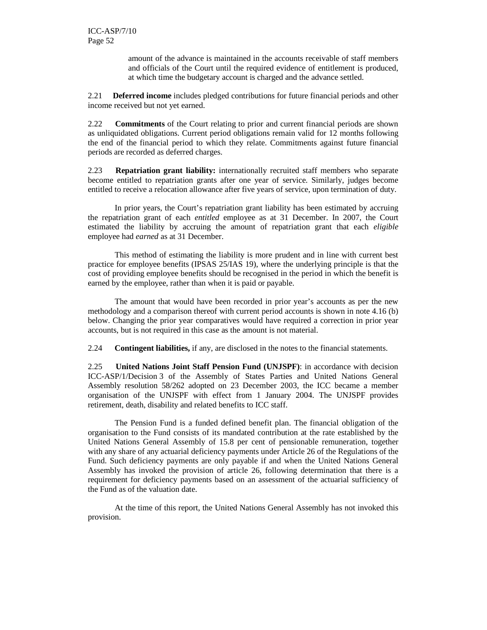amount of the advance is maintained in the accounts receivable of staff members and officials of the Court until the required evidence of entitlement is produced, at which time the budgetary account is charged and the advance settled.

2.21 **Deferred income** includes pledged contributions for future financial periods and other income received but not yet earned.

2.22 **Commitments** of the Court relating to prior and current financial periods are shown as unliquidated obligations. Current period obligations remain valid for 12 months following the end of the financial period to which they relate. Commitments against future financial periods are recorded as deferred charges.

2.23 **Repatriation grant liability:** internationally recruited staff members who separate become entitled to repatriation grants after one year of service. Similarly, judges become entitled to receive a relocation allowance after five years of service, upon termination of duty.

In prior years, the Court's repatriation grant liability has been estimated by accruing the repatriation grant of each *entitled* employee as at 31 December. In 2007, the Court estimated the liability by accruing the amount of repatriation grant that each *eligible* employee had *earned* as at 31 December.

This method of estimating the liability is more prudent and in line with current best practice for employee benefits (IPSAS 25/IAS 19), where the underlying principle is that the cost of providing employee benefits should be recognised in the period in which the benefit is earned by the employee, rather than when it is paid or payable.

The amount that would have been recorded in prior year's accounts as per the new methodology and a comparison thereof with current period accounts is shown in note 4.16 (b) below. Changing the prior year comparatives would have required a correction in prior year accounts, but is not required in this case as the amount is not material.

2.24 **Contingent liabilities,** if any, are disclosed in the notes to the financial statements.

2.25 **United Nations Joint Staff Pension Fund (UNJSPF)**: in accordance with decision ICC-ASP/1/Decision 3 of the Assembly of States Parties and United Nations General Assembly resolution 58/262 adopted on 23 December 2003, the ICC became a member organisation of the UNJSPF with effect from 1 January 2004. The UNJSPF provides retirement, death, disability and related benefits to ICC staff.

The Pension Fund is a funded defined benefit plan. The financial obligation of the organisation to the Fund consists of its mandated contribution at the rate established by the United Nations General Assembly of 15.8 per cent of pensionable remuneration, together with any share of any actuarial deficiency payments under Article 26 of the Regulations of the Fund. Such deficiency payments are only payable if and when the United Nations General Assembly has invoked the provision of article 26, following determination that there is a requirement for deficiency payments based on an assessment of the actuarial sufficiency of the Fund as of the valuation date.

At the time of this report, the United Nations General Assembly has not invoked this provision.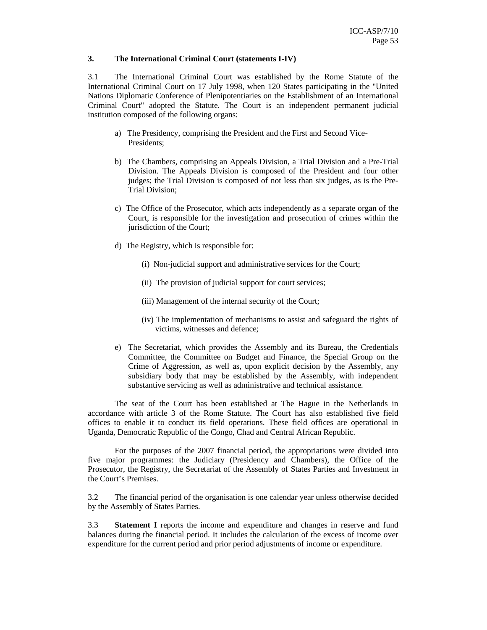#### **3. The International Criminal Court (statements I-IV)**

3.1 The International Criminal Court was established by the Rome Statute of the International Criminal Court on 17 July 1998, when 120 States participating in the "United Nations Diplomatic Conference of Plenipotentiaries on the Establishment of an International Criminal Court" adopted the Statute. The Court is an independent permanent judicial institution composed of the following organs:

- a) The Presidency, comprising the President and the First and Second Vice-Presidents;
- b) The Chambers, comprising an Appeals Division, a Trial Division and a Pre-Trial Division. The Appeals Division is composed of the President and four other judges; the Trial Division is composed of not less than six judges, as is the Pre-Trial Division;
- c) The Office of the Prosecutor, which acts independently as a separate organ of the Court, is responsible for the investigation and prosecution of crimes within the jurisdiction of the Court;
- d) The Registry, which is responsible for:
	- (i) Non-judicial support and administrative services for the Court;
	- (ii) The provision of judicial support for court services;
	- (iii) Management of the internal security of the Court;
	- (iv) The implementation of mechanisms to assist and safeguard the rights of victims, witnesses and defence;
- e) The Secretariat, which provides the Assembly and its Bureau, the Credentials Committee, the Committee on Budget and Finance, the Special Group on the Crime of Aggression, as well as, upon explicit decision by the Assembly, any subsidiary body that may be established by the Assembly, with independent substantive servicing as well as administrative and technical assistance.

The seat of the Court has been established at The Hague in the Netherlands in accordance with article 3 of the Rome Statute. The Court has also established five field offices to enable it to conduct its field operations. These field offices are operational in Uganda, Democratic Republic of the Congo, Chad and Central African Republic.

For the purposes of the 2007 financial period, the appropriations were divided into five major programmes: the Judiciary (Presidency and Chambers), the Office of the Prosecutor, the Registry, the Secretariat of the Assembly of States Parties and Investment in the Court's Premises.

3.2 The financial period of the organisation is one calendar year unless otherwise decided by the Assembly of States Parties.

3.3 **Statement I** reports the income and expenditure and changes in reserve and fund balances during the financial period. It includes the calculation of the excess of income over expenditure for the current period and prior period adjustments of income or expenditure.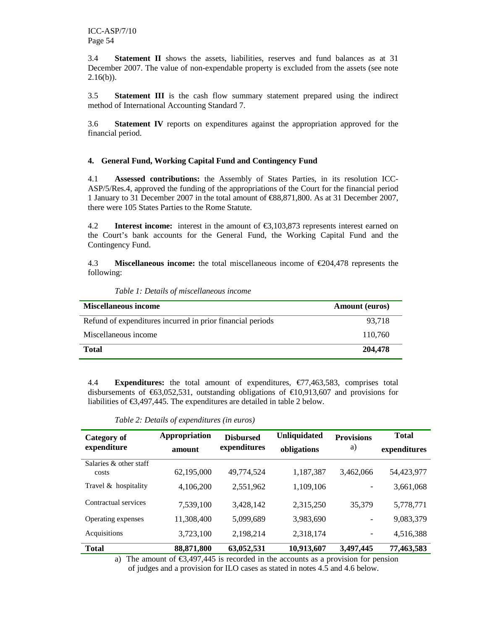3.4 **Statement II** shows the assets, liabilities, reserves and fund balances as at 31 December 2007. The value of non-expendable property is excluded from the assets (see note  $2.16(b)$ ).

3.5 **Statement III** is the cash flow summary statement prepared using the indirect method of International Accounting Standard 7.

3.6 **Statement IV** reports on expenditures against the appropriation approved for the financial period.

#### **4. General Fund, Working Capital Fund and Contingency Fund**

4.1 **Assessed contributions:** the Assembly of States Parties, in its resolution ICC-ASP/5/Res.4, approved the funding of the appropriations of the Court for the financial period 1 January to 31 December 2007 in the total amount of €88,871,800. As at 31 December 2007, there were 105 States Parties to the Rome Statute.

4.2 **Interest income:** interest in the amount of €3,103,873 represents interest earned on the Court's bank accounts for the General Fund, the Working Capital Fund and the Contingency Fund.

4.3 **Miscellaneous income:** the total miscellaneous income of €204,478 represents the following:

| <b>Miscellaneous income</b>                                | <b>Amount</b> (euros) |
|------------------------------------------------------------|-----------------------|
| Refund of expenditures incurred in prior financial periods | 93,718                |
| Miscellaneous income                                       | 110.760               |
| <b>Total</b>                                               | 204,478               |

*Table 1: Details of miscellaneous income* 

4.4 **Expenditures:** the total amount of expenditures, €77,463,583, comprises total disbursements of  $\epsilon$ 63,052,531, outstanding obligations of  $\epsilon$ 10,913,607 and provisions for liabilities of €3,497,445. The expenditures are detailed in table 2 below.

*Table 2: Details of expenditures (in euros)* 

| Category of<br>expenditure      | Appropriation<br>amount | <b>Disbursed</b><br>expenditures | <b>Unliquidated</b><br>obligations | <b>Provisions</b><br>a) | <b>Total</b><br>expenditures |
|---------------------------------|-------------------------|----------------------------------|------------------------------------|-------------------------|------------------------------|
| Salaries & other staff<br>costs | 62,195,000              | 49,774,524                       | 1,187,387                          | 3,462,066               | 54,423,977                   |
| Travel & hospitality            | 4,106,200               | 2,551,962                        | 1,109,106                          |                         | 3,661,068                    |
| Contractual services            | 7,539,100               | 3,428,142                        | 2,315,250                          | 35,379                  | 5,778,771                    |
| Operating expenses              | 11,308,400              | 5,099,689                        | 3,983,690                          |                         | 9,083,379                    |
| Acquisitions                    | 3,723,100               | 2,198,214                        | 2,318,174                          | -                       | 4,516,388                    |
| <b>Total</b>                    | 88,871,800              | 63,052,531                       | 10,913,607                         | 3,497,445               | 77,463,583                   |

a) The amount of  $\epsilon$ 3,497,445 is recorded in the accounts as a provision for pension of judges and a provision for ILO cases as stated in notes 4.5 and 4.6 below.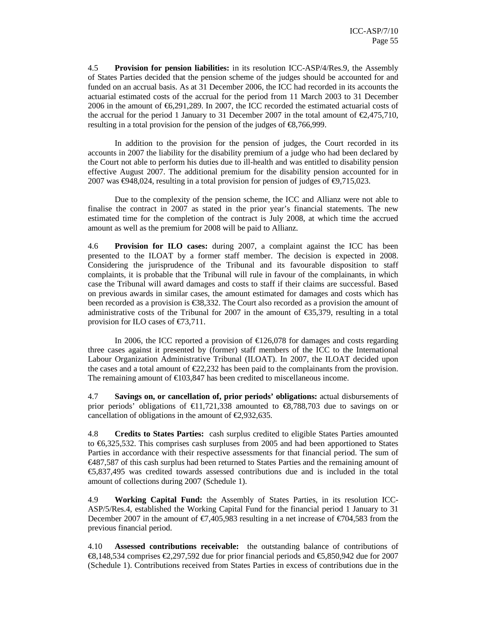4.5 **Provision for pension liabilities:** in its resolution ICC-ASP/4/Res.9, the Assembly of States Parties decided that the pension scheme of the judges should be accounted for and funded on an accrual basis. As at 31 December 2006, the ICC had recorded in its accounts the actuarial estimated costs of the accrual for the period from 11 March 2003 to 31 December 2006 in the amount of  $\epsilon$ 6,291,289. In 2007, the ICC recorded the estimated actuarial costs of the accrual for the period 1 January to 31 December 2007 in the total amount of  $\epsilon$ 2,475,710, resulting in a total provision for the pension of the judges of  $\epsilon$ 8,766,999.

In addition to the provision for the pension of judges, the Court recorded in its accounts in 2007 the liability for the disability premium of a judge who had been declared by the Court not able to perform his duties due to ill-health and was entitled to disability pension effective August 2007. The additional premium for the disability pension accounted for in 2007 was  $\text{\textsterling}948,024$ , resulting in a total provision for pension of judges of  $\text{\textsterling}9,715,023$ .

Due to the complexity of the pension scheme, the ICC and Allianz were not able to finalise the contract in 2007 as stated in the prior year's financial statements. The new estimated time for the completion of the contract is July 2008, at which time the accrued amount as well as the premium for 2008 will be paid to Allianz.

4.6 **Provision for ILO cases:** during 2007, a complaint against the ICC has been presented to the ILOAT by a former staff member. The decision is expected in 2008. Considering the jurisprudence of the Tribunal and its favourable disposition to staff complaints, it is probable that the Tribunal will rule in favour of the complainants, in which case the Tribunal will award damages and costs to staff if their claims are successful. Based on previous awards in similar cases, the amount estimated for damages and costs which has been recorded as a provision is  $\epsilon$ 38,332. The Courtalso recorded as a provision the amount of administrative costs of the Tribunal for 2007 in the amount of  $\epsilon$ 35,379, resulting in a total provision for ILO cases of €73,711.

In 2006, the ICC reported a provision of  $\epsilon$ 126,078 for damages and costs regarding three cases against it presented by (former) staff members of the ICC to the International Labour Organization Administrative Tribunal (ILOAT). In 2007, the ILOAT decided upon the cases and a total amount of  $\epsilon$ 22,232 has been paid to the complainants from the provision. The remaining amount of  $\text{£}103,847$  has been credited to miscellaneous income.

4.7 **Savings on, or cancellation of, prior periods' obligations:** actual disbursements of prior periods' obligations of  $\epsilon$ 11,721,338 amounted to  $\epsilon$ 8,788,703 due to savings on or cancellation of obligations in the amount of  $\epsilon$ 2,932,635.

4.8 **Credits to States Parties:** cash surplus credited to eligible States Parties amounted to €6,325,532. This comprises cash surpluses from 2005 and had been apportioned to States Parties in accordance with their respective assessments for that financial period. The sum of €487,587 of this cash surplus had been returned to States Parties and the remaining amount of €5,837,495 was credited towards assessed contributions due and is included in the total amount of collections during 2007 (Schedule 1).

4.9 **Working Capital Fund:** the Assembly of States Parties, in its resolution ICC-ASP/5/Res.4, established the Working Capital Fund for the financial period 1 January to 31 December 2007 in the amount of  $\epsilon$ 7,405,983 resulting in a net increase of  $\epsilon$ 704,583 from the previous financial period.

4.10 **Assessed contributions receivable:** the outstanding balance of contributions of €8,148,534 comprises €2,297,592 due for prior financial periods and €5,850,942 due for 2007 (Schedule 1). Contributions received from States Parties in excess of contributions due in the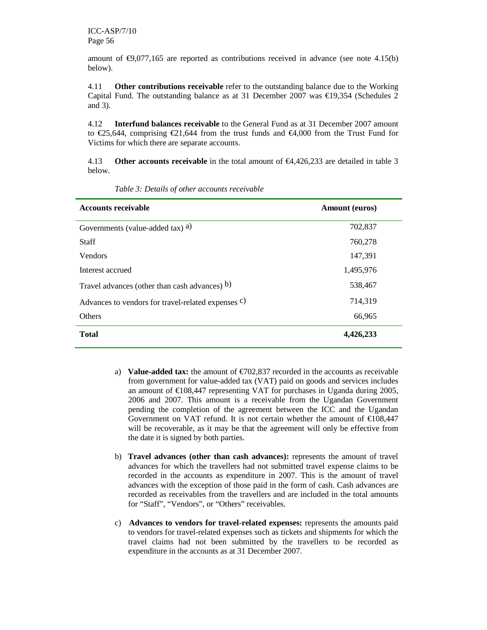amount of  $\epsilon$ 9,077,165 are reported as contributions received in advance (see note 4.15(b) below).

4.11 **Other contributions receivable** refer to the outstanding balance due to the Working Capital Fund. The outstanding balance as at 31 December 2007 was  $\epsilon$ 19,354 (Schedules 2 and 3).

4.12 **Interfund balances receivable** to the General Fund as at 31 December 2007 amount to €25,644, comprising €21,644 from the trust funds and €4,000 from the Trust Fund for Victims for which there are separate accounts.

4.13 **Other accounts receivable** in the total amount of €4,426,233 are detailed in table 3 below.

| <b>Accounts receivable</b>                                     | Amount (euros) |  |
|----------------------------------------------------------------|----------------|--|
| Governments (value-added tax) a)                               | 702,837        |  |
| <b>Staff</b>                                                   | 760,278        |  |
| <b>Vendors</b>                                                 | 147,391        |  |
| Interest accrued                                               | 1,495,976      |  |
| Travel advances (other than cash advances) b)                  | 538,467        |  |
| Advances to vendors for travel-related expenses <sup>c</sup> ) | 714,319        |  |
| <b>Others</b>                                                  | 66,965         |  |
| <b>Total</b>                                                   | 4,426,233      |  |

*Table 3: Details of other accounts receivable* 

- a) **Value-added tax:** the amount of  $\epsilon$ 702,837 recorded in the accounts as receivable from government for value-added tax (VAT) paid on goods and services includes an amount of  $\epsilon$ 108,447 representing VAT for purchases in Uganda during 2005, 2006 and 2007. This amount is a receivable from the Ugandan Government pending the completion of the agreement between the ICC and the Ugandan Government on VAT refund. It is not certain whether the amount of  $\text{\textsterling}108,447$ will be recoverable, as it may be that the agreement will only be effective from the date it is signed by both parties.
- b) **Travel advances (other than cash advances):** represents the amount of travel advances for which the travellers had not submitted travel expense claims to be recorded in the accounts as expenditure in 2007. This is the amount of travel advances with the exception of those paid in the form of cash. Cash advances are recorded as receivables from the travellers and are included in the total amounts for "Staff", "Vendors", or "Others" receivables.
- c) **Advances to vendors for travel-related expenses:** represents the amounts paid to vendors for travel-related expenses such as tickets and shipments for which the travel claims had not been submitted by the travellers to be recorded as expenditure in the accounts as at 31 December 2007.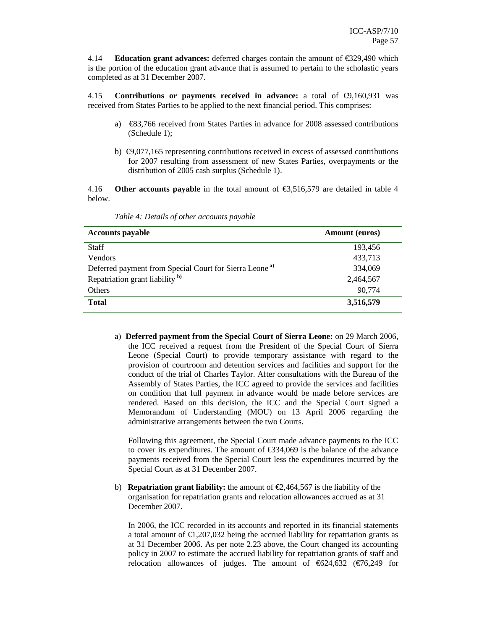4.14 **Education grant advances:** deferred charges contain the amount of €329,490 which is the portion of the education grant advance that is assumed to pertain to the scholastic years completed as at 31 December 2007.

4.15 **Contributions or payments received in advance:** a total of €9,160,931 was received from States Parties to be applied to the next financial period. This comprises:

- a)  $\epsilon$ 83,766 received from States Parties in advance for 2008 assessed contributions (Schedule 1);
- b)  $\epsilon$ 9,077,165 representing contributions received in excess of assessed contributions for 2007 resulting from assessment of new States Parties, overpayments or the distribution of 2005 cash surplus (Schedule 1).

4.16 **Other accounts payable** in the total amount of €3,516,579 are detailed in table 4 below.

| <b>Accounts payable</b>                                            | <b>Amount</b> (euros) |  |
|--------------------------------------------------------------------|-----------------------|--|
| <b>Staff</b>                                                       | 193,456               |  |
| <b>Vendors</b>                                                     | 433,713               |  |
| Deferred payment from Special Court for Sierra Leone <sup>a)</sup> | 334,069               |  |
| Repatriation grant liability <sup>b)</sup>                         | 2,464,567             |  |
| <b>Others</b>                                                      | 90,774                |  |
| <b>Total</b>                                                       | 3,516,579             |  |

*Table 4: Details of other accounts payable* 

a) **Deferred payment from the Special Court of Sierra Leone:** on 29 March 2006, the ICC received a request from the President of the Special Court of Sierra Leone (Special Court) to provide temporary assistance with regard to the provision of courtroom and detention services and facilities and support for the conduct of the trial of Charles Taylor. After consultations with the Bureau of the Assembly of States Parties, the ICC agreed to provide the services and facilities on condition that full payment in advance would be made before services are rendered. Based on this decision, the ICC and the Special Court signed a Memorandum of Understanding (MOU) on 13 April 2006 regarding the administrative arrangements between the two Courts.

Following this agreement, the Special Court made advance payments to the ICC to cover its expenditures. The amount of  $\epsilon$ 334,069 is the balance of the advance payments received from the Special Court less the expenditures incurred by the Special Court as at 31 December 2007.

b) **Repatriation grant liability:** the amount of  $\epsilon$  2,464,567 is the liability of the organisation for repatriation grants and relocation allowances accrued as at 31 December 2007.

In 2006, the ICC recorded in its accounts and reported in its financial statements a total amount of  $\epsilon$ 1,207,032 being the accrued liability for repatriation grants as at 31 December 2006. As per note 2.23 above, the Court changed its accounting policy in 2007 to estimate the accrued liability for repatriation grants of staff and relocation allowances of judges. The amount of  $\epsilon$ 624632 ( $\epsilon$ 76,249 for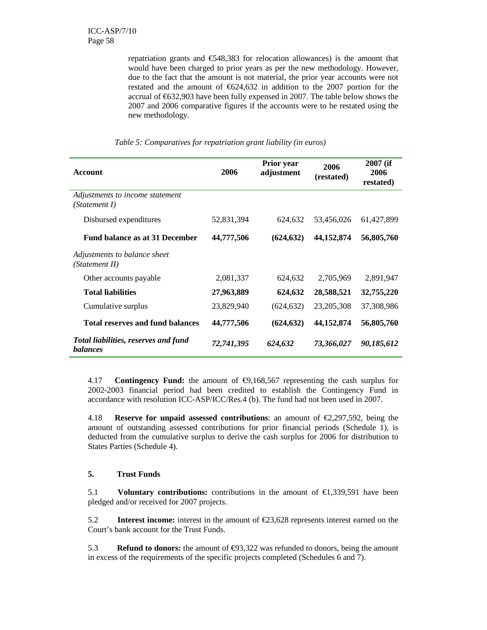repatriation grants and €548,383 for relocation allowances) is the amount that would have been charged to prior years as per the new methodology. However, due to the fact that the amount is not material, the prior year accounts were not restated and the amount of  $\epsilon$ 624,632 in addition to the 2007 portion for the accrual of €632,903 have been fully expensed in 2007. The table below shows the 2007 and 2006 comparative figures if the accounts were to be restated using the new methodology.

| <b>Account</b>                                          | 2006       | Prior year<br>adjustment | 2006<br>(restated) | $2007$ (if<br>2006<br>restated) |
|---------------------------------------------------------|------------|--------------------------|--------------------|---------------------------------|
| Adjustments to income statement<br>(Statement I)        |            |                          |                    |                                 |
| Disbursed expenditures                                  | 52,831,394 | 624,632                  | 53,456,026         | 61,427,899                      |
| <b>Fund balance as at 31 December</b>                   | 44,777,506 | (624, 632)               | 44,152,874         | 56,805,760                      |
| Adjustments to balance sheet<br>(Statement II)          |            |                          |                    |                                 |
| Other accounts payable                                  | 2,081,337  | 624.632                  | 2,705,969          | 2,891,947                       |
| <b>Total liabilities</b>                                | 27,963,889 | 624,632                  | 28,588,521         | 32,755,220                      |
| Cumulative surplus                                      | 23,829,940 | (624, 632)               | 23, 205, 308       | 37,308,986                      |
| <b>Total reserves and fund balances</b>                 | 44,777,506 | (624, 632)               | 44,152,874         | 56,805,760                      |
| Total liabilities, reserves and fund<br><b>balances</b> | 72,741,395 | 624,632                  | 73,366,027         | 90,185,612                      |

*Table 5: Comparatives for repatriation grant liability (in euros)* 

4.17 **Contingency Fund:** the amount of €9,168,567 representing the cash surplus for 2002-2003 financial period had been credited to establish the Contingency Fund in accordance with resolution ICC-ASP/ICC/Res.4 (b). The fund had not been used in 2007.

4.18 **Reserve for unpaid assessed contributions**: an amount of €2,297,592, being the amount of outstanding assessed contributions for prior financial periods (Schedule 1), is deducted from the cumulative surplus to derive the cash surplus for 2006 for distribution to States Parties (Schedule 4).

#### **5. Trust Funds**

5.1 **Voluntary contributions:** contributions in the amount of €1,339,591 have been pledged and/or received for 2007 projects.

5.2 **Interest income:** interest in the amount of €23,628 represents interest earned on the Court's bank account for the Trust Funds.

5.3 **Refund to donors:** the amount of  $\epsilon$ 93,322 was refunded to donors, being the amount in excess of the requirements of the specific projects completed (Schedules 6 and 7).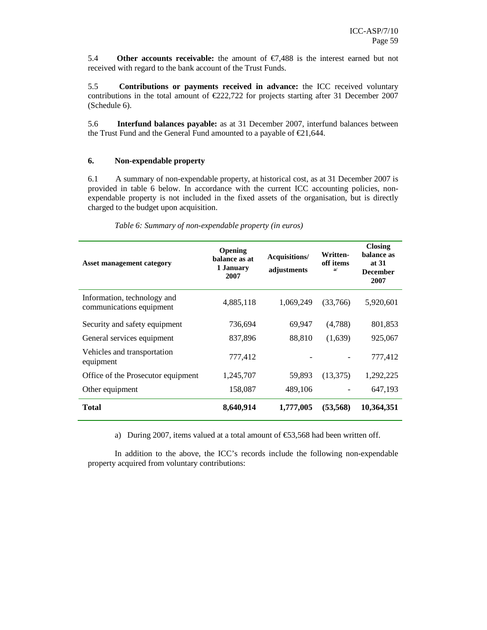5.4 **Other accounts receivable:** the amount of  $\epsilon$ 7,488 is the interest earned but not received with regard to the bank account of the Trust Funds.

5.5 **Contributions or payments received in advance:** the ICC received voluntary contributions in the total amount of  $\epsilon$ 222,722 for projects starting after 31 December 2007 (Schedule 6).

5.6 **Interfund balances payable:** as at 31 December 2007, interfund balances between the Trust Fund and the General Fund amounted to a payable of €21,644.

#### **6. Non-expendable property**

6.1 A summary of non-expendable property, at historical cost, as at 31 December 2007 is provided in table 6 below. In accordance with the current ICC accounting policies, nonexpendable property is not included in the fixed assets of the organisation, but is directly charged to the budget upon acquisition.

| <b>Asset management category</b>                        | <b>Opening</b><br>balance as at<br>1 January<br>2007 | Acquisitions/<br>adjustments | Written-<br>off items<br>a/ | <b>Closing</b><br>balance as<br>at 31<br><b>December</b><br>2007 |
|---------------------------------------------------------|------------------------------------------------------|------------------------------|-----------------------------|------------------------------------------------------------------|
| Information, technology and<br>communications equipment | 4,885,118                                            | 1,069,249                    | (33,766)                    | 5,920,601                                                        |
| Security and safety equipment                           | 736,694                                              | 69,947                       | (4,788)                     | 801,853                                                          |
| General services equipment                              | 837,896                                              | 88,810                       | (1,639)                     | 925,067                                                          |
| Vehicles and transportation<br>equipment                | 777,412                                              |                              |                             | 777,412                                                          |
| Office of the Prosecutor equipment                      | 1,245,707                                            | 59.893                       | (13,375)                    | 1,292,225                                                        |
| Other equipment                                         | 158,087                                              | 489,106                      |                             | 647,193                                                          |
| <b>Total</b>                                            | 8,640,914                                            | 1,777,005                    | (53, 568)                   | 10,364,351                                                       |

*Table 6: Summary of non-expendable property (in euros)* 

a) During 2007, items valued at a total amount of  $\epsilon$ 53,568 had been written off.

In addition to the above, the ICC's records include the following non-expendable property acquired from voluntary contributions: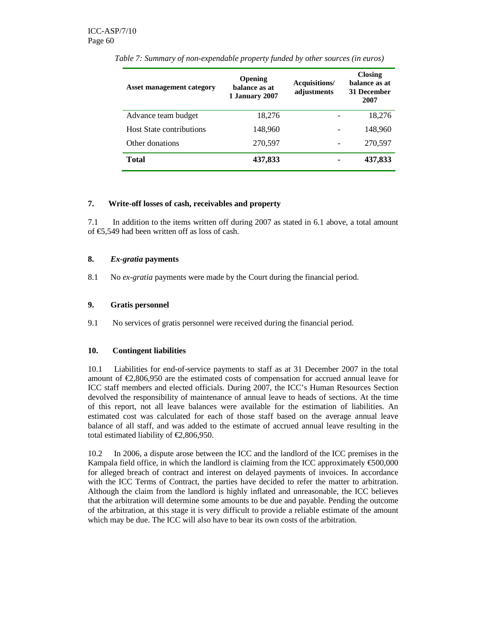| <b>Asset management category</b> | Opening<br>balance as at<br>1 January 2007 | Acquisitions/<br>adjustments | <b>Closing</b><br>balance as at<br>31 December<br>2007 |
|----------------------------------|--------------------------------------------|------------------------------|--------------------------------------------------------|
| Advance team budget              | 18,276                                     |                              | 18,276                                                 |
| <b>Host State contributions</b>  | 148.960                                    |                              | 148,960                                                |
| Other donations                  | 270,597                                    |                              | 270,597                                                |
| Total                            | 437,833                                    |                              | 437,833                                                |

*Table 7: Summary of non-expendable property funded by other sources (in euros)* 

#### **7. Write-off losses of cash, receivables and property**

7.1 In addition to the items written off during 2007 as stated in 6.1 above, a total amount of €5,549 had been written off as loss of cash.

#### **8.** *Ex-gratia* **payments**

8.1 No *ex-gratia* payments were made by the Court during the financial period.

#### **9. Gratis personnel**

9.1 No services of gratis personnel were received during the financial period.

#### **10. Contingent liabilities**

10.1 Liabilities for end-of-service payments to staff as at 31 December 2007 in the total amount of  $\epsilon$ 2,806,950 are the estimated costs of compensation for accrued annual leave for ICC staff members and elected officials. During 2007, the ICC's Human Resources Section devolved the responsibility of maintenance of annual leave to heads of sections. At the time of this report, not all leave balances were available for the estimation of liabilities. An estimated cost was calculated for each of those staff based on the average annual leave balance of all staff, and was added to the estimate of accrued annual leave resulting in the total estimated liability of  $\epsilon$ 2,806,950.

10.2 In 2006, a dispute arose between the ICC and the landlord of the ICC premises in the Kampala field office, in which the landlord is claiming from the ICC approximately  $\epsilon$ 500,000 for alleged breach of contract and interest on delayed payments of invoices. In accordance with the ICC Terms of Contract, the parties have decided to refer the matter to arbitration. Although the claim from the landlord is highly inflated and unreasonable, the ICC believes that the arbitration will determine some amounts to be due and payable. Pending the outcome of the arbitration, at this stage it is very difficult to provide a reliable estimate of the amount which may be due. The ICC will also have to bear its own costs of the arbitration.